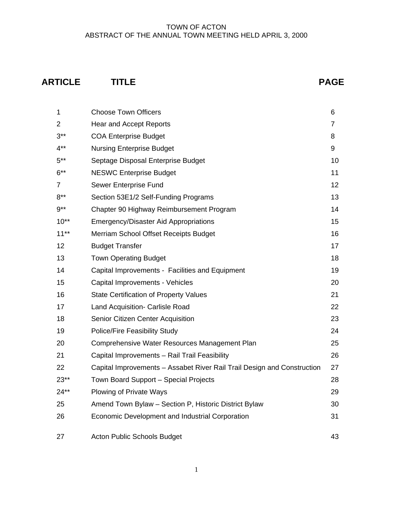# **ARTICLE TITLE PAGE**

| 1              | <b>Choose Town Officers</b>                                             | 6  |
|----------------|-------------------------------------------------------------------------|----|
| 2              | Hear and Accept Reports                                                 | 7  |
| $3***$         | <b>COA Enterprise Budget</b>                                            | 8  |
| $4***$         | <b>Nursing Enterprise Budget</b>                                        | 9  |
| $5***$         | Septage Disposal Enterprise Budget                                      | 10 |
| $6***$         | <b>NESWC Enterprise Budget</b>                                          | 11 |
| $\overline{7}$ | Sewer Enterprise Fund                                                   | 12 |
| $8***$         | Section 53E1/2 Self-Funding Programs                                    | 13 |
| $9***$         | Chapter 90 Highway Reimbursement Program                                | 14 |
| $10**$         | <b>Emergency/Disaster Aid Appropriations</b>                            | 15 |
| $11***$        | Merriam School Offset Receipts Budget                                   | 16 |
| 12             | <b>Budget Transfer</b>                                                  | 17 |
| 13             | <b>Town Operating Budget</b>                                            | 18 |
| 14             | Capital Improvements - Facilities and Equipment                         | 19 |
| 15             | Capital Improvements - Vehicles                                         | 20 |
| 16             | <b>State Certification of Property Values</b>                           | 21 |
| 17             | Land Acquisition- Carlisle Road                                         | 22 |
| 18             | Senior Citizen Center Acquisition                                       | 23 |
| 19             | <b>Police/Fire Feasibility Study</b>                                    | 24 |
| 20             | Comprehensive Water Resources Management Plan                           | 25 |
| 21             | Capital Improvements - Rail Trail Feasibility                           | 26 |
| 22             | Capital Improvements - Assabet River Rail Trail Design and Construction | 27 |
| $23**$         | Town Board Support - Special Projects                                   | 28 |
| $24**$         | <b>Plowing of Private Ways</b>                                          | 29 |
| 25             | Amend Town Bylaw - Section P, Historic District Bylaw                   | 30 |
| 26             | Economic Development and Industrial Corporation                         | 31 |
| 27             | <b>Acton Public Schools Budget</b>                                      | 43 |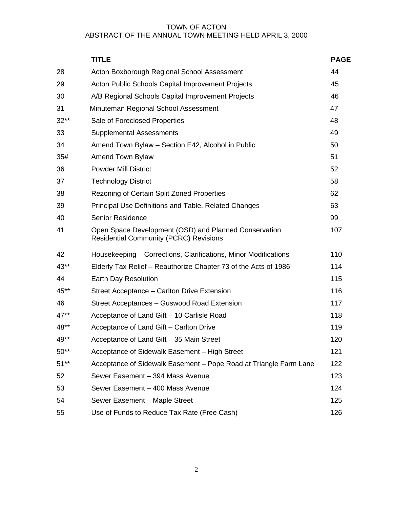|        | <b>TITLE</b>                                                                                           | <b>PAGE</b> |
|--------|--------------------------------------------------------------------------------------------------------|-------------|
| 28     | Acton Boxborough Regional School Assessment                                                            | 44          |
| 29     | Acton Public Schools Capital Improvement Projects                                                      | 45          |
| 30     | A/B Regional Schools Capital Improvement Projects                                                      | 46          |
| 31     | Minuteman Regional School Assessment                                                                   | 47          |
| $32**$ | Sale of Foreclosed Properties                                                                          | 48          |
| 33     | <b>Supplemental Assessments</b>                                                                        | 49          |
| 34     | Amend Town Bylaw - Section E42, Alcohol in Public                                                      | 50          |
| 35#    | Amend Town Bylaw                                                                                       | 51          |
| 36     | <b>Powder Mill District</b>                                                                            | 52          |
| 37     | <b>Technology District</b>                                                                             | 58          |
| 38     | Rezoning of Certain Split Zoned Properties                                                             | 62          |
| 39     | Principal Use Definitions and Table, Related Changes                                                   | 63          |
| 40     | <b>Senior Residence</b>                                                                                | 99          |
| 41     | Open Space Development (OSD) and Planned Conservation<br><b>Residential Community (PCRC) Revisions</b> | 107         |
| 42     | Housekeeping – Corrections, Clarifications, Minor Modifications                                        | 110         |
| 43**   | Elderly Tax Relief – Reauthorize Chapter 73 of the Acts of 1986                                        | 114         |
| 44     | Earth Day Resolution                                                                                   | 115         |
| 45**   | Street Acceptance - Carlton Drive Extension                                                            | 116         |
| 46     | Street Acceptances - Guswood Road Extension                                                            | 117         |
| 47**   | Acceptance of Land Gift - 10 Carlisle Road                                                             | 118         |
| 48**   | Acceptance of Land Gift - Carlton Drive                                                                | 119         |
| 49**   | Acceptance of Land Gift - 35 Main Street                                                               | 120         |
| $50**$ | Acceptance of Sidewalk Easement - High Street                                                          | 121         |
| $51**$ | Acceptance of Sidewalk Easement - Pope Road at Triangle Farm Lane                                      | 122         |
| 52     | Sewer Easement - 394 Mass Avenue                                                                       | 123         |
| 53     | Sewer Easement - 400 Mass Avenue                                                                       | 124         |
| 54     | Sewer Easement - Maple Street                                                                          | 125         |
| 55     | Use of Funds to Reduce Tax Rate (Free Cash)                                                            | 126         |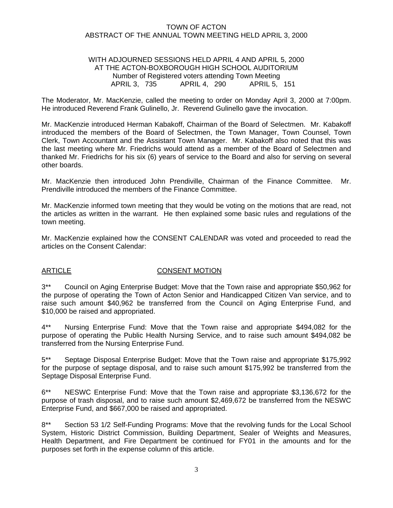### WITH ADJOURNED SESSIONS HELD APRIL 4 AND APRIL 5, 2000 AT THE ACTON-BOXBOROUGH HIGH SCHOOL AUDITORIUM Number of Registered voters attending Town Meeting APRIL 3, 735 APRIL 4, 290 APRIL 5, 151

The Moderator, Mr. MacKenzie, called the meeting to order on Monday April 3, 2000 at 7:00pm. He introduced Reverend Frank Gulinello, Jr. Reverend Gulinello gave the invocation.

Mr. MacKenzie introduced Herman Kabakoff, Chairman of the Board of Selectmen. Mr. Kabakoff introduced the members of the Board of Selectmen, the Town Manager, Town Counsel, Town Clerk, Town Accountant and the Assistant Town Manager. Mr. Kabakoff also noted that this was the last meeting where Mr. Friedrichs would attend as a member of the Board of Selectmen and thanked Mr. Friedrichs for his six (6) years of service to the Board and also for serving on several other boards.

Mr. MacKenzie then introduced John Prendiville, Chairman of the Finance Committee. Mr. Prendiville introduced the members of the Finance Committee.

Mr. MacKenzie informed town meeting that they would be voting on the motions that are read, not the articles as written in the warrant. He then explained some basic rules and regulations of the town meeting.

Mr. MacKenzie explained how the CONSENT CALENDAR was voted and proceeded to read the articles on the Consent Calendar:

#### ARTICLE CONSENT MOTION

3\*\* Council on Aging Enterprise Budget: Move that the Town raise and appropriate \$50,962 for the purpose of operating the Town of Acton Senior and Handicapped Citizen Van service, and to raise such amount \$40,962 be transferred from the Council on Aging Enterprise Fund, and \$10,000 be raised and appropriated.

4\*\* Nursing Enterprise Fund: Move that the Town raise and appropriate \$494,082 for the purpose of operating the Public Health Nursing Service, and to raise such amount \$494,082 be transferred from the Nursing Enterprise Fund.

5\*\* Septage Disposal Enterprise Budget: Move that the Town raise and appropriate \$175,992 for the purpose of septage disposal, and to raise such amount \$175,992 be transferred from the Septage Disposal Enterprise Fund.

6\*\* NESWC Enterprise Fund: Move that the Town raise and appropriate \$3,136,672 for the purpose of trash disposal, and to raise such amount \$2,469,672 be transferred from the NESWC Enterprise Fund, and \$667,000 be raised and appropriated.

8\*\* Section 53 1/2 Self-Funding Programs: Move that the revolving funds for the Local School System, Historic District Commission, Building Department, Sealer of Weights and Measures, Health Department, and Fire Department be continued for FY01 in the amounts and for the purposes set forth in the expense column of this article.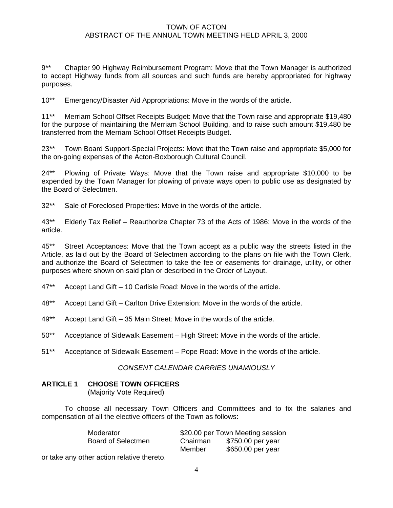9\*\* Chapter 90 Highway Reimbursement Program: Move that the Town Manager is authorized to accept Highway funds from all sources and such funds are hereby appropriated for highway purposes.

10\*\* Emergency/Disaster Aid Appropriations: Move in the words of the article.

11\*\* Merriam School Offset Receipts Budget: Move that the Town raise and appropriate \$19,480 for the purpose of maintaining the Merriam School Building, and to raise such amount \$19,480 be transferred from the Merriam School Offset Receipts Budget.

23\*\* Town Board Support-Special Projects: Move that the Town raise and appropriate \$5,000 for the on-going expenses of the Acton-Boxborough Cultural Council.

24\*\* Plowing of Private Ways: Move that the Town raise and appropriate \$10,000 to be expended by the Town Manager for plowing of private ways open to public use as designated by the Board of Selectmen.

32\*\* Sale of Foreclosed Properties: Move in the words of the article.

43\*\* Elderly Tax Relief – Reauthorize Chapter 73 of the Acts of 1986: Move in the words of the article.

45\*\* Street Acceptances: Move that the Town accept as a public way the streets listed in the Article, as laid out by the Board of Selectmen according to the plans on file with the Town Clerk, and authorize the Board of Selectmen to take the fee or easements for drainage, utility, or other purposes where shown on said plan or described in the Order of Layout.

- 47\*\* Accept Land Gift 10 Carlisle Road: Move in the words of the article.
- 48\*\* Accept Land Gift Carlton Drive Extension: Move in the words of the article.
- 49\*\* Accept Land Gift 35 Main Street: Move in the words of the article.
- 50\*\* Acceptance of Sidewalk Easement High Street: Move in the words of the article.
- 51\*\* Acceptance of Sidewalk Easement Pope Road: Move in the words of the article.

#### *CONSENT CALENDAR CARRIES UNAMIOUSLY*

#### **ARTICLE 1 CHOOSE TOWN OFFICERS**

(Majority Vote Required)

To choose all necessary Town Officers and Committees and to fix the salaries and compensation of all the elective officers of the Town as follows:

| Moderator          |          | \$20.00 per Town Meeting session |
|--------------------|----------|----------------------------------|
| Board of Selectmen | Chairman | \$750.00 per year                |
|                    | Member   | \$650.00 per year                |

or take any other action relative thereto.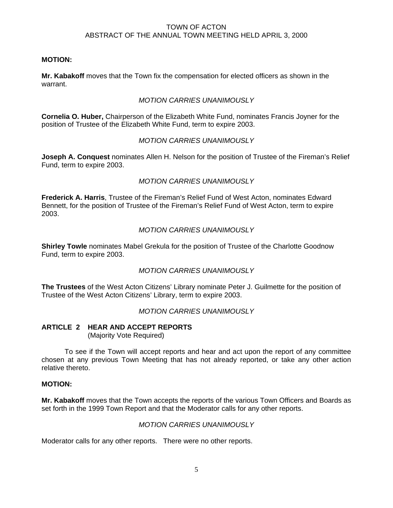# **MOTION:**

**Mr. Kabakoff** moves that the Town fix the compensation for elected officers as shown in the warrant.

# *MOTION CARRIES UNANIMOUSLY*

**Cornelia O. Huber,** Chairperson of the Elizabeth White Fund, nominates Francis Joyner for the position of Trustee of the Elizabeth White Fund, term to expire 2003.

# *MOTION CARRIES UNANIMOUSLY*

**Joseph A. Conquest** nominates Allen H. Nelson for the position of Trustee of the Fireman's Relief Fund, term to expire 2003.

# *MOTION CARRIES UNANIMOUSLY*

**Frederick A. Harris**, Trustee of the Fireman's Relief Fund of West Acton, nominates Edward Bennett, for the position of Trustee of the Fireman's Relief Fund of West Acton, term to expire 2003.

# *MOTION CARRIES UNANIMOUSLY*

**Shirley Towle** nominates Mabel Grekula for the position of Trustee of the Charlotte Goodnow Fund, term to expire 2003.

# *MOTION CARRIES UNANIMOUSLY*

**The Trustees** of the West Acton Citizens' Library nominate Peter J. Guilmette for the position of Trustee of the West Acton Citizens' Library, term to expire 2003.

# *MOTION CARRIES UNANIMOUSLY*

#### **ARTICLE 2 HEAR AND ACCEPT REPORTS**  (Majority Vote Required)

 To see if the Town will accept reports and hear and act upon the report of any committee chosen at any previous Town Meeting that has not already reported, or take any other action relative thereto.

# **MOTION:**

**Mr. Kabakoff** moves that the Town accepts the reports of the various Town Officers and Boards as set forth in the 1999 Town Report and that the Moderator calls for any other reports.

# *MOTION CARRIES UNANIMOUSLY*

Moderator calls for any other reports. There were no other reports.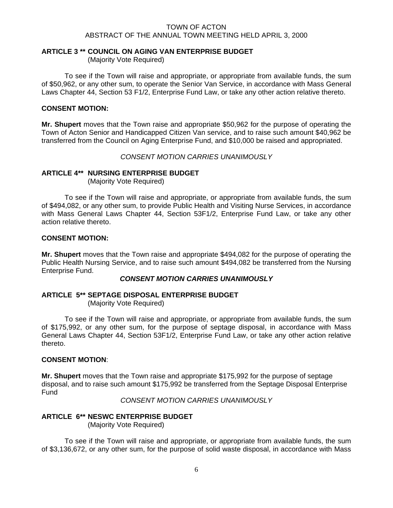# **ARTICLE 3 \*\* COUNCIL ON AGING VAN ENTERPRISE BUDGET**

(Majority Vote Required)

 To see if the Town will raise and appropriate, or appropriate from available funds, the sum of \$50,962, or any other sum, to operate the Senior Van Service, in accordance with Mass General Laws Chapter 44, Section 53 F1/2, Enterprise Fund Law, or take any other action relative thereto.

# **CONSENT MOTION:**

**Mr. Shupert** moves that the Town raise and appropriate \$50,962 for the purpose of operating the Town of Acton Senior and Handicapped Citizen Van service, and to raise such amount \$40,962 be transferred from the Council on Aging Enterprise Fund, and \$10,000 be raised and appropriated.

*CONSENT MOTION CARRIES UNANIMOUSLY* 

# **ARTICLE 4\*\* NURSING ENTERPRISE BUDGET**

(Majority Vote Required)

 To see if the Town will raise and appropriate, or appropriate from available funds, the sum of \$494,082, or any other sum, to provide Public Health and Visiting Nurse Services, in accordance with Mass General Laws Chapter 44, Section 53F1/2, Enterprise Fund Law, or take any other action relative thereto.

# **CONSENT MOTION:**

**Mr. Shupert** moves that the Town raise and appropriate \$494,082 for the purpose of operating the Public Health Nursing Service, and to raise such amount \$494,082 be transferred from the Nursing Enterprise Fund.

#### *CONSENT MOTION CARRIES UNANIMOUSLY*

# **ARTICLE 5\*\* SEPTAGE DISPOSAL ENTERPRISE BUDGET**

(Majority Vote Required)

 To see if the Town will raise and appropriate, or appropriate from available funds, the sum of \$175,992, or any other sum, for the purpose of septage disposal, in accordance with Mass General Laws Chapter 44, Section 53F1/2, Enterprise Fund Law, or take any other action relative thereto.

# **CONSENT MOTION**:

**Mr. Shupert** moves that the Town raise and appropriate \$175,992 for the purpose of septage disposal, and to raise such amount \$175,992 be transferred from the Septage Disposal Enterprise Fund

*CONSENT MOTION CARRIES UNANIMOUSLY* 

# **ARTICLE 6\*\* NESWC ENTERPRISE BUDGET**  (Majority Vote Required)

 To see if the Town will raise and appropriate, or appropriate from available funds, the sum of \$3,136,672, or any other sum, for the purpose of solid waste disposal, in accordance with Mass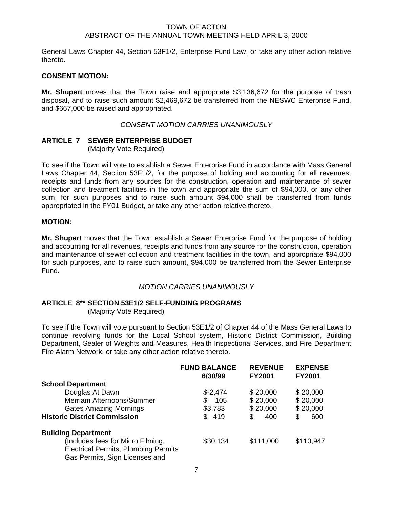General Laws Chapter 44, Section 53F1/2, Enterprise Fund Law, or take any other action relative thereto.

#### **CONSENT MOTION:**

**Mr. Shupert** moves that the Town raise and appropriate \$3,136,672 for the purpose of trash disposal, and to raise such amount \$2,469,672 be transferred from the NESWC Enterprise Fund, and \$667,000 be raised and appropriated.

#### *CONSENT MOTION CARRIES UNANIMOUSLY*

# **ARTICLE 7 SEWER ENTERPRISE BUDGET**

(Majority Vote Required)

To see if the Town will vote to establish a Sewer Enterprise Fund in accordance with Mass General Laws Chapter 44, Section 53F1/2, for the purpose of holding and accounting for all revenues, receipts and funds from any sources for the construction, operation and maintenance of sewer collection and treatment facilities in the town and appropriate the sum of \$94,000, or any other sum, for such purposes and to raise such amount \$94,000 shall be transferred from funds appropriated in the FY01 Budget, or take any other action relative thereto.

#### **MOTION:**

**Mr. Shupert** moves that the Town establish a Sewer Enterprise Fund for the purpose of holding and accounting for all revenues, receipts and funds from any source for the construction, operation and maintenance of sewer collection and treatment facilities in the town, and appropriate \$94,000 for such purposes, and to raise such amount, \$94,000 be transferred from the Sewer Enterprise Fund.

#### *MOTION CARRIES UNANIMOUSLY*

#### **ARTICLE 8\*\* SECTION 53E1/2 SELF-FUNDING PROGRAMS**

(Majority Vote Required)

To see if the Town will vote pursuant to Section 53E1/2 of Chapter 44 of the Mass General Laws to continue revolving funds for the Local School system, Historic District Commission, Building Department, Sealer of Weights and Measures, Health Inspectional Services, and Fire Department Fire Alarm Network, or take any other action relative thereto.

|                                             | <b>FUND BALANCE</b> | <b>REVENUE</b> | <b>EXPENSE</b> |
|---------------------------------------------|---------------------|----------------|----------------|
|                                             | 6/30/99             | <b>FY2001</b>  | <b>FY2001</b>  |
| <b>School Department</b>                    |                     |                |                |
| Douglas At Dawn                             | $$-2,474$           | \$20,000       | \$20,000       |
| Merriam Afternoons/Summer                   | 105<br>\$           | \$20,000       | \$20,000       |
| <b>Gates Amazing Mornings</b>               | \$3,783             | \$20,000       | \$20,000       |
| <b>Historic District Commission</b>         | \$419               | \$<br>400      | \$<br>600      |
| <b>Building Department</b>                  |                     |                |                |
| (Includes fees for Micro Filming,           | \$30,134            | \$111,000      | \$110,947      |
| <b>Electrical Permits, Plumbing Permits</b> |                     |                |                |
| Gas Permits, Sign Licenses and              |                     |                |                |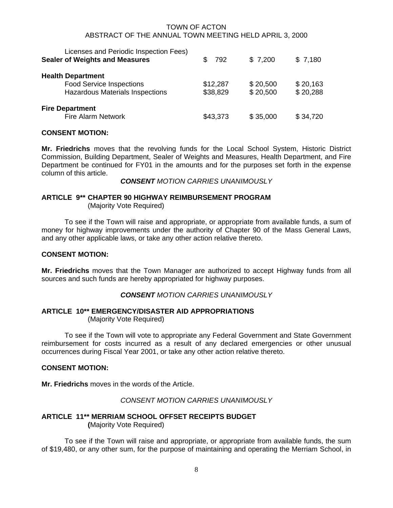| Licenses and Periodic Inspection Fees)<br><b>Sealer of Weights and Measures</b>                       | 792                  | \$7,200              | \$7,180              |
|-------------------------------------------------------------------------------------------------------|----------------------|----------------------|----------------------|
| <b>Health Department</b><br><b>Food Service Inspections</b><br><b>Hazardous Materials Inspections</b> | \$12,287<br>\$38,829 | \$20,500<br>\$20,500 | \$20,163<br>\$20,288 |
| <b>Fire Department</b><br><b>Fire Alarm Network</b>                                                   | \$43,373             | \$35,000             | \$34,720             |

#### **CONSENT MOTION:**

**Mr. Friedrichs** moves that the revolving funds for the Local School System, Historic District Commission, Building Department, Sealer of Weights and Measures, Health Department, and Fire Department be continued for FY01 in the amounts and for the purposes set forth in the expense column of this article.

*CONSENT MOTION CARRIES UNANIMOUSLY* 

# **ARTICLE 9\*\* CHAPTER 90 HIGHWAY REIMBURSEMENT PROGRAM**

(Majority Vote Required)

 To see if the Town will raise and appropriate, or appropriate from available funds, a sum of money for highway improvements under the authority of Chapter 90 of the Mass General Laws, and any other applicable laws, or take any other action relative thereto.

#### **CONSENT MOTION:**

**Mr. Friedrichs** moves that the Town Manager are authorized to accept Highway funds from all sources and such funds are hereby appropriated for highway purposes.

#### *CONSENT MOTION CARRIES UNANIMOUSLY*

# **ARTICLE 10\*\* EMERGENCY/DISASTER AID APPROPRIATIONS**

(Majority Vote Required)

 To see if the Town will vote to appropriate any Federal Government and State Government reimbursement for costs incurred as a result of any declared emergencies or other unusual occurrences during Fiscal Year 2001, or take any other action relative thereto.

#### **CONSENT MOTION:**

**Mr. Friedrichs** moves in the words of the Article.

*CONSENT MOTION CARRIES UNANIMOUSLY* 

# **ARTICLE 11\*\* MERRIAM SCHOOL OFFSET RECEIPTS BUDGET (**Majority Vote Required)

 To see if the Town will raise and appropriate, or appropriate from available funds, the sum of \$19,480, or any other sum, for the purpose of maintaining and operating the Merriam School, in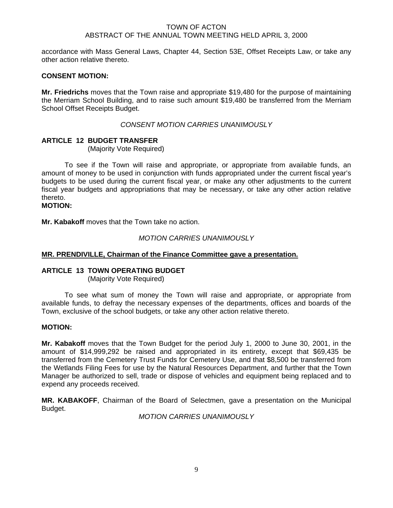accordance with Mass General Laws, Chapter 44, Section 53E, Offset Receipts Law, or take any other action relative thereto.

# **CONSENT MOTION:**

**Mr. Friedrichs** moves that the Town raise and appropriate \$19,480 for the purpose of maintaining the Merriam School Building, and to raise such amount \$19,480 be transferred from the Merriam School Offset Receipts Budget.

# *CONSENT MOTION CARRIES UNANIMOUSLY*

# **ARTICLE 12 BUDGET TRANSFER**

(Majority Vote Required)

 To see if the Town will raise and appropriate, or appropriate from available funds, an amount of money to be used in conjunction with funds appropriated under the current fiscal year's budgets to be used during the current fiscal year, or make any other adjustments to the current fiscal year budgets and appropriations that may be necessary, or take any other action relative thereto.

**MOTION:** 

**Mr. Kabakoff** moves that the Town take no action.

#### *MOTION CARRIES UNANIMOUSLY*

#### **MR. PRENDIVILLE, Chairman of the Finance Committee gave a presentation.**

#### **ARTICLE 13 TOWN OPERATING BUDGET**

(Majority Vote Required)

 To see what sum of money the Town will raise and appropriate, or appropriate from available funds, to defray the necessary expenses of the departments, offices and boards of the Town, exclusive of the school budgets, or take any other action relative thereto.

#### **MOTION:**

**Mr. Kabakoff** moves that the Town Budget for the period July 1, 2000 to June 30, 2001, in the amount of \$14,999,292 be raised and appropriated in its entirety, except that \$69,435 be transferred from the Cemetery Trust Funds for Cemetery Use, and that \$8,500 be transferred from the Wetlands Filing Fees for use by the Natural Resources Department, and further that the Town Manager be authorized to sell, trade or dispose of vehicles and equipment being replaced and to expend any proceeds received.

**MR. KABAKOFF**, Chairman of the Board of Selectmen, gave a presentation on the Municipal Budget.

*MOTION CARRIES UNANIMOUSLY*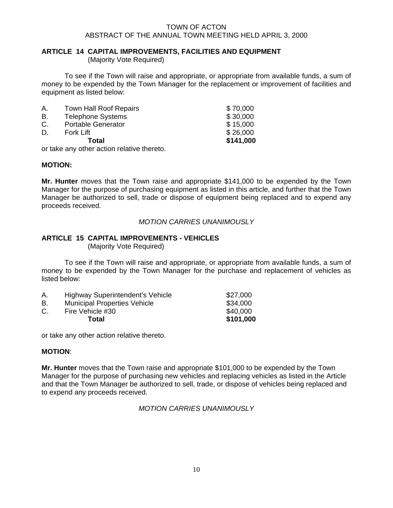# **ARTICLE 14 CAPITAL IMPROVEMENTS, FACILITIES AND EQUIPMENT**

(Majority Vote Required)

 To see if the Town will raise and appropriate, or appropriate from available funds, a sum of money to be expended by the Town Manager for the replacement or improvement of facilities and equipment as listed below:

|    | Total                         | \$141,000 |
|----|-------------------------------|-----------|
| D. | Fork Lift                     | \$26,000  |
| C. | <b>Portable Generator</b>     | \$15,000  |
| В. | <b>Telephone Systems</b>      | \$30,000  |
| Α. | <b>Town Hall Roof Repairs</b> | \$70,000  |

or take any other action relative thereto.

# **MOTION:**

**Mr. Hunter** moves that the Town raise and appropriate \$141,000 to be expended by the Town Manager for the purpose of purchasing equipment as listed in this article, and further that the Town Manager be authorized to sell, trade or dispose of equipment being replaced and to expend any proceeds received.

# *MOTION CARRIES UNANIMOUSLY*

# **ARTICLE 15 CAPITAL IMPROVEMENTS - VEHICLES**

(Majority Vote Required)

 To see if the Town will raise and appropriate, or appropriate from available funds, a sum of money to be expended by the Town Manager for the purchase and replacement of vehicles as listed below:

| Α. | Highway Superintendent's Vehicle    | \$27,000  |
|----|-------------------------------------|-----------|
| В. | <b>Municipal Properties Vehicle</b> | \$34,000  |
| C. | Fire Vehicle #30                    | \$40,000  |
|    | Total                               | \$101,000 |

or take any other action relative thereto.

# **MOTION**:

**Mr. Hunter** moves that the Town raise and appropriate \$101,000 to be expended by the Town Manager for the purpose of purchasing new vehicles and replacing vehicles as listed in the Article and that the Town Manager be authorized to sell, trade, or dispose of vehicles being replaced and to expend any proceeds received.

# *MOTION CARRIES UNANIMOUSLY*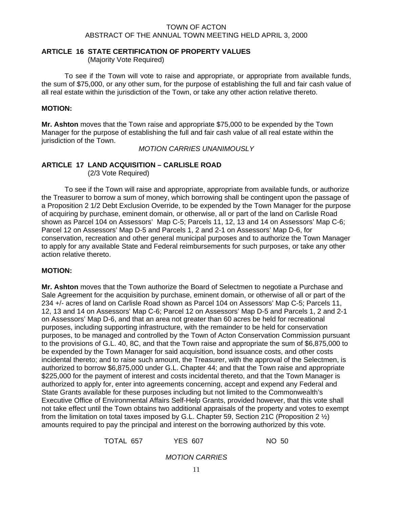# **ARTICLE 16 STATE CERTIFICATION OF PROPERTY VALUES**

(Majority Vote Required)

To see if the Town will vote to raise and appropriate, or appropriate from available funds, the sum of \$75,000, or any other sum, for the purpose of establishing the full and fair cash value of all real estate within the jurisdiction of the Town, or take any other action relative thereto.

# **MOTION:**

**Mr. Ashton** moves that the Town raise and appropriate \$75,000 to be expended by the Town Manager for the purpose of establishing the full and fair cash value of all real estate within the jurisdiction of the Town.

*MOTION CARRIES UNANIMOUSLY*

# **ARTICLE 17 LAND ACQUISITION – CARLISLE ROAD**

(2/3 Vote Required)

 To see if the Town will raise and appropriate, appropriate from available funds, or authorize the Treasurer to borrow a sum of money, which borrowing shall be contingent upon the passage of a Proposition 2 1/2 Debt Exclusion Override, to be expended by the Town Manager for the purpose of acquiring by purchase, eminent domain, or otherwise, all or part of the land on Carlisle Road shown as Parcel 104 on Assessors' Map C-5; Parcels 11, 12, 13 and 14 on Assessors' Map C-6; Parcel 12 on Assessors' Map D-5 and Parcels 1, 2 and 2-1 on Assessors' Map D-6, for conservation, recreation and other general municipal purposes and to authorize the Town Manager to apply for any available State and Federal reimbursements for such purposes, or take any other action relative thereto.

# **MOTION:**

**Mr. Ashton** moves that the Town authorize the Board of Selectmen to negotiate a Purchase and Sale Agreement for the acquisition by purchase, eminent domain, or otherwise of all or part of the 234 +/- acres of land on Carlisle Road shown as Parcel 104 on Assessors' Map C-5; Parcels 11, 12, 13 and 14 on Assessors' Map C-6; Parcel 12 on Assessors' Map D-5 and Parcels 1, 2 and 2-1 on Assessors' Map D-6, and that an area not greater than 60 acres be held for recreational purposes, including supporting infrastructure, with the remainder to be held for conservation purposes, to be managed and controlled by the Town of Acton Conservation Commission pursuant to the provisions of G.L. 40, 8C, and that the Town raise and appropriate the sum of \$6,875,000 to be expended by the Town Manager for said acquisition, bond issuance costs, and other costs incidental thereto; and to raise such amount, the Treasurer, with the approval of the Selectmen, is authorized to borrow \$6,875,000 under G.L. Chapter 44; and that the Town raise and appropriate \$225,000 for the payment of interest and costs incidental thereto, and that the Town Manager is authorized to apply for, enter into agreements concerning, accept and expend any Federal and State Grants available for these purposes including but not limited to the Commonwealth's Executive Office of Environmental Affairs Self-Help Grants, provided however, that this vote shall not take effect until the Town obtains two additional appraisals of the property and votes to exempt from the limitation on total taxes imposed by G.L. Chapter 59, Section 21C (Proposition 2  $\frac{1}{2}$ ) amounts required to pay the principal and interest on the borrowing authorized by this vote.

TOTAL 657 YES 607 NO 50

*MOTION CARRIES*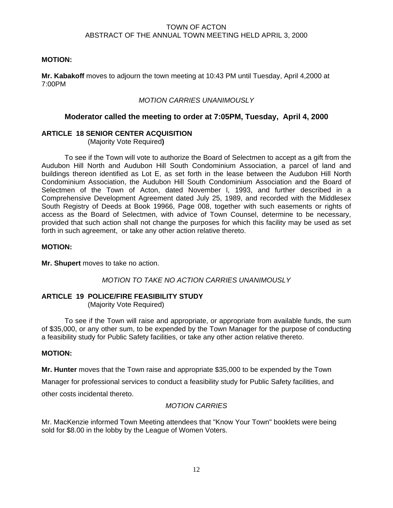# **MOTION:**

**Mr. Kabakoff** moves to adjourn the town meeting at 10:43 PM until Tuesday, April 4,2000 at 7:00PM

# *MOTION CARRIES UNANIMOUSLY*

# **Moderator called the meeting to order at 7:05PM, Tuesday, April 4, 2000**

# **ARTICLE 18 SENIOR CENTER ACQUISITION**

(Majority Vote Required**)**

 To see if the Town will vote to authorize the Board of Selectmen to accept as a gift from the Audubon Hill North and Audubon Hill South Condominium Association, a parcel of land and buildings thereon identified as Lot E, as set forth in the lease between the Audubon Hill North Condominium Association, the Audubon Hill South Condominium Association and the Board of Selectmen of the Town of Acton, dated November l, 1993, and further described in a Comprehensive Development Agreement dated July 25, 1989, and recorded with the Middlesex South Registry of Deeds at Book 19966, Page 008, together with such easements or rights of access as the Board of Selectmen, with advice of Town Counsel, determine to be necessary, provided that such action shall not change the purposes for which this facility may be used as set forth in such agreement, or take any other action relative thereto.

# **MOTION:**

**Mr. Shupert** moves to take no action.

# *MOTION TO TAKE NO ACTION CARRIES UNANIMOUSLY*

# **ARTICLE 19 POLICE/FIRE FEASIBILITY STUDY**

(Majority Vote Required)

 To see if the Town will raise and appropriate, or appropriate from available funds, the sum of \$35,000, or any other sum, to be expended by the Town Manager for the purpose of conducting a feasibility study for Public Safety facilities, or take any other action relative thereto.

# **MOTION:**

**Mr. Hunter** moves that the Town raise and appropriate \$35,000 to be expended by the Town

Manager for professional services to conduct a feasibility study for Public Safety facilities, and

other costs incidental thereto.

# *MOTION CARRIES*

Mr. MacKenzie informed Town Meeting attendees that "Know Your Town" booklets were being sold for \$8.00 in the lobby by the League of Women Voters.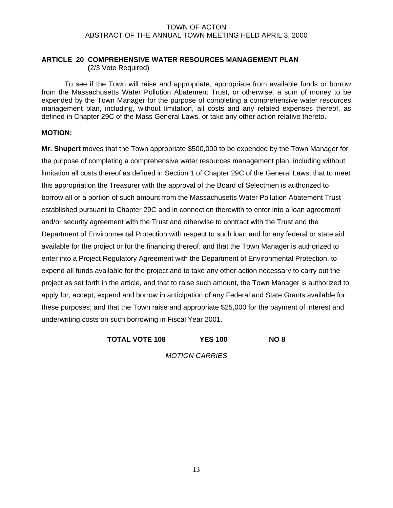# **ARTICLE 20 COMPREHENSIVE WATER RESOURCES MANAGEMENT PLAN (**2/3 Vote Required)

 To see if the Town will raise and appropriate, appropriate from available funds or borrow from the Massachusetts Water Pollution Abatement Trust, or otherwise, a sum of money to be expended by the Town Manager for the purpose of completing a comprehensive water resources management plan, including, without limitation, all costs and any related expenses thereof, as defined in Chapter 29C of the Mass General Laws, or take any other action relative thereto.

# **MOTION:**

**Mr. Shupert** moves that the Town appropriate \$500,000 to be expended by the Town Manager for the purpose of completing a comprehensive water resources management plan, including without limitation all costs thereof as defined in Section 1 of Chapter 29C of the General Laws; that to meet this appropriation the Treasurer with the approval of the Board of Selectmen is authorized to borrow all or a portion of such amount from the Massachusetts Water Pollution Abatement Trust established pursuant to Chapter 29C and in connection therewith to enter into a loan agreement and/or security agreement with the Trust and otherwise to contract with the Trust and the Department of Environmental Protection with respect to such loan and for any federal or state aid available for the project or for the financing thereof; and that the Town Manager is authorized to enter into a Project Regulatory Agreement with the Department of Environmental Protection, to expend all funds available for the project and to take any other action necessary to carry out the project as set forth in the article, and that to raise such amount, the Town Manager is authorized to apply for, accept, expend and borrow in anticipation of any Federal and State Grants available for these purposes; and that the Town raise and appropriate \$25,000 for the payment of interest and underwriting costs on such borrowing in Fiscal Year 2001.

# **TOTAL VOTE 108 YES 100 NO 8**

*MOTION CARRIES*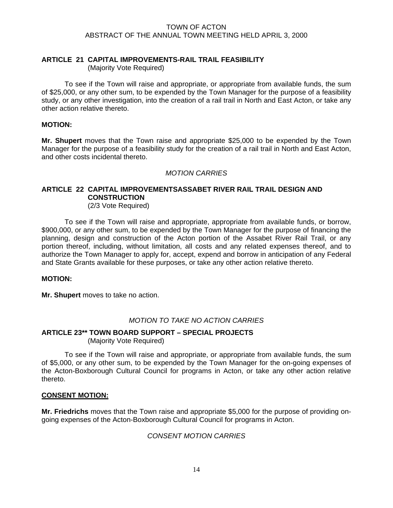# **ARTICLE 21 CAPITAL IMPROVEMENTS-RAIL TRAIL FEASIBILITY**

(Majority Vote Required)

 To see if the Town will raise and appropriate, or appropriate from available funds, the sum of \$25,000, or any other sum, to be expended by the Town Manager for the purpose of a feasibility study, or any other investigation, into the creation of a rail trail in North and East Acton, or take any other action relative thereto.

#### **MOTION:**

**Mr. Shupert** moves that the Town raise and appropriate \$25,000 to be expended by the Town Manager for the purpose of a feasibility study for the creation of a rail trail in North and East Acton, and other costs incidental thereto.

# *MOTION CARRIES*

# **ARTICLE 22 CAPITAL IMPROVEMENTSASSABET RIVER RAIL TRAIL DESIGN AND CONSTRUCTION**

(2/3 Vote Required)

To see if the Town will raise and appropriate, appropriate from available funds, or borrow, \$900,000, or any other sum, to be expended by the Town Manager for the purpose of financing the planning, design and construction of the Acton portion of the Assabet River Rail Trail, or any portion thereof, including, without limitation, all costs and any related expenses thereof, and to authorize the Town Manager to apply for, accept, expend and borrow in anticipation of any Federal and State Grants available for these purposes, or take any other action relative thereto.

#### **MOTION:**

**Mr. Shupert** moves to take no action.

# *MOTION TO TAKE NO ACTION CARRIES*

# **ARTICLE 23\*\* TOWN BOARD SUPPORT – SPECIAL PROJECTS** (Majority Vote Required)

 To see if the Town will raise and appropriate, or appropriate from available funds, the sum of \$5,000, or any other sum, to be expended by the Town Manager for the on-going expenses of the Acton-Boxborough Cultural Council for programs in Acton, or take any other action relative thereto.

# **CONSENT MOTION:**

**Mr. Friedrichs** moves that the Town raise and appropriate \$5,000 for the purpose of providing ongoing expenses of the Acton-Boxborough Cultural Council for programs in Acton.

# *CONSENT MOTION CARRIES*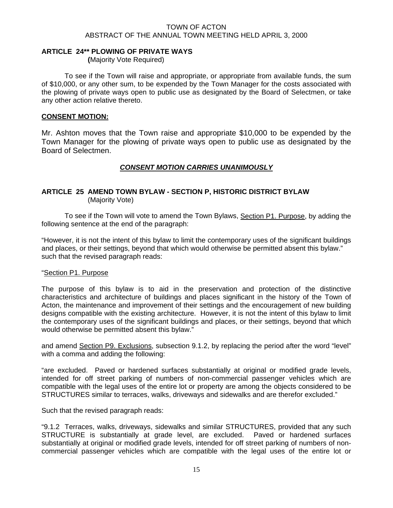# **ARTICLE 24\*\* PLOWING OF PRIVATE WAYS**

 **(**Majority Vote Required)

 To see if the Town will raise and appropriate, or appropriate from available funds, the sum of \$10,000, or any other sum, to be expended by the Town Manager for the costs associated with the plowing of private ways open to public use as designated by the Board of Selectmen, or take any other action relative thereto.

# **CONSENT MOTION:**

Mr. Ashton moves that the Town raise and appropriate \$10,000 to be expended by the Town Manager for the plowing of private ways open to public use as designated by the Board of Selectmen.

# *CONSENT MOTION CARRIES UNANIMOUSLY*

# **ARTICLE 25 AMEND TOWN BYLAW - SECTION P, HISTORIC DISTRICT BYLAW** (Majority Vote)

 To see if the Town will vote to amend the Town Bylaws, Section P1. Purpose, by adding the following sentence at the end of the paragraph:

"However, it is not the intent of this bylaw to limit the contemporary uses of the significant buildings and places, or their settings, beyond that which would otherwise be permitted absent this bylaw." such that the revised paragraph reads:

#### "Section P1. Purpose

The purpose of this bylaw is to aid in the preservation and protection of the distinctive characteristics and architecture of buildings and places significant in the history of the Town of Acton, the maintenance and improvement of their settings and the encouragement of new building designs compatible with the existing architecture. However, it is not the intent of this bylaw to limit the contemporary uses of the significant buildings and places, or their settings, beyond that which would otherwise be permitted absent this bylaw."

and amend Section P9. Exclusions, subsection 9.1.2, by replacing the period after the word "level" with a comma and adding the following:

"are excluded. Paved or hardened surfaces substantially at original or modified grade levels, intended for off street parking of numbers of non-commercial passenger vehicles which are compatible with the legal uses of the entire lot or property are among the objects considered to be STRUCTURES similar to terraces, walks, driveways and sidewalks and are therefor excluded."

Such that the revised paragraph reads:

"9.1.2 Terraces, walks, driveways, sidewalks and similar STRUCTURES, provided that any such STRUCTURE is substantially at grade level, are excluded. Paved or hardened surfaces substantially at original or modified grade levels, intended for off street parking of numbers of noncommercial passenger vehicles which are compatible with the legal uses of the entire lot or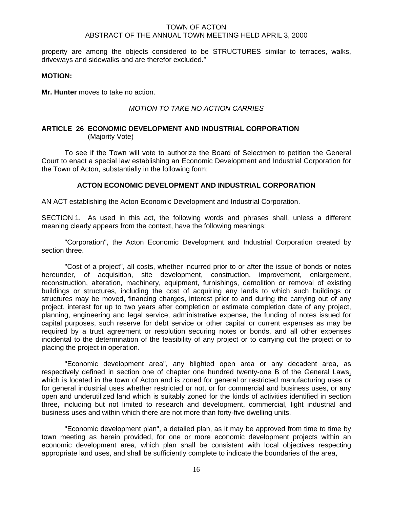property are among the objects considered to be STRUCTURES similar to terraces, walks, driveways and sidewalks and are therefor excluded."

#### **MOTION:**

**Mr. Hunter** moves to take no action.

# *MOTION TO TAKE NO ACTION CARRIES*

#### **ARTICLE 26 ECONOMIC DEVELOPMENT AND INDUSTRIAL CORPORATION**  (Majority Vote)

 To see if the Town will vote to authorize the Board of Selectmen to petition the General Court to enact a special law establishing an Economic Development and Industrial Corporation for the Town of Acton, substantially in the following form:

# **ACTON ECONOMIC DEVELOPMENT AND INDUSTRIAL CORPORATION**

AN ACT establishing the Acton Economic Development and Industrial Corporation.

SECTION 1. As used in this act, the following words and phrases shall, unless a different meaning clearly appears from the context, have the following meanings:

 "Corporation", the Acton Economic Development and Industrial Corporation created by section three.

 "Cost of a project", all costs, whether incurred prior to or after the issue of bonds or notes hereunder, of acquisition, site development, construction, improvement, enlargement, reconstruction, alteration, machinery, equipment, furnishings, demolition or removal of existing buildings or structures, including the cost of acquiring any lands to which such buildings or structures may be moved, financing charges, interest prior to and during the carrying out of any project, interest for up to two years after completion or estimate completion date of any project, planning, engineering and legal service, administrative expense, the funding of notes issued for capital purposes, such reserve for debt service or other capital or current expenses as may be required by a trust agreement or resolution securing notes or bonds, and all other expenses incidental to the determination of the feasibility of any project or to carrying out the project or to placing the project in operation.

 "Economic development area", any blighted open area or any decadent area, as respectively defined in section one of chapter one hundred twenty-one B of the General Laws, which is located in the town of Acton and is zoned for general or restricted manufacturing uses or for general industrial uses whether restricted or not, or for commercial and business uses, or any open and underutilized land which is suitably zoned for the kinds of activities identified in section three, including but not limited to research and development, commercial, light industrial and business uses and within which there are not more than forty-five dwelling units.

 "Economic development plan", a detailed plan, as it may be approved from time to time by town meeting as herein provided, for one or more economic development projects within an economic development area, which plan shall be consistent with local objectives respecting appropriate land uses, and shall be sufficiently complete to indicate the boundaries of the area,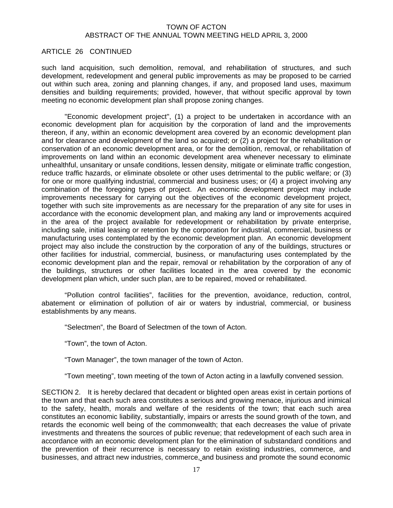### ARTICLE 26 CONTINUED

such land acquisition, such demolition, removal, and rehabilitation of structures, and such development, redevelopment and general public improvements as may be proposed to be carried out within such area, zoning and planning changes, if any, and proposed land uses, maximum densities and building requirements; provided, however, that without specific approval by town meeting no economic development plan shall propose zoning changes.

 "Economic development project", (1) a project to be undertaken in accordance with an economic development plan for acquisition by the corporation of land and the improvements thereon, if any, within an economic development area covered by an economic development plan and for clearance and development of the land so acquired; or (2) a project for the rehabilitation or conservation of an economic development area, or for the demolition, removal, or rehabilitation of improvements on land within an economic development area whenever necessary to eliminate unhealthful, unsanitary or unsafe conditions, lessen density, mitigate or eliminate traffic congestion, reduce traffic hazards, or eliminate obsolete or other uses detrimental to the public welfare; or (3) for one or more qualifying industrial, commercial and business uses; or (4) a project involving any combination of the foregoing types of project. An economic development project may include improvements necessary for carrying out the objectives of the economic development project, together with such site improvements as are necessary for the preparation of any site for uses in accordance with the economic development plan, and making any land or improvements acquired in the area of the project available for redevelopment or rehabilitation by private enterprise, including sale, initial leasing or retention by the corporation for industrial, commercial, business or manufacturing uses contemplated by the economic development plan. An economic development project may also include the construction by the corporation of any of the buildings, structures or other facilities for industrial, commercial, business, or manufacturing uses contemplated by the economic development plan and the repair, removal or rehabilitation by the corporation of any of the buildings, structures or other facilities located in the area covered by the economic development plan which, under such plan, are to be repaired, moved or rehabilitated.

 "Pollution control facilities", facilities for the prevention, avoidance, reduction, control, abatement or elimination of pollution of air or waters by industrial, commercial, or business establishments by any means.

"Selectmen", the Board of Selectmen of the town of Acton.

"Town", the town of Acton.

"Town Manager", the town manager of the town of Acton.

"Town meeting", town meeting of the town of Acton acting in a lawfully convened session.

SECTION 2. It is hereby declared that decadent or blighted open areas exist in certain portions of the town and that each such area constitutes a serious and growing menace, injurious and inimical to the safety, health, morals and welfare of the residents of the town; that each such area constitutes an economic liability, substantially, impairs or arrests the sound growth of the town, and retards the economic well being of the commonwealth; that each decreases the value of private investments and threatens the sources of public revenue; that redevelopment of each such area in accordance with an economic development plan for the elimination of substandard conditions and the prevention of their recurrence is necessary to retain existing industries, commerce, and businesses, and attract new industries, commerce, and business and promote the sound economic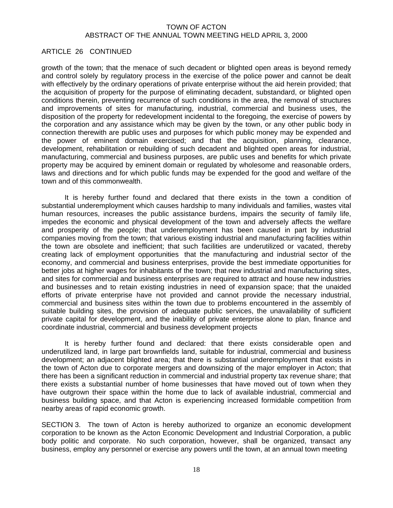# ARTICLE 26 CONTINUED

growth of the town; that the menace of such decadent or blighted open areas is beyond remedy and control solely by regulatory process in the exercise of the police power and cannot be dealt with effectively by the ordinary operations of private enterprise without the aid herein provided; that the acquisition of property for the purpose of eliminating decadent, substandard, or blighted open conditions therein, preventing recurrence of such conditions in the area, the removal of structures and improvements of sites for manufacturing, industrial, commercial and business uses, the disposition of the property for redevelopment incidental to the foregoing, the exercise of powers by the corporation and any assistance which may be given by the town, or any other public body in connection therewith are public uses and purposes for which public money may be expended and the power of eminent domain exercised; and that the acquisition, planning, clearance, development, rehabilitation or rebuilding of such decadent and blighted open areas for industrial, manufacturing, commercial and business purposes, are public uses and benefits for which private property may be acquired by eminent domain or regulated by wholesome and reasonable orders, laws and directions and for which public funds may be expended for the good and welfare of the town and of this commonwealth.

 It is hereby further found and declared that there exists in the town a condition of substantial underemployment which causes hardship to many individuals and families, wastes vital human resources, increases the public assistance burdens, impairs the security of family life, impedes the economic and physical development of the town and adversely affects the welfare and prosperity of the people; that underemployment has been caused in part by industrial companies moving from the town; that various existing industrial and manufacturing facilities within the town are obsolete and inefficient; that such facilities are underutilized or vacated, thereby creating lack of employment opportunities that the manufacturing and industrial sector of the economy, and commercial and business enterprises, provide the best immediate opportunities for better jobs at higher wages for inhabitants of the town; that new industrial and manufacturing sites, and sites for commercial and business enterprises are required to attract and house new industries and businesses and to retain existing industries in need of expansion space; that the unaided efforts of private enterprise have not provided and cannot provide the necessary industrial, commercial and business sites within the town due to problems encountered in the assembly of suitable building sites, the provision of adequate public services, the unavailability of sufficient private capital for development, and the inability of private enterprise alone to plan, finance and coordinate industrial, commercial and business development projects

 It is hereby further found and declared: that there exists considerable open and underutilized land, in large part brownfields land, suitable for industrial, commercial and business development; an adjacent blighted area; that there is substantial underemployment that exists in the town of Acton due to corporate mergers and downsizing of the major employer in Acton; that there has been a significant reduction in commercial and industrial property tax revenue share; that there exists a substantial number of home businesses that have moved out of town when they have outgrown their space within the home due to lack of available industrial, commercial and business building space, and that Acton is experiencing increased formidable competition from nearby areas of rapid economic growth.

SECTION 3. The town of Acton is hereby authorized to organize an economic development corporation to be known as the Acton Economic Development and Industrial Corporation, a public body politic and corporate. No such corporation, however, shall be organized, transact any business, employ any personnel or exercise any powers until the town, at an annual town meeting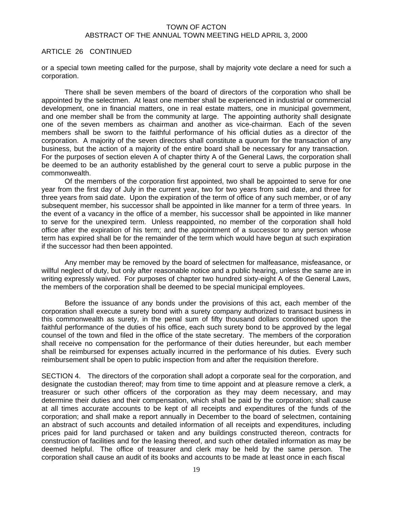#### ARTICLE 26 CONTINUED

or a special town meeting called for the purpose, shall by majority vote declare a need for such a corporation.

 There shall be seven members of the board of directors of the corporation who shall be appointed by the selectmen. At least one member shall be experienced in industrial or commercial development, one in financial matters, one in real estate matters, one in municipal government, and one member shall be from the community at large. The appointing authority shall designate one of the seven members as chairman and another as vice-chairman. Each of the seven members shall be sworn to the faithful performance of his official duties as a director of the corporation. A majority of the seven directors shall constitute a quorum for the transaction of any business, but the action of a majority of the entire board shall be necessary for any transaction. For the purposes of section eleven A of chapter thirty A of the General Laws, the corporation shall be deemed to be an authority established by the general court to serve a public purpose in the commonwealth.

 Of the members of the corporation first appointed, two shall be appointed to serve for one year from the first day of July in the current year, two for two years from said date, and three for three years from said date. Upon the expiration of the term of office of any such member, or of any subsequent member, his successor shall be appointed in like manner for a term of three years. In the event of a vacancy in the office of a member, his successor shall be appointed in like manner to serve for the unexpired term. Unless reappointed, no member of the corporation shall hold office after the expiration of his term; and the appointment of a successor to any person whose term has expired shall be for the remainder of the term which would have begun at such expiration if the successor had then been appointed.

 Any member may be removed by the board of selectmen for malfeasance, misfeasance, or willful neglect of duty, but only after reasonable notice and a public hearing, unless the same are in writing expressly waived. For purposes of chapter two hundred sixty-eight A of the General Laws, the members of the corporation shall be deemed to be special municipal employees.

 Before the issuance of any bonds under the provisions of this act, each member of the corporation shall execute a surety bond with a surety company authorized to transact business in this commonwealth as surety, in the penal sum of fifty thousand dollars conditioned upon the faithful performance of the duties of his office, each such surety bond to be approved by the legal counsel of the town and filed in the office of the state secretary. The members of the corporation shall receive no compensation for the performance of their duties hereunder, but each member shall be reimbursed for expenses actually incurred in the performance of his duties. Every such reimbursement shall be open to public inspection from and after the requisition therefore.

SECTION 4. The directors of the corporation shall adopt a corporate seal for the corporation, and designate the custodian thereof; may from time to time appoint and at pleasure remove a clerk, a treasurer or such other officers of the corporation as they may deem necessary, and may determine their duties and their compensation, which shall be paid by the corporation; shall cause at all times accurate accounts to be kept of all receipts and expenditures of the funds of the corporation; and shall make a report annually in December to the board of selectmen, containing an abstract of such accounts and detailed information of all receipts and expenditures, including prices paid for land purchased or taken and any buildings constructed thereon, contracts for construction of facilities and for the leasing thereof, and such other detailed information as may be deemed helpful. The office of treasurer and clerk may be held by the same person. The corporation shall cause an audit of its books and accounts to be made at least once in each fiscal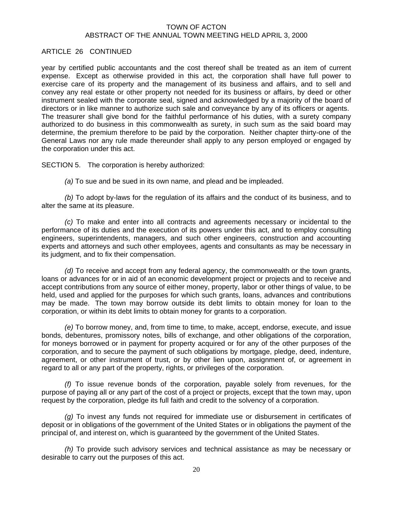# ARTICLE 26 CONTINUED

year by certified public accountants and the cost thereof shall be treated as an item of current expense. Except as otherwise provided in this act, the corporation shall have full power to exercise care of its property and the management of its business and affairs, and to sell and convey any real estate or other property not needed for its business or affairs, by deed or other instrument sealed with the corporate seal, signed and acknowledged by a majority of the board of directors or in like manner to authorize such sale and conveyance by any of its officers or agents. The treasurer shall give bond for the faithful performance of his duties, with a surety company authorized to do business in this commonwealth as surety, in such sum as the said board may determine, the premium therefore to be paid by the corporation. Neither chapter thirty-one of the General Laws nor any rule made thereunder shall apply to any person employed or engaged by the corporation under this act.

SECTION 5. The corporation is hereby authorized:

*(a)* To sue and be sued in its own name, and plead and be impleaded.

*(b)* To adopt by-laws for the regulation of its affairs and the conduct of its business, and to alter the same at its pleasure.

*(c)* To make and enter into all contracts and agreements necessary or incidental to the performance of its duties and the execution of its powers under this act, and to employ consulting engineers, superintendents, managers, and such other engineers, construction and accounting experts and attorneys and such other employees, agents and consultants as may be necessary in its judgment, and to fix their compensation.

*(d)* To receive and accept from any federal agency, the commonwealth or the town grants, loans or advances for or in aid of an economic development project or projects and to receive and accept contributions from any source of either money, property, labor or other things of value, to be held, used and applied for the purposes for which such grants, loans, advances and contributions may be made. The town may borrow outside its debt limits to obtain money for loan to the corporation, or within its debt limits to obtain money for grants to a corporation.

*(e)* To borrow money, and, from time to time, to make, accept, endorse, execute, and issue bonds, debentures, promissory notes, bills of exchange, and other obligations of the corporation, for moneys borrowed or in payment for property acquired or for any of the other purposes of the corporation, and to secure the payment of such obligations by mortgage, pledge, deed, indenture, agreement, or other instrument of trust, or by other lien upon, assignment of, or agreement in regard to all or any part of the property, rights, or privileges of the corporation.

*(f)* To issue revenue bonds of the corporation, payable solely from revenues, for the purpose of paying all or any part of the cost of a project or projects, except that the town may, upon request by the corporation, pledge its full faith and credit to the solvency of a corporation.

*(g)* To invest any funds not required for immediate use or disbursement in certificates of deposit or in obligations of the government of the United States or in obligations the payment of the principal of, and interest on, which is guaranteed by the government of the United States.

 *(h)* To provide such advisory services and technical assistance as may be necessary or desirable to carry out the purposes of this act.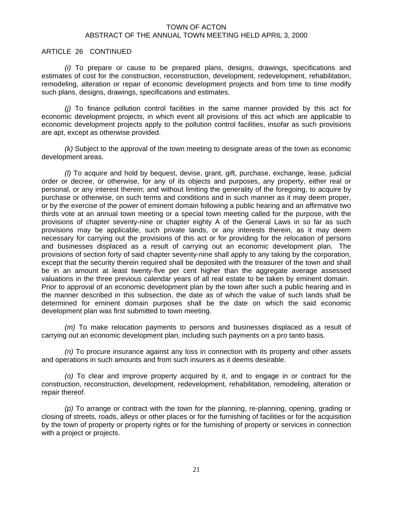#### ARTICLE 26 CONTINUED

*(i)* To prepare or cause to be prepared plans, designs, drawings, specifications and estimates of cost for the construction, reconstruction, development, redevelopment, rehabilitation, remodeling, alteration or repair of economic development projects and from time to time modify such plans, designs, drawings, specifications and estimates.

*(j)* To finance pollution control facilities in the same manner provided by this act for economic development projects, in which event all provisions of this act which are applicable to economic development projects apply to the pollution control facilities, insofar as such provisions are apt, except as otherwise provided.

*(k)* Subject to the approval of the town meeting to designate areas of the town as economic development areas.

*(l)* To acquire and hold by bequest, devise, grant, gift, purchase, exchange, lease, judicial order or decree, or otherwise, for any of its objects and purposes, any property, either real or personal, or any interest therein; and without limiting the generality of the foregoing, to acquire by purchase or otherwise, on such terms and conditions and in such manner as it may deem proper, or by the exercise of the power of eminent domain following a public hearing and an affirmative two thirds vote at an annual town meeting or a special town meeting called for the purpose, with the provisions of chapter seventy-nine or chapter eighty A of the General Laws in so far as such provisions may be applicable, such private lands, or any interests therein, as it may deem necessary for carrying out the provisions of this act or for providing for the relocation of persons and businesses displaced as a result of carrying out an economic development plan. The provisions of section forty of said chapter seventy-nine shall apply to any taking by the corporation, except that the security therein required shall be deposited with the treasurer of the town and shall be in an amount at least twenty-five per cent higher than the aggregate average assessed valuations in the three previous calendar years of all real estate to be taken by eminent domain. Prior to approval of an economic development plan by the town after such a public hearing and in the manner described in this subsection, the date as of which the value of such lands shall be determined for eminent domain purposes shall be the date on which the said economic development plan was first submitted to town meeting.

*(m)* To make relocation payments to persons and businesses displaced as a result of carrying out an economic development plan, including such payments on a pro tanto basis.

*(n)* To procure insurance against any loss in connection with its property and other assets and operations in such amounts and from such insurers as it deems desirable.

*(o)* To clear and improve property acquired by it, and to engage in or contract for the construction, reconstruction, development, redevelopment, rehabilitation, remodeling, alteration or repair thereof.

*(p)* To arrange or contract with the town for the planning, re-planning, opening, grading or closing of streets, roads, alleys or other places or for the furnishing of facilities or for the acquisition by the town of property or property rights or for the furnishing of property or services in connection with a project or projects.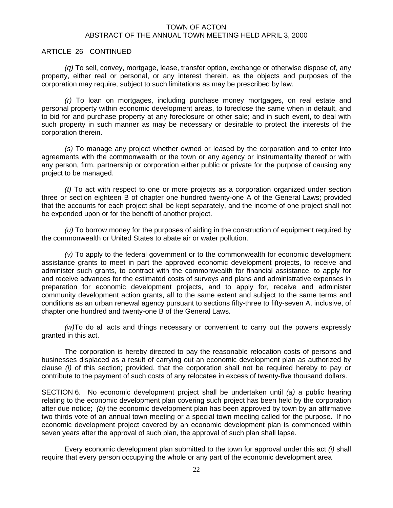#### ARTICLE 26 CONTINUED

*(q)* To sell, convey, mortgage, lease, transfer option, exchange or otherwise dispose of, any property, either real or personal, or any interest therein, as the objects and purposes of the corporation may require, subject to such limitations as may be prescribed by law.

*(r)* To loan on mortgages, including purchase money mortgages, on real estate and personal property within economic development areas, to foreclose the same when in default, and to bid for and purchase property at any foreclosure or other sale; and in such event, to deal with such property in such manner as may be necessary or desirable to protect the interests of the corporation therein.

*(s)* To manage any project whether owned or leased by the corporation and to enter into agreements with the commonwealth or the town or any agency or instrumentality thereof or with any person, firm, partnership or corporation either public or private for the purpose of causing any project to be managed.

*(t)* To act with respect to one or more projects as a corporation organized under section three or section eighteen B of chapter one hundred twenty-one A of the General Laws; provided that the accounts for each project shall be kept separately, and the income of one project shall not be expended upon or for the benefit of another project.

*(u)* To borrow money for the purposes of aiding in the construction of equipment required by the commonwealth or United States to abate air or water pollution.

*(v)* To apply to the federal government or to the commonwealth for economic development assistance grants to meet in part the approved economic development projects, to receive and administer such grants, to contract with the commonwealth for financial assistance, to apply for and receive advances for the estimated costs of surveys and plans and administrative expenses in preparation for economic development projects, and to apply for, receive and administer community development action grants, all to the same extent and subject to the same terms and conditions as an urban renewal agency pursuant to sections fifty-three to fifty-seven A, inclusive, of chapter one hundred and twenty-one B of the General Laws.

 *(w)*To do all acts and things necessary or convenient to carry out the powers expressly granted in this act.

 The corporation is hereby directed to pay the reasonable relocation costs of persons and businesses displaced as a result of carrying out an economic development plan as authorized by clause *(l)* of this section; provided, that the corporation shall not be required hereby to pay or contribute to the payment of such costs of any relocatee in excess of twenty-five thousand dollars.

SECTION 6. No economic development project shall be undertaken until *(a)* a public hearing relating to the economic development plan covering such project has been held by the corporation after due notice; *(b)* the economic development plan has been approved by town by an affirmative two thirds vote of an annual town meeting or a special town meeting called for the purpose. If no economic development project covered by an economic development plan is commenced within seven years after the approval of such plan, the approval of such plan shall lapse.

 Every economic development plan submitted to the town for approval under this act *(i)* shall require that every person occupying the whole or any part of the economic development area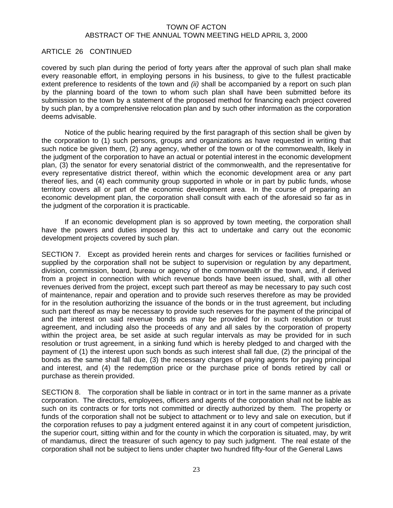# ARTICLE 26 CONTINUED

covered by such plan during the period of forty years after the approval of such plan shall make every reasonable effort, in employing persons in his business, to give to the fullest practicable extent preference to residents of the town and *(ii)* shall be accompanied by a report on such plan by the planning board of the town to whom such plan shall have been submitted before its submission to the town by a statement of the proposed method for financing each project covered by such plan, by a comprehensive relocation plan and by such other information as the corporation deems advisable.

 Notice of the public hearing required by the first paragraph of this section shall be given by the corporation to (1) such persons, groups and organizations as have requested in writing that such notice be given them, (2) any agency, whether of the town or of the commonwealth, likely in the judgment of the corporation to have an actual or potential interest in the economic development plan, (3) the senator for every senatorial district of the commonwealth, and the representative for every representative district thereof, within which the economic development area or any part thereof lies, and (4) each community group supported in whole or in part by public funds, whose territory covers all or part of the economic development area. In the course of preparing an economic development plan, the corporation shall consult with each of the aforesaid so far as in the judgment of the corporation it is practicable.

 If an economic development plan is so approved by town meeting, the corporation shall have the powers and duties imposed by this act to undertake and carry out the economic development projects covered by such plan.

SECTION 7. Except as provided herein rents and charges for services or facilities furnished or supplied by the corporation shall not be subject to supervision or regulation by any department, division, commission, board, bureau or agency of the commonwealth or the town, and, if derived from a project in connection with which revenue bonds have been issued, shall, with all other revenues derived from the project, except such part thereof as may be necessary to pay such cost of maintenance, repair and operation and to provide such reserves therefore as may be provided for in the resolution authorizing the issuance of the bonds or in the trust agreement, but including such part thereof as may be necessary to provide such reserves for the payment of the principal of and the interest on said revenue bonds as may be provided for in such resolution or trust agreement, and including also the proceeds of any and all sales by the corporation of property within the project area, be set aside at such regular intervals as may be provided for in such resolution or trust agreement, in a sinking fund which is hereby pledged to and charged with the payment of (1) the interest upon such bonds as such interest shall fall due, (2) the principal of the bonds as the same shall fall due, (3) the necessary charges of paying agents for paying principal and interest, and (4) the redemption price or the purchase price of bonds retired by call or purchase as therein provided.

SECTION 8. The corporation shall be liable in contract or in tort in the same manner as a private corporation. The directors, employees, officers and agents of the corporation shall not be liable as such on its contracts or for torts not committed or directly authorized by them. The property or funds of the corporation shall not be subject to attachment or to levy and sale on execution, but if the corporation refuses to pay a judgment entered against it in any court of competent jurisdiction, the superior court, sitting within and for the county in which the corporation is situated, may, by writ of mandamus, direct the treasurer of such agency to pay such judgment. The real estate of the corporation shall not be subject to liens under chapter two hundred fifty-four of the General Laws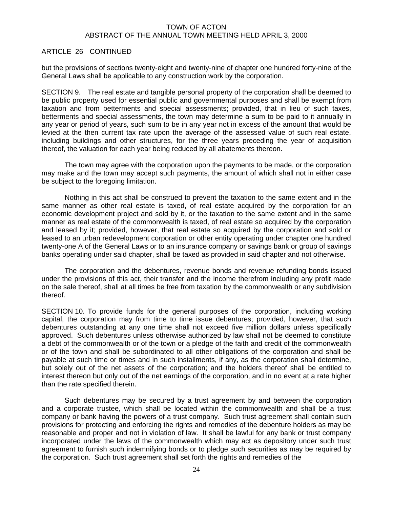# ARTICLE 26 CONTINUED

but the provisions of sections twenty-eight and twenty-nine of chapter one hundred forty-nine of the General Laws shall be applicable to any construction work by the corporation.

SECTION 9. The real estate and tangible personal property of the corporation shall be deemed to be public property used for essential public and governmental purposes and shall be exempt from taxation and from betterments and special assessments; provided, that in lieu of such taxes, betterments and special assessments, the town may determine a sum to be paid to it annually in any year or period of years, such sum to be in any year not in excess of the amount that would be levied at the then current tax rate upon the average of the assessed value of such real estate, including buildings and other structures, for the three years preceding the year of acquisition thereof, the valuation for each year being reduced by all abatements thereon.

 The town may agree with the corporation upon the payments to be made, or the corporation may make and the town may accept such payments, the amount of which shall not in either case be subject to the foregoing limitation.

 Nothing in this act shall be construed to prevent the taxation to the same extent and in the same manner as other real estate is taxed, of real estate acquired by the corporation for an economic development project and sold by it, or the taxation to the same extent and in the same manner as real estate of the commonwealth is taxed, of real estate so acquired by the corporation and leased by it; provided, however, that real estate so acquired by the corporation and sold or leased to an urban redevelopment corporation or other entity operating under chapter one hundred twenty-one A of the General Laws or to an insurance company or savings bank or group of savings banks operating under said chapter, shall be taxed as provided in said chapter and not otherwise.

 The corporation and the debentures, revenue bonds and revenue refunding bonds issued under the provisions of this act, their transfer and the income therefrom including any profit made on the sale thereof, shall at all times be free from taxation by the commonwealth or any subdivision thereof.

SECTION 10. To provide funds for the general purposes of the corporation, including working capital, the corporation may from time to time issue debentures; provided, however, that such debentures outstanding at any one time shall not exceed five million dollars unless specifically approved. Such debentures unless otherwise authorized by law shall not be deemed to constitute a debt of the commonwealth or of the town or a pledge of the faith and credit of the commonwealth or of the town and shall be subordinated to all other obligations of the corporation and shall be payable at such time or times and in such installments, if any, as the corporation shall determine, but solely out of the net assets of the corporation; and the holders thereof shall be entitled to interest thereon but only out of the net earnings of the corporation, and in no event at a rate higher than the rate specified therein.

 Such debentures may be secured by a trust agreement by and between the corporation and a corporate trustee, which shall be located within the commonwealth and shall be a trust company or bank having the powers of a trust company. Such trust agreement shall contain such provisions for protecting and enforcing the rights and remedies of the debenture holders as may be reasonable and proper and not in violation of law. It shall be lawful for any bank or trust company incorporated under the laws of the commonwealth which may act as depository under such trust agreement to furnish such indemnifying bonds or to pledge such securities as may be required by the corporation. Such trust agreement shall set forth the rights and remedies of the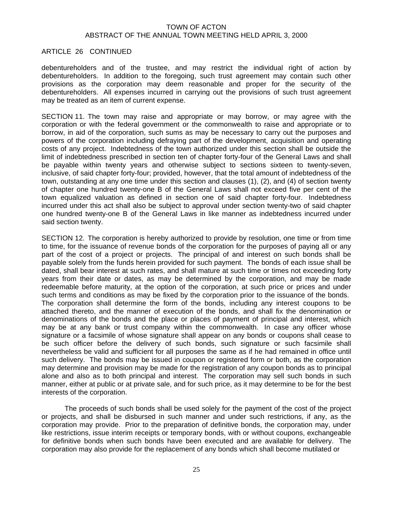#### ARTICLE 26 CONTINUED

debentureholders and of the trustee, and may restrict the individual right of action by debentureholders. In addition to the foregoing, such trust agreement may contain such other provisions as the corporation may deem reasonable and proper for the security of the debentureholders. All expenses incurred in carrying out the provisions of such trust agreement may be treated as an item of current expense.

SECTION 11. The town may raise and appropriate or may borrow, or may agree with the corporation or with the federal government or the commonwealth to raise and appropriate or to borrow, in aid of the corporation, such sums as may be necessary to carry out the purposes and powers of the corporation including defraying part of the development, acquisition and operating costs of any project. Indebtedness of the town authorized under this section shall be outside the limit of indebtedness prescribed in section ten of chapter forty-four of the General Laws and shall be payable within twenty years and otherwise subject to sections sixteen to twenty-seven, inclusive, of said chapter forty-four; provided, however, that the total amount of indebtedness of the town, outstanding at any one time under this section and clauses (1), (2), and (4) of section twenty of chapter one hundred twenty-one B of the General Laws shall not exceed five per cent of the town equalized valuation as defined in section one of said chapter forty-four. Indebtedness incurred under this act shall also be subject to approval under section twenty-two of said chapter one hundred twenty-one B of the General Laws in like manner as indebtedness incurred under said section twenty.

SECTION 12. The corporation is hereby authorized to provide by resolution, one time or from time to time, for the issuance of revenue bonds of the corporation for the purposes of paying all or any part of the cost of a project or projects. The principal of and interest on such bonds shall be payable solely from the funds herein provided for such payment. The bonds of each issue shall be dated, shall bear interest at such rates, and shall mature at such time or times not exceeding forty years from their date or dates, as may be determined by the corporation, and may be made redeemable before maturity, at the option of the corporation, at such price or prices and under such terms and conditions as may be fixed by the corporation prior to the issuance of the bonds. The corporation shall determine the form of the bonds, including any interest coupons to be attached thereto, and the manner of execution of the bonds, and shall fix the denomination or denominations of the bonds and the place or places of payment of principal and interest, which may be at any bank or trust company within the commonwealth. In case any officer whose signature or a facsimile of whose signature shall appear on any bonds or coupons shall cease to be such officer before the delivery of such bonds, such signature or such facsimile shall nevertheless be valid and sufficient for all purposes the same as if he had remained in office until such delivery. The bonds may be issued in coupon or registered form or both, as the corporation may determine and provision may be made for the registration of any coupon bonds as to principal alone and also as to both principal and interest. The corporation may sell such bonds in such manner, either at public or at private sale, and for such price, as it may determine to be for the best interests of the corporation.

 The proceeds of such bonds shall be used solely for the payment of the cost of the project or projects, and shall be disbursed in such manner and under such restrictions, if any, as the corporation may provide. Prior to the preparation of definitive bonds, the corporation may, under like restrictions, issue interim receipts or temporary bonds, with or without coupons, exchangeable for definitive bonds when such bonds have been executed and are available for delivery. The corporation may also provide for the replacement of any bonds which shall become mutilated or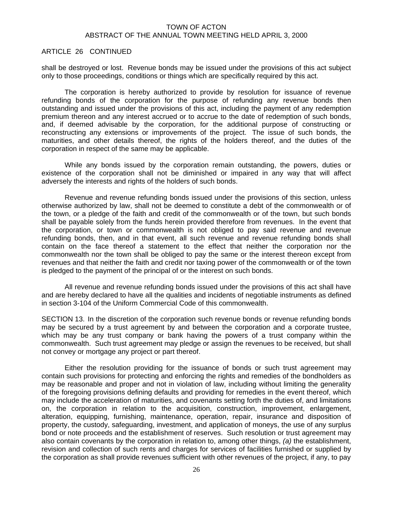#### ARTICLE 26 CONTINUED

shall be destroyed or lost. Revenue bonds may be issued under the provisions of this act subject only to those proceedings, conditions or things which are specifically required by this act.

 The corporation is hereby authorized to provide by resolution for issuance of revenue refunding bonds of the corporation for the purpose of refunding any revenue bonds then outstanding and issued under the provisions of this act, including the payment of any redemption premium thereon and any interest accrued or to accrue to the date of redemption of such bonds, and, if deemed advisable by the corporation, for the additional purpose of constructing or reconstructing any extensions or improvements of the project. The issue of such bonds, the maturities, and other details thereof, the rights of the holders thereof, and the duties of the corporation in respect of the same may be applicable.

 While any bonds issued by the corporation remain outstanding, the powers, duties or existence of the corporation shall not be diminished or impaired in any way that will affect adversely the interests and rights of the holders of such bonds.

 Revenue and revenue refunding bonds issued under the provisions of this section, unless otherwise authorized by law, shall not be deemed to constitute a debt of the commonwealth or of the town, or a pledge of the faith and credit of the commonwealth or of the town, but such bonds shall be payable solely from the funds herein provided therefore from revenues. In the event that the corporation, or town or commonwealth is not obliged to pay said revenue and revenue refunding bonds, then, and in that event, all such revenue and revenue refunding bonds shall contain on the face thereof a statement to the effect that neither the corporation nor the commonwealth nor the town shall be obliged to pay the same or the interest thereon except from revenues and that neither the faith and credit nor taxing power of the commonwealth or of the town is pledged to the payment of the principal of or the interest on such bonds.

 All revenue and revenue refunding bonds issued under the provisions of this act shall have and are hereby declared to have all the qualities and incidents of negotiable instruments as defined in section 3-104 of the Uniform Commercial Code of this commonwealth.

SECTION 13. In the discretion of the corporation such revenue bonds or revenue refunding bonds may be secured by a trust agreement by and between the corporation and a corporate trustee, which may be any trust company or bank having the powers of a trust company within the commonwealth. Such trust agreement may pledge or assign the revenues to be received, but shall not convey or mortgage any project or part thereof.

 Either the resolution providing for the issuance of bonds or such trust agreement may contain such provisions for protecting and enforcing the rights and remedies of the bondholders as may be reasonable and proper and not in violation of law, including without limiting the generality of the foregoing provisions defining defaults and providing for remedies in the event thereof, which may include the acceleration of maturities, and covenants setting forth the duties of, and limitations on, the corporation in relation to the acquisition, construction, improvement, enlargement, alteration, equipping, furnishing, maintenance, operation, repair, insurance and disposition of property, the custody, safeguarding, investment, and application of moneys, the use of any surplus bond or note proceeds and the establishment of reserves. Such resolution or trust agreement may also contain covenants by the corporation in relation to, among other things, *(a)* the establishment, revision and collection of such rents and charges for services of facilities furnished or supplied by the corporation as shall provide revenues sufficient with other revenues of the project, if any, to pay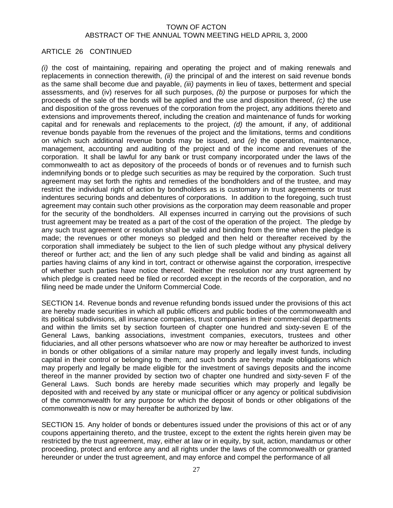# ARTICLE 26 CONTINUED

*(i)* the cost of maintaining, repairing and operating the project and of making renewals and replacements in connection therewith, *(ii)* the principal of and the interest on said revenue bonds as the same shall become due and payable, *(iii)* payments in lieu of taxes, betterment and special assessments, and (iv) reserves for all such purposes, *(b)* the purpose or purposes for which the proceeds of the sale of the bonds will be applied and the use and disposition thereof, *(c)* the use and disposition of the gross revenues of the corporation from the project, any additions thereto and extensions and improvements thereof, including the creation and maintenance of funds for working capital and for renewals and replacements to the project, *(d)* the amount, if any, of additional revenue bonds payable from the revenues of the project and the limitations, terms and conditions on which such additional revenue bonds may be issued, and *(e)* the operation, maintenance, management, accounting and auditing of the project and of the income and revenues of the corporation. It shall be lawful for any bank or trust company incorporated under the laws of the commonwealth to act as depository of the proceeds of bonds or of revenues and to furnish such indemnifying bonds or to pledge such securities as may be required by the corporation. Such trust agreement may set forth the rights and remedies of the bondholders and of the trustee, and may restrict the individual right of action by bondholders as is customary in trust agreements or trust indentures securing bonds and debentures of corporations. In addition to the foregoing, such trust agreement may contain such other provisions as the corporation may deem reasonable and proper for the security of the bondholders. All expenses incurred in carrying out the provisions of such trust agreement may be treated as a part of the cost of the operation of the project. The pledge by any such trust agreement or resolution shall be valid and binding from the time when the pledge is made; the revenues or other moneys so pledged and then held or thereafter received by the corporation shall immediately be subject to the lien of such pledge without any physical delivery thereof or further act; and the lien of any such pledge shall be valid and binding as against all parties having claims of any kind in tort, contract or otherwise against the corporation, irrespective of whether such parties have notice thereof. Neither the resolution nor any trust agreement by which pledge is created need be filed or recorded except in the records of the corporation, and no filing need be made under the Uniform Commercial Code.

SECTION 14. Revenue bonds and revenue refunding bonds issued under the provisions of this act are hereby made securities in which all public officers and public bodies of the commonwealth and its political subdivisions, all insurance companies, trust companies in their commercial departments and within the limits set by section fourteen of chapter one hundred and sixty-seven E of the General Laws, banking associations, investment companies, executors, trustees and other fiduciaries, and all other persons whatsoever who are now or may hereafter be authorized to invest in bonds or other obligations of a similar nature may properly and legally invest funds, including capital in their control or belonging to them; and such bonds are hereby made obligations which may properly and legally be made eligible for the investment of savings deposits and the income thereof in the manner provided by section two of chapter one hundred and sixty-seven F of the General Laws. Such bonds are hereby made securities which may properly and legally be deposited with and received by any state or municipal officer or any agency or political subdivision of the commonwealth for any purpose for which the deposit of bonds or other obligations of the commonwealth is now or may hereafter be authorized by law.

SECTION 15. Any holder of bonds or debentures issued under the provisions of this act or of any coupons appertaining thereto, and the trustee, except to the extent the rights herein given may be restricted by the trust agreement, may, either at law or in equity, by suit, action, mandamus or other proceeding, protect and enforce any and all rights under the laws of the commonwealth or granted hereunder or under the trust agreement, and may enforce and compel the performance of all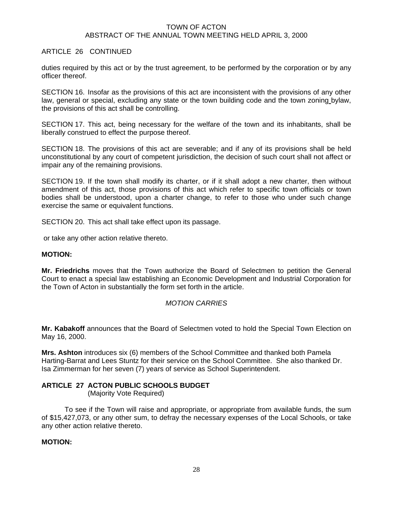# ARTICLE 26 CONTINUED

duties required by this act or by the trust agreement, to be performed by the corporation or by any officer thereof.

SECTION 16. Insofar as the provisions of this act are inconsistent with the provisions of any other law, general or special, excluding any state or the town building code and the town zoning bylaw, the provisions of this act shall be controlling.

SECTION 17. This act, being necessary for the welfare of the town and its inhabitants, shall be liberally construed to effect the purpose thereof.

SECTION 18. The provisions of this act are severable; and if any of its provisions shall be held unconstitutional by any court of competent jurisdiction, the decision of such court shall not affect or impair any of the remaining provisions.

SECTION 19. If the town shall modify its charter, or if it shall adopt a new charter, then without amendment of this act, those provisions of this act which refer to specific town officials or town bodies shall be understood, upon a charter change, to refer to those who under such change exercise the same or equivalent functions.

SECTION 20. This act shall take effect upon its passage.

or take any other action relative thereto.

# **MOTION:**

**Mr. Friedrichs** moves that the Town authorize the Board of Selectmen to petition the General Court to enact a special law establishing an Economic Development and Industrial Corporation for the Town of Acton in substantially the form set forth in the article.

# *MOTION CARRIES*

**Mr. Kabakoff** announces that the Board of Selectmen voted to hold the Special Town Election on May 16, 2000.

**Mrs. Ashton** introduces six (6) members of the School Committee and thanked both Pamela Harting-Barrat and Lees Stuntz for their service on the School Committee. She also thanked Dr. Isa Zimmerman for her seven (7) years of service as School Superintendent.

# **ARTICLE 27 ACTON PUBLIC SCHOOLS BUDGET**

(Majority Vote Required)

 To see if the Town will raise and appropriate, or appropriate from available funds, the sum of \$15,427,073, or any other sum, to defray the necessary expenses of the Local Schools, or take any other action relative thereto.

#### **MOTION:**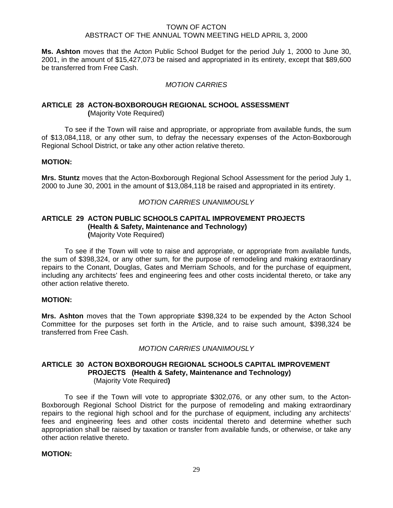**Ms. Ashton** moves that the Acton Public School Budget for the period July 1, 2000 to June 30, 2001, in the amount of \$15,427,073 be raised and appropriated in its entirety, except that \$89,600 be transferred from Free Cash.

# *MOTION CARRIES*

#### **ARTICLE 28 ACTON-BOXBOROUGH REGIONAL SCHOOL ASSESSMENT (**Majority Vote Required)

 To see if the Town will raise and appropriate, or appropriate from available funds, the sum of \$13,084,118, or any other sum, to defray the necessary expenses of the Acton-Boxborough Regional School District, or take any other action relative thereto.

#### **MOTION:**

**Mrs. Stuntz** moves that the Acton-Boxborough Regional School Assessment for the period July 1, 2000 to June 30, 2001 in the amount of \$13,084,118 be raised and appropriated in its entirety.

# *MOTION CARRIES UNANIMOUSLY*

#### **ARTICLE 29 ACTON PUBLIC SCHOOLS CAPITAL IMPROVEMENT PROJECTS (Health & Safety, Maintenance and Technology) (**Majority Vote Required)

To see if the Town will vote to raise and appropriate, or appropriate from available funds, the sum of \$398,324, or any other sum, for the purpose of remodeling and making extraordinary repairs to the Conant, Douglas, Gates and Merriam Schools, and for the purchase of equipment, including any architects' fees and engineering fees and other costs incidental thereto, or take any other action relative thereto.

#### **MOTION:**

**Mrs. Ashton** moves that the Town appropriate \$398,324 to be expended by the Acton School Committee for the purposes set forth in the Article, and to raise such amount, \$398,324 be transferred from Free Cash.

#### *MOTION CARRIES UNANIMOUSLY*

#### **ARTICLE 30 ACTON BOXBOROUGH REGIONAL SCHOOLS CAPITAL IMPROVEMENT PROJECTS (Health & Safety, Maintenance and Technology)** (Majority Vote Required**)**

To see if the Town will vote to appropriate \$302,076, or any other sum, to the Acton-Boxborough Regional School District for the purpose of remodeling and making extraordinary repairs to the regional high school and for the purchase of equipment, including any architects' fees and engineering fees and other costs incidental thereto and determine whether such appropriation shall be raised by taxation or transfer from available funds, or otherwise, or take any other action relative thereto.

#### **MOTION:**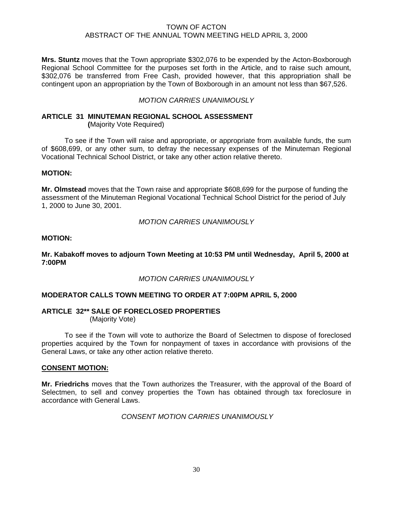**Mrs. Stuntz** moves that the Town appropriate \$302,076 to be expended by the Acton-Boxborough Regional School Committee for the purposes set forth in the Article, and to raise such amount, \$302,076 be transferred from Free Cash, provided however, that this appropriation shall be contingent upon an appropriation by the Town of Boxborough in an amount not less than \$67,526.

#### *MOTION CARRIES UNANIMOUSLY*

#### **ARTICLE 31 MINUTEMAN REGIONAL SCHOOL ASSESSMENT (**Majority Vote Required)

 To see if the Town will raise and appropriate, or appropriate from available funds, the sum of \$608,699, or any other sum, to defray the necessary expenses of the Minuteman Regional Vocational Technical School District, or take any other action relative thereto.

#### **MOTION:**

**Mr. Olmstead** moves that the Town raise and appropriate \$608,699 for the purpose of funding the assessment of the Minuteman Regional Vocational Technical School District for the period of July 1, 2000 to June 30, 2001.

*MOTION CARRIES UNANIMOUSLY*

# **MOTION:**

**Mr. Kabakoff moves to adjourn Town Meeting at 10:53 PM until Wednesday, April 5, 2000 at 7:00PM** 

*MOTION CARRIES UNANIMOUSLY*

# **MODERATOR CALLS TOWN MEETING TO ORDER AT 7:00PM APRIL 5, 2000**

# **ARTICLE 32\*\* SALE OF FORECLOSED PROPERTIES**

(Majority Vote)

To see if the Town will vote to authorize the Board of Selectmen to dispose of foreclosed properties acquired by the Town for nonpayment of taxes in accordance with provisions of the General Laws, or take any other action relative thereto.

#### **CONSENT MOTION:**

**Mr. Friedrichs** moves that the Town authorizes the Treasurer, with the approval of the Board of Selectmen, to sell and convey properties the Town has obtained through tax foreclosure in accordance with General Laws.

 *CONSENT MOTION CARRIES UNANIMOUSLY*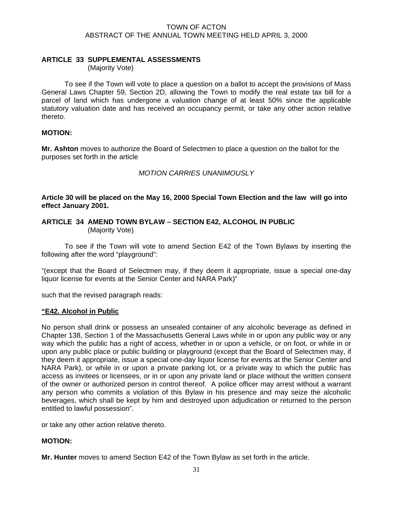# **ARTICLE 33 SUPPLEMENTAL ASSESSMENTS**

(Majority Vote)

 To see if the Town will vote to place a question on a ballot to accept the provisions of Mass General Laws Chapter 59, Section 2D, allowing the Town to modify the real estate tax bill for a parcel of land which has undergone a valuation change of at least 50% since the applicable statutory valuation date and has received an occupancy permit, or take any other action relative thereto.

# **MOTION:**

**Mr. Ashton** moves to authorize the Board of Selectmen to place a question on the ballot for the purposes set forth in the article

# *MOTION CARRIES UNANIMOUSLY*

**Article 30 will be placed on the May 16, 2000 Special Town Election and the law will go into effect January 2001.** 

# **ARTICLE 34 AMEND TOWN BYLAW – SECTION E42, ALCOHOL IN PUBLIC**  (Majority Vote)

 To see if the Town will vote to amend Section E42 of the Town Bylaws by inserting the following after the word "playground":

"(except that the Board of Selectmen may, if they deem it appropriate, issue a special one-day liquor license for events at the Senior Center and NARA Park)"

such that the revised paragraph reads:

#### **"E42. Alcohol in Public**

No person shall drink or possess an unsealed container of any alcoholic beverage as defined in Chapter 138, Section 1 of the Massachusetts General Laws while in or upon any public way or any way which the public has a right of access, whether in or upon a vehicle, or on foot, or while in or upon any public place or public building or playground (except that the Board of Selectmen may, if they deem it appropriate, issue a special one-day liquor license for events at the Senior Center and NARA Park), or while in or upon a private parking lot, or a private way to which the public has access as invitees or licensees, or in or upon any private land or place without the written consent of the owner or authorized person in control thereof. A police officer may arrest without a warrant any person who commits a violation of this Bylaw in his presence and may seize the alcoholic beverages, which shall be kept by him and destroyed upon adjudication or returned to the person entitled to lawful possession".

or take any other action relative thereto.

# **MOTION:**

**Mr. Hunter** moves to amend Section E42 of the Town Bylaw as set forth in the article.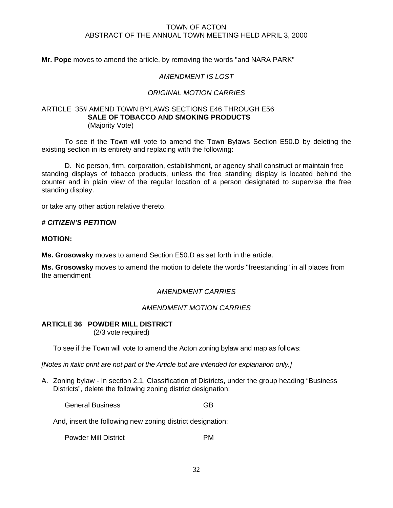**Mr. Pope** moves to amend the article, by removing the words "and NARA PARK"

# *AMENDMENT IS LOST*

# *ORIGINAL MOTION CARRIES*

# ARTICLE 35# AMEND TOWN BYLAWS SECTIONS E46 THROUGH E56 **SALE OF TOBACCO AND SMOKING PRODUCTS**  (Majority Vote)

 To see if the Town will vote to amend the Town Bylaws Section E50.D by deleting the existing section in its entirety and replacing with the following:

 D. No person, firm, corporation, establishment, or agency shall construct or maintain free standing displays of tobacco products, unless the free standing display is located behind the counter and in plain view of the regular location of a person designated to supervise the free standing display.

or take any other action relative thereto.

#### *# CITIZEN'S PETITION*

**MOTION:** 

**Ms. Grosowsky** moves to amend Section E50.D as set forth in the article.

**Ms. Grosowsky** moves to amend the motion to delete the words "freestanding" in all places from the amendment

#### *AMENDMENT CARRIES*

#### *AMENDMENT MOTION CARRIES*

#### **ARTICLE 36 POWDER MILL DISTRICT**

(2/3 vote required)

To see if the Town will vote to amend the Acton zoning bylaw and map as follows:

*[Notes in italic print are not part of the Article but are intended for explanation only.]* 

A. Zoning bylaw - In section 2.1, Classification of Districts, under the group heading "Business Districts", delete the following zoning district designation:

General Business GB

And, insert the following new zoning district designation:

Powder Mill District **PM**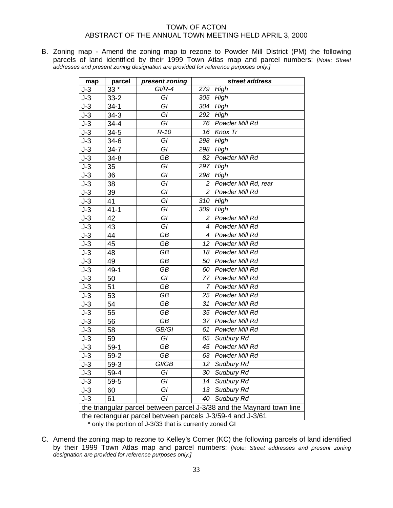B. Zoning map - Amend the zoning map to rezone to Powder Mill District (PM) the following parcels of land identified by their 1999 Town Atlas map and parcel numbers: *[Note: Street addresses and present zoning designation are provided for reference purposes only.]*

| map                                                                   | parcel                                                  | present zoning | street address                                             |  |  |
|-----------------------------------------------------------------------|---------------------------------------------------------|----------------|------------------------------------------------------------|--|--|
| $J-3$                                                                 | 33 *                                                    | $GI/R-4$       | High<br>279                                                |  |  |
| $J-3$                                                                 | $33 - 2$                                                | GI             | 305<br>High                                                |  |  |
| $J-3$                                                                 | $34-1$                                                  | GI             | 304<br>High                                                |  |  |
| $J-3$                                                                 | $34 - 3$                                                | GI             | High<br>292                                                |  |  |
| $J-3$                                                                 | $34 - 4$                                                | GI             | 76 Powder Mill Rd                                          |  |  |
| $J-3$                                                                 | $34 - 5$                                                | $R-10$         | Knox Tr<br>16                                              |  |  |
| $J-3$                                                                 | $34-6$                                                  | GI             | 298<br>High                                                |  |  |
| $J-3$                                                                 | $34 - 7$                                                | GI             | High<br>298                                                |  |  |
| $J-3$                                                                 | $34 - 8$                                                | GB             | Powder Mill Rd<br>82                                       |  |  |
| $J-3$                                                                 | 35                                                      | GI             | 297 High                                                   |  |  |
| $J-3$                                                                 | 36                                                      | GI             | High<br>298                                                |  |  |
| $J-3$                                                                 | 38                                                      | GI             | Powder Mill Rd, rear<br>2                                  |  |  |
| $J-3$                                                                 | 39                                                      | GI             | $\overline{2}$<br>Powder Mill Rd                           |  |  |
| $J-3$                                                                 | 41                                                      | GI             | High<br>310                                                |  |  |
| $J-3$                                                                 | $41 - 1$                                                | GI             | 309 High                                                   |  |  |
| $J-3$                                                                 | 42                                                      | GI             | Powder Mill Rd<br>2                                        |  |  |
| $J-3$                                                                 | 43                                                      | GI             | Powder Mill Rd<br>4                                        |  |  |
| $J-3$                                                                 | 44                                                      | GB             | 4 Powder Mill Rd                                           |  |  |
| $J-3$                                                                 | 45                                                      | GB             | Powder Mill Rd<br>12                                       |  |  |
| $J-3$                                                                 | 48                                                      | GB             | 18 Powder Mill Rd                                          |  |  |
| $J-3$                                                                 | 49                                                      | GB             | 50 Powder Mill Rd                                          |  |  |
| $J-3$                                                                 | $49 - 1$                                                | GB             | 60 Powder Mill Rd                                          |  |  |
| $J-3$                                                                 | 50                                                      | GĪ             | Powder Mill Rd<br>77                                       |  |  |
| $J-3$                                                                 | 51                                                      | GB             | 7 Powder Mill Rd                                           |  |  |
| $J-3$                                                                 | 53                                                      | GB             | Powder Mill Rd<br>25                                       |  |  |
| $J-3$                                                                 | 54                                                      | GB             | 31 Powder Mill Rd                                          |  |  |
| $J-3$                                                                 | 55                                                      | GB             | 35 Powder Mill Rd                                          |  |  |
| $J-3$                                                                 | 56                                                      | <b>GB</b>      | 37 Powder Mill Rd                                          |  |  |
| $J-3$                                                                 | 58                                                      | GB/GI          | Powder Mill Rd<br>61                                       |  |  |
| $J-3$                                                                 | 59                                                      | GI             | 65 Sudbury Rd                                              |  |  |
| $J-3$                                                                 | $59-1$                                                  | GB             | 45 Powder Mill Rd                                          |  |  |
| $J-3$                                                                 | $59-2$                                                  | GB             | Powder Mill Rd<br>63                                       |  |  |
| $J-3$                                                                 | $59-3$                                                  | GI/GB          | 12<br>Sudbury Rd                                           |  |  |
| J-3                                                                   | $59 - 4$                                                | GI             | 30<br>Sudbury Rd                                           |  |  |
| J-3                                                                   | $59 - 5$                                                | GI             | Sudbury Rd<br>14                                           |  |  |
| $J-3$                                                                 | 60                                                      | GI             | Sudbury Rd<br>13                                           |  |  |
| $J-3$                                                                 | 61                                                      | GI             | Sudbury Rd<br>40                                           |  |  |
| the triangular parcel between parcel J-3/38 and the Maynard town line |                                                         |                |                                                            |  |  |
|                                                                       |                                                         |                | the rectangular parcel between parcels J-3/59-4 and J-3/61 |  |  |
|                                                                       | * only the portion of 1-3/33 that is currently zoned GI |                |                                                            |  |  |

only the portion of J-3/33 that is currently zoned GI

C. Amend the zoning map to rezone to Kelley's Corner (KC) the following parcels of land identified by their 1999 Town Atlas map and parcel numbers: *[Note: Street addresses and present zoning designation are provided for reference purposes only.]*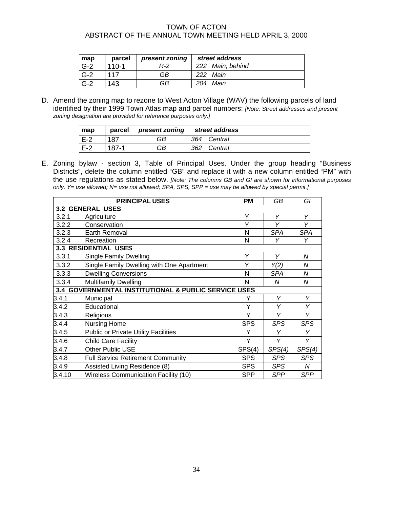| map   | parcel    | present zoning | street address   |
|-------|-----------|----------------|------------------|
| $G-2$ | $110 - 1$ | R-2            | 222 Main, behind |
| $G-2$ | 117       | GB             | Main<br>222      |
| $G-2$ | 143       | GB             | Main<br>204      |

D. Amend the zoning map to rezone to West Acton Village (WAV) the following parcels of land identified by their 1999 Town Atlas map and parcel numbers: *[Note: Street addresses and present zoning designation are provided for reference purposes only.]* 

| map   | parcel | present zoning | street address |  |
|-------|--------|----------------|----------------|--|
| $E-2$ | 187    | GB             | 364<br>Central |  |
| $F-2$ | 187-1  | GB             | 362<br>Central |  |

E. Zoning bylaw - section 3, Table of Principal Uses. Under the group heading "Business Districts", delete the column entitled "GB" and replace it with a new column entitled "PM" with the use regulations as stated below. *[Note: The columns GB and GI are shown for informational purposes only. Y= use allowed; N= use not allowed; SPA, SPS, SPP = use may be allowed by special permit.]* 

|                         | <b>PRINCIPAL USES</b>                                       | <b>PM</b>  | GB         | GI         |
|-------------------------|-------------------------------------------------------------|------------|------------|------------|
| <b>3.2 GENERAL USES</b> |                                                             |            |            |            |
| 3.2.1                   | Agriculture                                                 | Υ          | Y          | Y          |
| 3.2.2                   | Conservation                                                | Υ          | Υ          | Υ          |
| 3.2.3                   | <b>Earth Removal</b>                                        | N          | <b>SPA</b> | <b>SPA</b> |
| 3.2.4                   | Recreation                                                  | N          | Υ          | Υ          |
|                         | <b>3.3 RESIDENTIAL USES</b>                                 |            |            |            |
| 3.3.1                   | <b>Single Family Dwelling</b>                               | Υ          | Y          | N          |
| 3.3.2                   | Single Family Dwelling with One Apartment                   | Y          | Y(2)       | N          |
| 3.3.3                   | <b>Dwelling Conversions</b>                                 | N          | <b>SPA</b> | N          |
| 3.3.4                   | <b>Multifamily Dwelling</b>                                 | N          | N          | N          |
| 3.4                     | <b>GOVERNMENTAL INSTITUTIONAL &amp; PUBLIC SERVICE USES</b> |            |            |            |
| 3.4.1                   | Municipal                                                   | Y          | Υ          | Y          |
| 3.4.2                   | Educational                                                 | Υ          | Υ          | Y          |
| 3.4.3                   | Religious                                                   | Υ          | Y          | Υ          |
| 3.4.4                   | Nursing Home                                                | <b>SPS</b> | SPS        | <b>SPS</b> |
| 3.4.5                   | <b>Public or Private Utility Facilities</b>                 | Y          | Υ          | Υ          |
| 3.4.6                   | <b>Child Care Facility</b>                                  | Υ          | Υ          | Y          |
| 3.4.7                   | <b>Other Public USE</b>                                     | SPS(4)     | SPS(4)     | SPS(4)     |
| 3.4.8                   | <b>Full Service Retirement Community</b>                    | <b>SPS</b> | <b>SPS</b> | <b>SPS</b> |
| 3.4.9                   | Assisted Living Residence (8)                               | <b>SPS</b> | <b>SPS</b> | N          |
| 3.4.10                  | <b>Wireless Communication Facility (10)</b>                 | <b>SPP</b> | <b>SPP</b> | <b>SPP</b> |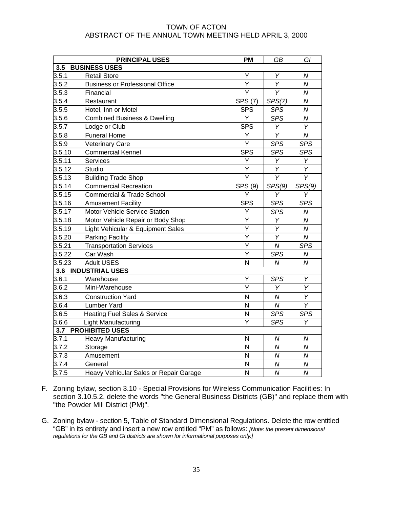|                             | <b>PRINCIPAL USES</b>                   | <b>PM</b>      | <b>GB</b>        | GI                      |
|-----------------------------|-----------------------------------------|----------------|------------------|-------------------------|
| <b>BUSINESS USES</b><br>3.5 |                                         |                |                  |                         |
| 3.5.1                       | <b>Retail Store</b>                     | Υ              | Υ                | N                       |
| 3.5.2                       | <b>Business or Professional Office</b>  | $\overline{Y}$ | Y                | $\overline{N}$          |
| 3.5.3                       | Financial                               | Ÿ              | $\overline{Y}$   | $\overline{N}$          |
| 3.5.4                       | Restaurant                              | <b>SPS (7)</b> | SPS(7)           | $\boldsymbol{N}$        |
| 3.5.5                       | Hotel, Inn or Motel                     | <b>SPS</b>     | <b>SPS</b>       | $\overline{N}$          |
| 3.5.6                       | <b>Combined Business &amp; Dwelling</b> | Y              | <b>SPS</b>       | $\boldsymbol{N}$        |
| 3.5.7                       | Lodge or Club                           | <b>SPS</b>     | Y                | Y                       |
| 3.5.8                       | <b>Funeral Home</b>                     | Υ              | Y                | $\overline{N}$          |
| 3.5.9                       | Veterinary Care                         | $\overline{Y}$ | <b>SPS</b>       | <b>SPS</b>              |
| 3.5.10                      | <b>Commercial Kennel</b>                | <b>SPS</b>     | <b>SPS</b>       | <b>SPS</b>              |
| 3.5.11                      | Services                                | Υ              | Υ                | Υ                       |
| 3.5.12                      | Studio                                  | Υ              | Y                | Y                       |
| 3.5.13                      | <b>Building Trade Shop</b>              | Ý              | Y                | Y                       |
| 3.5.14                      | <b>Commercial Recreation</b>            | SPS (9)        | SPS(9)           | SPS(9)                  |
| 3.5.15                      | <b>Commercial &amp; Trade School</b>    | Y              | Υ                | Υ                       |
| 3.5.16                      | <b>Amusement Facility</b>               | <b>SPS</b>     | <b>SPS</b>       | <b>SPS</b>              |
| 3.5.17                      | Motor Vehicle Service Station           | Υ              | <b>SPS</b>       | ${\cal N}$              |
| 3.5.18                      | Motor Vehicle Repair or Body Shop       | Υ              | Υ                | $\boldsymbol{N}$        |
| 3.5.19                      | Light Vehicular & Equipment Sales       | Υ              | Υ                | N                       |
| 3.5.20                      | Parking Facility                        | Y              | Υ                | $\boldsymbol{N}$        |
| 3.5.21                      | <b>Transportation Services</b>          | Υ              | $\boldsymbol{N}$ | <b>SPS</b>              |
| 3.5.22                      | Car Wash                                | Y              | <b>SPS</b>       | Ν                       |
| 3.5.23                      | <b>Adult USES</b>                       | N              | $\overline{N}$   | $\overline{N}$          |
| 3.6                         | <b>INDUSTRIAL USES</b>                  |                |                  |                         |
| 3.6.1                       | Warehouse                               | Υ              | <b>SPS</b>       | Υ                       |
| 3.6.2                       | Mini-Warehouse                          | Y              | Y                | Y                       |
| 3.6.3                       | <b>Construction Yard</b>                | N              | N                | $\overline{Y}$          |
| 3.6.4                       | <b>Lumber Yard</b>                      | N              | $\overline{N}$   | $\overline{\mathsf{Y}}$ |
| 3.6.5                       | <b>Heating Fuel Sales &amp; Service</b> | N              | <b>SPS</b>       | <b>SPS</b>              |
| 3.6.6                       | Light Manufacturing                     | Ÿ              | <b>SPS</b>       | Υ                       |
| 3.7                         | <b>PROHIBITED USES</b>                  |                |                  |                         |
| 3.7.1                       | <b>Heavy Manufacturing</b>              | N              | Ν                | Ν                       |
| 3.7.2                       | Storage                                 | N              | $\overline{N}$   | $\overline{N}$          |
| 3.7.3                       | Amusement                               | N              | N                | N                       |
| 3.7.4                       | General                                 | N              | $\mathcal N$     | ${\cal N}$              |
| 3.7.5                       | Heavy Vehicular Sales or Repair Garage  | N              | $\overline{N}$   | $\overline{N}$          |

- F. Zoning bylaw, section 3.10 Special Provisions for Wireless Communication Facilities: In section 3.10.5.2, delete the words "the General Business Districts (GB)" and replace them with "the Powder Mill District (PM)".
- G. Zoning bylaw section 5, Table of Standard Dimensional Regulations. Delete the row entitled "GB" in its entirety and insert a new row entitled "PM" as follows: *[Note: the present dimensional regulations for the GB and GI districts are shown for informational purposes only.]*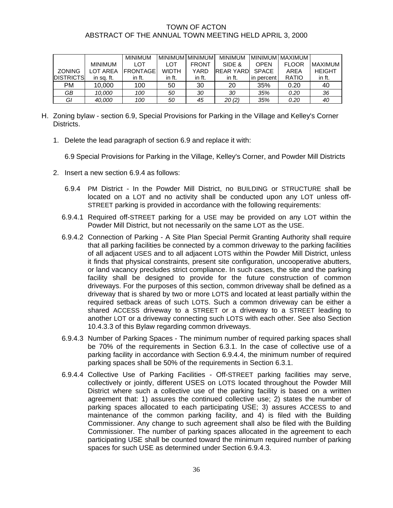|                  |                | <b>MINIMUM</b>  | <b>MINIMUM MINIMUM</b> |              | <b>MINIMUM</b> | <b>MINIMUM</b>          | <b>MAXIMUM</b> |                |
|------------------|----------------|-----------------|------------------------|--------------|----------------|-------------------------|----------------|----------------|
|                  | <b>MINIMUM</b> | LOT             | LOT                    | <b>FRONT</b> | SIDE &         | <b>OPEN</b>             | <b>FLOOR</b>   | <b>MAXIMUM</b> |
| <b>ZONING</b>    | LOT AREA       | <b>FRONTAGE</b> | <b>WIDTH</b>           | YARD         | REAR YARDI     | <b>SPACE</b>            | AREA           | <b>HEIGHT</b>  |
| <b>DISTRICTS</b> | in sa. ft.     | in ft.          | in ft.                 | in ft.       | in ft.         | percent<br>$\mathsf{I}$ | <b>RATIO</b>   | in ft.         |
| PM               | 10.000         | 100             | 50                     | 30           | 20             | 35%                     | 0.20           | 40             |
| GB               | 10.000         | 100             | 50                     | 30           | 30             | 35%                     | 0.20           | 36             |
| GI               | 40,000         | 100             | 50                     | 45           | 20 (2)         | 35%                     | 0.20           | 40             |

- H. Zoning bylaw section 6.9, Special Provisions for Parking in the Village and Kelley's Corner Districts.
	- 1. Delete the lead paragraph of section 6.9 and replace it with:

6.9 Special Provisions for Parking in the Village, Kelley's Corner, and Powder Mill Districts

- 2. Insert a new section 6.9.4 as follows:
	- 6.9.4 PM District In the Powder Mill District, no BUILDING or STRUCTURE shall be located on a LOT and no activity shall be conducted upon any LOT unless off-STREET parking is provided in accordance with the following requirements:
	- 6.9.4.1 Required off-STREET parking for a USE may be provided on any LOT within the Powder Mill District, but not necessarily on the same LOT as the USE.
	- 6.9.4.2 Connection of Parking A Site Plan Special Permit Granting Authority shall require that all parking facilities be connected by a common driveway to the parking facilities of all adjacent USES and to all adjacent LOTS within the Powder Mill District, unless it finds that physical constraints, present site configuration, uncooperative abutters, or land vacancy precludes strict compliance. In such cases, the site and the parking facility shall be designed to provide for the future construction of common driveways. For the purposes of this section, common driveway shall be defined as a driveway that is shared by two or more LOTS and located at least partially within the required setback areas of such LOTS. Such a common driveway can be either a shared ACCESS driveway to a STREET or a driveway to a STREET leading to another LOT or a driveway connecting such LOTS with each other. See also Section 10.4.3.3 of this Bylaw regarding common driveways.
	- 6.9.4.3 Number of Parking Spaces The minimum number of required parking spaces shall be 70% of the requirements in Section 6.3.1. In the case of collective use of a parking facility in accordance with Section 6.9.4.4, the minimum number of required parking spaces shall be 50% of the requirements in Section 6.3.1.
	- 6.9.4.4 Collective Use of Parking Facilities Off-STREET parking facilities may serve, collectively or jointly, different USES on LOTS located throughout the Powder Mill District where such a collective use of the parking facility is based on a written agreement that: 1) assures the continued collective use; 2) states the number of parking spaces allocated to each participating USE; 3) assures ACCESS to and maintenance of the common parking facility, and 4) is filed with the Building Commissioner. Any change to such agreement shall also be filed with the Building Commissioner. The number of parking spaces allocated in the agreement to each participating USE shall be counted toward the minimum required number of parking spaces for such USE as determined under Section 6.9.4.3.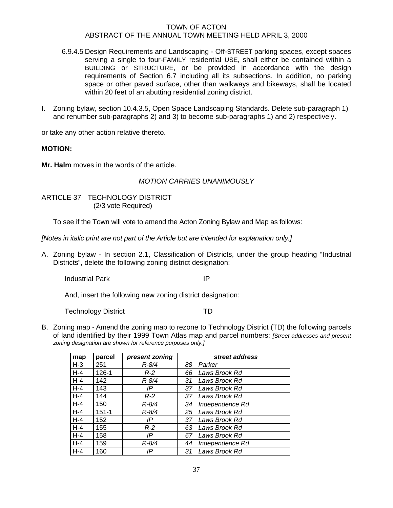- 6.9.4.5 Design Requirements and Landscaping Off-STREET parking spaces, except spaces serving a single to four-FAMILY residential USE, shall either be contained within a BUILDING or STRUCTURE, or be provided in accordance with the design requirements of Section 6.7 including all its subsections. In addition, no parking space or other paved surface, other than walkways and bikeways, shall be located within 20 feet of an abutting residential zoning district.
- I. Zoning bylaw, section 10.4.3.5, Open Space Landscaping Standards. Delete sub-paragraph 1) and renumber sub-paragraphs 2) and 3) to become sub-paragraphs 1) and 2) respectively.

or take any other action relative thereto.

## **MOTION:**

**Mr. Halm** moves in the words of the article.

## *MOTION CARRIES UNANIMOUSLY*

ARTICLE 37 TECHNOLOGY DISTRICT (2/3 vote Required)

To see if the Town will vote to amend the Acton Zoning Bylaw and Map as follows:

*[Notes in italic print are not part of the Article but are intended for explanation only.]* 

A. Zoning bylaw - In section 2.1, Classification of Districts, under the group heading "Industrial Districts", delete the following zoning district designation:

Industrial Park **IP** 

And, insert the following new zoning district designation:

Technology District TD TD

B. Zoning map - Amend the zoning map to rezone to Technology District (TD) the following parcels of land identified by their 1999 Town Atlas map and parcel numbers: *[Street addresses and present zoning designation are shown for reference purposes only.]* 

| map     | parcel    | present zoning | street address        |
|---------|-----------|----------------|-----------------------|
| $H-3$   | 251       | $R - 8/4$      | 88<br>Parker          |
| $H-4$   | $126 - 1$ | $R-2$          | Laws Brook Rd<br>66   |
| $H-4$   | 142       | $R - 8/4$      | Laws Brook Rd<br>31   |
| $H-4$   | 143       | IP             | Laws Brook Rd<br>37   |
| $H - 4$ | 144       | $R-2$          | Laws Brook Rd<br>37.  |
| $H-4$   | 150       | $R - 8/4$      | Independence Rd<br>34 |
| $H-4$   | $151 - 1$ | $R - 8/4$      | Laws Brook Rd<br>25   |
| $H-4$   | 152       | IP             | Laws Brook Rd<br>37   |
| $H-4$   | 155       | $R-2$          | Laws Brook Rd<br>63   |
| $H-4$   | 158       | IP             | Laws Brook Rd<br>67   |
| $H - 4$ | 159       | $R - 8/4$      | Independence Rd<br>44 |
| $H-4$   | 160       | IP             | Laws Brook Rd<br>31   |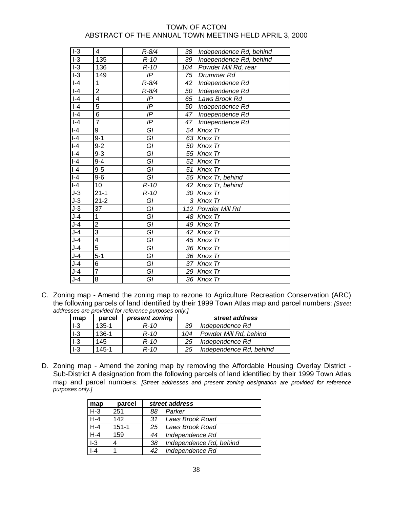| $I-3$                    | 4              | $R - 8/4$       | 38<br>Independence Rd, behind |
|--------------------------|----------------|-----------------|-------------------------------|
| $I-3$                    | 135            | $R-10$          | Independence Rd, behind<br>39 |
| $\overline{1-3}$         | 136            | $R-10$          | 104<br>Powder Mill Rd, rear   |
| $\overline{1\cdot 3}$    | 149            | $I\overline{P}$ | 75<br>Drummer Rd              |
| $\overline{\phantom{0}}$ | 1              | $R - 8/4$       | 42<br>Independence Rd         |
| $ -4$                    | $\overline{2}$ | $R - 8/4$       | 50<br>Independence Rd         |
| $I-4$                    | $\overline{4}$ | IP              | Laws Brook Rd<br>65           |
| $\overline{\phantom{0}}$ | 5              | IP              | 50<br>Independence Rd         |
| $-4$                     | 6              | IP              | Independence Rd<br>47         |
| $\overline{\phantom{0}}$ | $\overline{7}$ | IP              | Independence Rd<br>47         |
| $I - 4$                  | 9              | GI              | 54 Knox Tr                    |
| $ -4$                    | $9 - 1$        | GI              | 63 Knox Tr                    |
| $I - 4$                  | $9 - 2$        | GI              | 50 Knox Tr                    |
| $ -4$                    | $9 - 3$        | GI              | 55 Knox Tr                    |
| $\overline{\phantom{0}}$ | $9 - 4$        | GI              | 52 Knox Tr                    |
| $-4$                     | $9-5$          | GI              | 51 Knox Tr                    |
| $ -4$                    | $9-6$          | GI              | 55 Knox Tr, behind            |
| $-4$                     | 10             | $R-10$          | 42 Knox Tr, behind            |
| $J-3$                    | $21 - 1$       | $R-10$          | 30 Knox Tr                    |
| $J-3$                    | $21 - 2$       | GI              | 3 Knox Tr                     |
| $J-3$                    | 37             | GI              | 112 Powder Mill Rd            |
| $J-4$                    | $\mathbf{1}$   | GI              | 48 Knox Tr                    |
| $J-4$                    | $\overline{c}$ | $\overline{GI}$ | 49 Knox Tr                    |
| $J-4$                    | $\overline{3}$ | GI              | 42 Knox Tr                    |
| $J-4$                    | $\overline{4}$ | GI              | 45 Knox Tr                    |
| $J-4$                    | 5              | GI              | 36 Knox Tr                    |
| $J-4$                    | $5 - 1$        | GI              | 36 Knox Tr                    |
| $J-4$                    | 6              | GI              | 37 Knox Tr                    |
| $J-4$                    | $\overline{7}$ | GI              | 29 Knox Tr                    |
| $J-4$                    | 8              | GI              | 36 Knox Tr                    |

C. Zoning map - Amend the zoning map to rezone to Agriculture Recreation Conservation (ARC) the following parcels of land identified by their 1999 Town Atlas map and parcel numbers: *[Street addresses are provided for reference purposes only.]*

| map   | parcel    | present zoning | street address |                         |  |  |  |  |  |  |
|-------|-----------|----------------|----------------|-------------------------|--|--|--|--|--|--|
| $I-3$ | $135 - 1$ | R-10           | 39             | Independence Rd         |  |  |  |  |  |  |
| $I-3$ | 136-1     | R-10           | 104            | Powder Mill Rd, behind  |  |  |  |  |  |  |
| $I-3$ | 145       | R-10           | 25             | Independence Rd         |  |  |  |  |  |  |
| $I-3$ | 145-1     | $R - 10$       | 25             | Independence Rd, behind |  |  |  |  |  |  |

D. Zoning map - Amend the zoning map by removing the Affordable Housing Overlay District - Sub-District A designation from the following parcels of land identified by their 1999 Town Atlas map and parcel numbers: *[Street addresses and present zoning designation are provided for reference purposes only.]* 

| map     | parcel    | street address                |
|---------|-----------|-------------------------------|
| $H-3$   | 251       | Parker<br>88                  |
| $H - 4$ | 142       | Laws Brook Road<br>31.        |
| $H-4$   | $151 - 1$ | 25 Laws Brook Road            |
| $H - 4$ | 159       | Independence Rd<br>44         |
| $I-3$   | 4         | Independence Rd, behind<br>38 |
|         |           | Independence Rd<br>42         |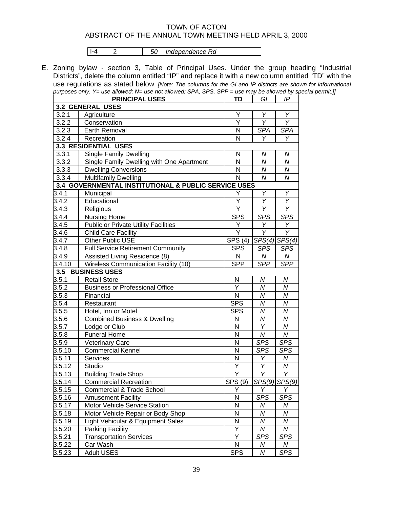I-4 2 *50 Independence Rd* 

E. Zoning bylaw - section 3, Table of Principal Uses. Under the group heading "Industrial Districts", delete the column entitled "IP" and replace it with a new column entitled "TD" with the use regulations as stated below. *[Note: The columns for the GI and IP districts are shown for informational purposes only. Y= use allowed; N= use not allowed; SPA, SPS, SPP = use may be allowed by special permit.]]*

|                                                      | <b>PRINCIPAL USES</b>                       | <b>TD</b>               | GI               | IP                |  |  |  |  |  |  |  |
|------------------------------------------------------|---------------------------------------------|-------------------------|------------------|-------------------|--|--|--|--|--|--|--|
|                                                      | <b>3.2 GENERAL USES</b>                     |                         |                  |                   |  |  |  |  |  |  |  |
| 3.2.1                                                | Agriculture                                 | Υ                       | Υ                | Y                 |  |  |  |  |  |  |  |
| 3.2.2                                                | Conservation                                | Y                       | Y                | Y                 |  |  |  |  |  |  |  |
| 3.2.3                                                | Earth Removal                               | N                       | <b>SPA</b>       | <b>SPA</b>        |  |  |  |  |  |  |  |
| 3.2.4                                                | Recreation                                  | N                       | Y                | Υ                 |  |  |  |  |  |  |  |
|                                                      | 3.3 RESIDENTIAL USES                        |                         |                  |                   |  |  |  |  |  |  |  |
| 3.3.1                                                | <b>Single Family Dwelling</b>               | N                       | Ν                | ${\cal N}$        |  |  |  |  |  |  |  |
| 3.3.2                                                | Single Family Dwelling with One Apartment   | N                       | Ν                | N                 |  |  |  |  |  |  |  |
| 3.3.3                                                | <b>Dwelling Conversions</b>                 | N                       | N                | N                 |  |  |  |  |  |  |  |
| 3.3.4                                                | <b>Multifamily Dwelling</b>                 | N                       | $\boldsymbol{N}$ | $\boldsymbol{N}$  |  |  |  |  |  |  |  |
| 3.4 GOVERNMENTAL INSTITUTIONAL & PUBLIC SERVICE USES |                                             |                         |                  |                   |  |  |  |  |  |  |  |
| 3.4.1                                                | Municipal                                   | Y                       | Υ                | Υ                 |  |  |  |  |  |  |  |
| 3.4.2                                                | Educational                                 | Υ                       | Y                | Υ                 |  |  |  |  |  |  |  |
| 3.4.3                                                | Religious                                   | Y                       | Υ                | Υ                 |  |  |  |  |  |  |  |
| 3.4.4                                                | <b>Nursing Home</b>                         | <b>SPS</b>              | <b>SPS</b>       | <b>SPS</b>        |  |  |  |  |  |  |  |
| 3.4.5                                                | <b>Public or Private Utility Facilities</b> | Y                       | Υ                | Y                 |  |  |  |  |  |  |  |
| 3.4.6                                                | <b>Child Care Facility</b>                  | Y                       | Υ                | Υ                 |  |  |  |  |  |  |  |
| 3.4.7                                                | Other Public USE                            | SPS (4)                 |                  | $SPS(4)$ $SPS(4)$ |  |  |  |  |  |  |  |
| 3.4.8                                                | <b>Full Service Retirement Community</b>    | <b>SPS</b>              | SPS              | <b>SPS</b>        |  |  |  |  |  |  |  |
| 3.4.9                                                | Assisted Living Residence (8)               | N                       | N                | N                 |  |  |  |  |  |  |  |
| 3.4.10                                               | <b>Wireless Communication Facility (10)</b> | <b>SPP</b>              | <b>SPP</b>       | <b>SPP</b>        |  |  |  |  |  |  |  |
| 3.5                                                  | <b>BUSINESS USES</b>                        |                         |                  |                   |  |  |  |  |  |  |  |
| 3.5.1                                                | <b>Retail Store</b>                         | N                       | N                | N                 |  |  |  |  |  |  |  |
| 3.5.2                                                | <b>Business or Professional Office</b>      | Ý                       | N                | ${\cal N}$        |  |  |  |  |  |  |  |
| 3.5.3                                                | Financial                                   | $\overline{\mathsf{N}}$ | $\boldsymbol{N}$ | N                 |  |  |  |  |  |  |  |
| 3.5.4                                                | Restaurant                                  | <b>SPS</b>              | Ν                | N                 |  |  |  |  |  |  |  |
| 3.5.5                                                | Hotel, Inn or Motel                         | <b>SPS</b>              | N                | ${\cal N}$        |  |  |  |  |  |  |  |
| 3.5.6                                                | <b>Combined Business &amp; Dwelling</b>     | N                       | $\boldsymbol{N}$ | ${\cal N}$        |  |  |  |  |  |  |  |
| 3.5.7                                                | Lodge or Club                               | N                       | Ÿ                | $\overline{N}$    |  |  |  |  |  |  |  |
| 3.5.8                                                | <b>Funeral Home</b>                         | N                       | $\boldsymbol{N}$ | ${\cal N}$        |  |  |  |  |  |  |  |
| 3.5.9                                                | Veterinary Care                             | N                       | <b>SPS</b>       | <b>SPS</b>        |  |  |  |  |  |  |  |
| 3.5.10                                               | <b>Commercial Kennel</b>                    | N                       | <b>SPS</b>       | <b>SPS</b>        |  |  |  |  |  |  |  |
| 3.5.11                                               | <b>Services</b>                             | N                       | Υ                | N                 |  |  |  |  |  |  |  |
| 3.5.12                                               | Studio                                      | Y                       | Υ                | N                 |  |  |  |  |  |  |  |
| 3.5.13                                               | <b>Building Trade Shop</b>                  | Ÿ                       | Υ                | Υ                 |  |  |  |  |  |  |  |
| 3.5.14                                               | <b>Commercial Recreation</b>                | SPS (9)                 |                  | SPS(9) SPS(9)     |  |  |  |  |  |  |  |
| 3.5.15                                               | <b>Commercial &amp; Trade School</b>        | Υ                       | Υ                | Y                 |  |  |  |  |  |  |  |
| 3.5.16                                               | <b>Amusement Facility</b>                   | N                       | <b>SPS</b>       | <b>SPS</b>        |  |  |  |  |  |  |  |
| 3.5.17                                               | Motor Vehicle Service Station               | ${\sf N}$               | Ν                | N                 |  |  |  |  |  |  |  |
| 3.5.18                                               | Motor Vehicle Repair or Body Shop           | N                       | N                | Ν                 |  |  |  |  |  |  |  |
| 3.5.19                                               | Light Vehicular & Equipment Sales           | N                       | N                | N                 |  |  |  |  |  |  |  |
| 3.5.20                                               | <b>Parking Facility</b>                     | Υ                       | N                | ${\cal N}$        |  |  |  |  |  |  |  |
| 3.5.21                                               | <b>Transportation Services</b>              | Υ                       | <b>SPS</b>       | <b>SPS</b>        |  |  |  |  |  |  |  |
| 3.5.22                                               | Car Wash                                    | $\mathsf{N}$            | N                | N                 |  |  |  |  |  |  |  |
| 3.5.23                                               | <b>Adult USES</b>                           | <b>SPS</b>              | N                | <b>SPS</b>        |  |  |  |  |  |  |  |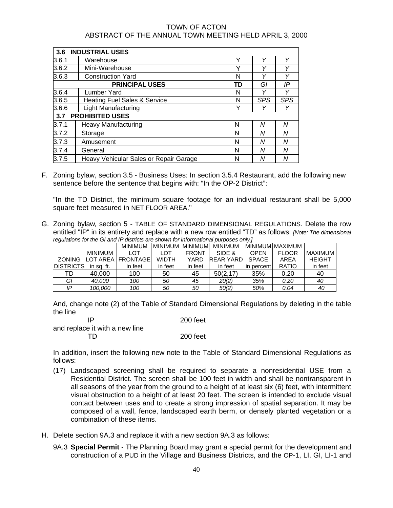| 3.6   | <b>INDUSTRIAL USES</b>                 |    |            |            |
|-------|----------------------------------------|----|------------|------------|
| 3.6.1 | Warehouse                              | Υ  | Υ          | Υ          |
| 3.6.2 | Mini-Warehouse                         | Υ  | ٧          | Υ          |
| 3.6.3 | <b>Construction Yard</b>               | N  | Υ          | Υ          |
|       | <b>PRINCIPAL USES</b>                  | TD | Gl         | IP         |
| 3.6.4 | Lumber Yard                            | N  | ν          | Υ          |
| 3.6.5 | Heating Fuel Sales & Service           | N  | <b>SPS</b> | <b>SPS</b> |
| 3.6.6 | <b>Light Manufacturing</b>             | Υ  | ν          | Υ          |
| 3.7   | <b>PROHIBITED USES</b>                 |    |            |            |
| 3.7.1 | <b>Heavy Manufacturing</b>             | N  | Ν          | N          |
| 3.7.2 | Storage                                | N  | Ν          | N          |
| 3.7.3 | Amusement                              | N  | Ν          | N          |
| 3.7.4 | General                                | N  | Ν          | N          |
| 3.7.5 | Heavy Vehicular Sales or Repair Garage | N  | Ν          | N          |

F. Zoning bylaw, section 3.5 - Business Uses: In section 3.5.4 Restaurant, add the following new sentence before the sentence that begins with: "In the OP-2 District":

"In the TD District, the minimum square footage for an individual restaurant shall be 5,000 square feet measured in NET FLOOR AREA."

G. Zoning bylaw, section 5 - TABLE OF STANDARD DIMENSIONAL REGULATIONS. Delete the row entitled "IP" in its entirety and replace with a new row entitled "TD" as follows: *[Note: The dimensional regulations for the GI and IP districts are shown for informational purposes only.]*

| poguidavillo tor are or and it alongolo dio onomi for imorritatorial parpocoo oriny. |            |                           |              |              |                                 |             |                 |               |  |  |  |  |
|--------------------------------------------------------------------------------------|------------|---------------------------|--------------|--------------|---------------------------------|-------------|-----------------|---------------|--|--|--|--|
|                                                                                      |            |                           |              |              | MINIMUM MINIMUM MINIMUM MINIMUM |             | MINIMUM MAXIMUM |               |  |  |  |  |
|                                                                                      | MINIMUM    | <b>LOT</b>                | LOT          | <b>FRONT</b> | SIDE &                          | <b>OPEN</b> | <b>FLOOR</b>    | MAXIMUM       |  |  |  |  |
|                                                                                      |            | ZONING LOT AREA FRONTAGEL | <b>WIDTH</b> | YARD         | <b>REAR YARDI SPACE</b>         |             | AREA            | <b>HEIGHT</b> |  |  |  |  |
| <b>DISTRICTS</b>                                                                     | in sa. ft. | in feet                   | in feet      | in feet      | in feet                         | in percent  | <b>RATIO</b>    | in feet       |  |  |  |  |
| TD                                                                                   | 40,000     | 100                       | 50           | 45           | 50(2, 17)                       | 35%         | 0.20            | 40            |  |  |  |  |
| GI                                                                                   | 40.000     | 100                       | 50           | 45           | 20(2)                           | 35%         | 0.20            | 40            |  |  |  |  |
| IP                                                                                   | 100,000    | 100                       | 50           | 50           | 50(2)                           | 50%         | 0.04            | 40            |  |  |  |  |

And, change note (2) of the Table of Standard Dimensional Regulations by deleting in the table the line

IP 200 feet

and replace it with a new line TD 200 feet

In addition, insert the following new note to the Table of Standard Dimensional Regulations as follows:

- (17) Landscaped screening shall be required to separate a nonresidential USE from a Residential District. The screen shall be 100 feet in width and shall be nontransparent in all seasons of the year from the ground to a height of at least six (6) feet, with intermittent visual obstruction to a height of at least 20 feet. The screen is intended to exclude visual contact between uses and to create a strong impression of spatial separation. It may be composed of a wall, fence, landscaped earth berm, or densely planted vegetation or a combination of these items.
- H. Delete section 9A.3 and replace it with a new section 9A.3 as follows:
	- 9A.3 **Special Permit** The Planning Board may grant a special permit for the development and construction of a PUD in the Village and Business Districts, and the OP-1, LI, GI, LI-1 and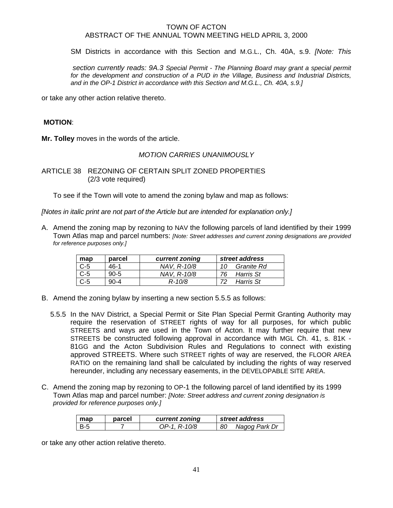SM Districts in accordance with this Section and M.G.L., Ch. 40A, s.9. *[Note: This* 

 *section currently reads: 9A.3 Special Permit - The Planning Board may grant a special permit*  for the development and construction of a PUD in the Village, Business and Industrial Districts, *and in the OP-1 District in accordance with this Section and M.G.L., Ch. 40A, s.9.]* 

or take any other action relative thereto.

## **MOTION**:

**Mr. Tolley** moves in the words of the article.

## *MOTION CARRIES UNANIMOUSLY*

ARTICLE 38 REZONING OF CERTAIN SPLIT ZONED PROPERTIES (2/3 vote required)

To see if the Town will vote to amend the zoning bylaw and map as follows:

*[Notes in italic print are not part of the Article but are intended for explanation only.]* 

A. Amend the zoning map by rezoning to NAV the following parcels of land identified by their 1999 Town Atlas map and parcel numbers: *[Note: Street addresses and current zoning designations are provided for reference purposes only.]*

| map   | parcel   | current zoning | street address   |
|-------|----------|----------------|------------------|
| $C-5$ | $46-1$   | NAV. R-10/8    | Granite Rd<br>10 |
| $C-5$ | 90-5     | NAV, R-10/8    | Harris St        |
| $C-5$ | $90 - 4$ | $R - 10/8$     | Harris St        |

- B. Amend the zoning bylaw by inserting a new section 5.5.5 as follows:
	- 5.5.5 In the NAV District, a Special Permit or Site Plan Special Permit Granting Authority may require the reservation of STREET rights of way for all purposes, for which public STREETS and ways are used in the Town of Acton. It may further require that new STREETS be constructed following approval in accordance with MGL Ch. 41, s. 81K - 81GG and the Acton Subdivision Rules and Regulations to connect with existing approved STREETS. Where such STREET rights of way are reserved, the FLOOR AREA RATIO on the remaining land shall be calculated by including the rights of way reserved hereunder, including any necessary easements, in the DEVELOPABLE SITE AREA.
- C. Amend the zoning map by rezoning to OP-1 the following parcel of land identified by its 1999 Town Atlas map and parcel number: *[Note: Street address and current zoning designation is provided for reference purposes only.]*

| map | parcel | current zoning | street address      |
|-----|--------|----------------|---------------------|
| B-5 |        | OP-1. R-10/8   | Nagog Park Dr<br>80 |

or take any other action relative thereto.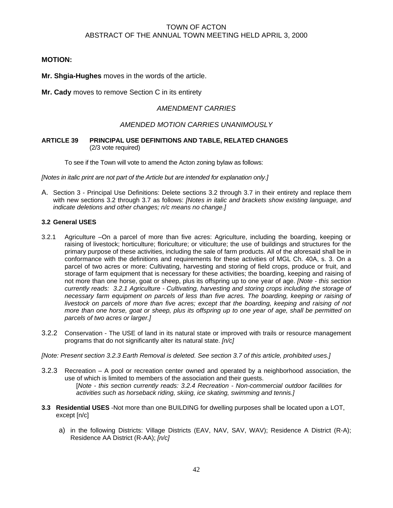## **MOTION:**

**Mr. Shgia-Hughes** moves in the words of the article.

**Mr. Cady** moves to remove Section C in its entirety

## *AMENDMENT CARRIES*

## *AMENDED MOTION CARRIES UNANIMOUSLY*

### **ARTICLE 39 PRINCIPAL USE DEFINITIONS AND TABLE, RELATED CHANGES** (2/3 vote required)

To see if the Town will vote to amend the Acton zoning bylaw as follows:

*[Notes in italic print are not part of the Article but are intended for explanation only.]* 

A. Section 3 - Principal Use Definitions: Delete sections 3.2 through 3.7 in their entirety and replace them with new sections 3.2 through 3.7 as follows: *[Notes in italic and brackets show existing language, and indicate deletions and other changes; n/c means no change.]* 

## **3.2 General USES**

- 3.2.1 Agriculture –On a parcel of more than five acres: Agriculture, including the boarding, keeping or raising of livestock; horticulture; floriculture; or viticulture; the use of buildings and structures for the primary purpose of these activities, including the sale of farm products. All of the aforesaid shall be in conformance with the definitions and requirements for these activities of MGL Ch. 40A, s. 3. On a parcel of two acres or more: Cultivating, harvesting and storing of field crops, produce or fruit, and storage of farm equipment that is necessary for these activities; the boarding, keeping and raising of not more than one horse, goat or sheep, plus its offspring up to one year of age. *[Note - this section currently reads: 3.2.1 Agriculture - Cultivating, harvesting and storing crops including the storage of necessary farm equipment on parcels of less than five acres. The boarding, keeping or raising of livestock on parcels of more than five acres; except that the boarding, keeping and raising of not more than one horse, goat or sheep, plus its offspring up to one year of age, shall be permitted on parcels of two acres or larger.]*
- 3.2.2 Conservation The USE of land in its natural state or improved with trails or resource management programs that do not significantly alter its natural state. *[n/c]*
- *[Note: Present section 3.2.3 Earth Removal is deleted. See section 3.7 of this article, prohibited uses.]*
- 3.2.3 Recreation A pool or recreation center owned and operated by a neighborhood association, the use of which is limited to members of the association and their guests. [*Note - this section currently reads: 3.2.4 Recreation - Non-commercial outdoor facilities for activities such as horseback riding, skiing, ice skating, swimming and tennis.]*
- **3.3 Residential USES** -Not more than one BUILDING for dwelling purposes shall be located upon a LOT, except [n/c]
	- a) in the following Districts: Village Districts (EAV, NAV, SAV, WAV); Residence A District (R-A); Residence AA District (R-AA); *[n/c]*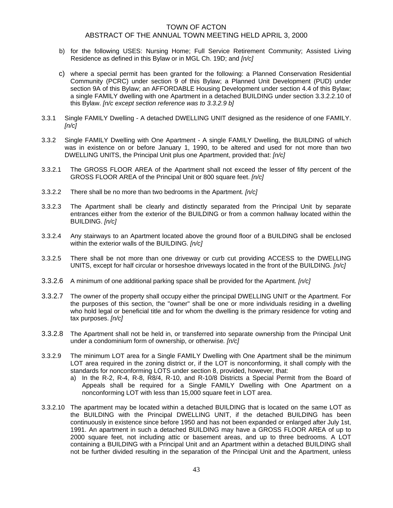- b) for the following USES: Nursing Home; Full Service Retirement Community; Assisted Living Residence as defined in this Bylaw or in MGL Ch. 19D; and *[n/c]*
- c) where a special permit has been granted for the following: a Planned Conservation Residential Community (PCRC) under section 9 of this Bylaw; a Planned Unit Development (PUD) under section 9A of this Bylaw; an AFFORDABLE Housing Development under section 4.4 of this Bylaw; a single FAMILY dwelling with one Apartment in a detached BUILDING under section 3.3.2.2.10 of this Bylaw. *[n/c except section reference was to 3.3.2.9 b]*
- 3.3.1 Single FAMILY Dwelling A detached DWELLING UNIT designed as the residence of one FAMILY. *[n/c]*
- 3.3.2 Single FAMILY Dwelling with One Apartment A single FAMILY Dwelling, the BUILDING of which was in existence on or before January 1, 1990, to be altered and used for not more than two DWELLING UNITS, the Principal Unit plus one Apartment, provided that: *[n/c]*
- 3.3.2.1 The GROSS FLOOR AREA of the Apartment shall not exceed the lesser of fifty percent of the GROSS FLOOR AREA of the Principal Unit or 800 square feet. *[n/c]*
- 3.3.2.2 There shall be no more than two bedrooms in the Apartment*. [n/c]*
- 3.3.2.3 The Apartment shall be clearly and distinctly separated from the Principal Unit by separate entrances either from the exterior of the BUILDING or from a common hallway located within the BUILDING. *[n/c]*
- 3.3.2.4 Any stairways to an Apartment located above the ground floor of a BUILDING shall be enclosed within the exterior walls of the BUILDING*. [n/c]*
- 3.3.2.5 There shall be not more than one driveway or curb cut providing ACCESS to the DWELLING UNITS, except for half circular or horseshoe driveways located in the front of the BUILDING*. [n/c]*
- 3.3.2.6 A minimum of one additional parking space shall be provided for the Apartment*. [n/c]*
- 3.3.2.7 The owner of the property shall occupy either the principal DWELLING UNIT or the Apartment. For the purposes of this section, the "owner" shall be one or more individuals residing in a dwelling who hold legal or beneficial title and for whom the dwelling is the primary residence for voting and tax purposes. *[n/c]*
- 3.3.2.8 The Apartment shall not be held in, or transferred into separate ownership from the Principal Unit under a condominium form of ownership, or otherwise*. [n/c]*
- 3.3.2.9 The minimum LOT area for a Single FAMILY Dwelling with One Apartment shall be the minimum LOT area required in the zoning district or, if the LOT is nonconforming, it shall comply with the standards for nonconforming LOTS under section 8, provided, however, that:
	- a) In the R-2, R-4, R-8, R8/4, R-10, and R-10/8 Districts a Special Permit from the Board of Appeals shall be required for a Single FAMILY Dwelling with One Apartment on a nonconforming LOT with less than 15,000 square feet in LOT area.
- 3.3.2.10 The apartment may be located within a detached BUILDING that is located on the same LOT as the BUILDING with the Principal DWELLING UNIT, if the detached BUILDING has been continuously in existence since before 1950 and has not been expanded or enlarged after July 1st, 1991. An apartment in such a detached BUILDING may have a GROSS FLOOR AREA of up to 2000 square feet, not including attic or basement areas, and up to three bedrooms. A LOT containing a BUILDING with a Principal Unit and an Apartment within a detached BUILDING shall not be further divided resulting in the separation of the Principal Unit and the Apartment, unless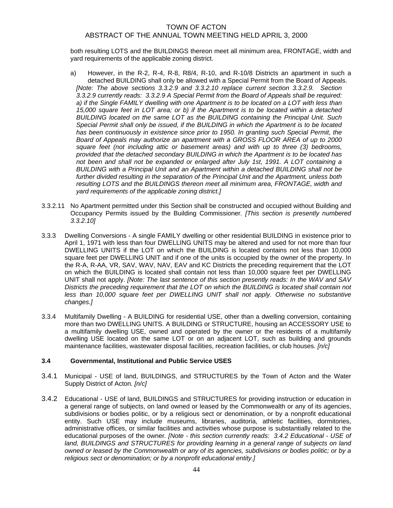both resulting LOTS and the BUILDINGS thereon meet all minimum area, FRONTAGE, width and yard requirements of the applicable zoning district.

- a) However, in the R-2, R-4, R-8, R8/4, R-10, and R-10/8 Districts an apartment in such a detached BUILDING shall only be allowed with a Special Permit from the Board of Appeals. *[Note: The above sections 3.3.2.9 and 3.3.2.10 replace current section 3.3.2.9. Section 3.3.2.9 currently reads: 3.3.2.9 A Special Permit from the Board of Appeals shall be required: a) if the Single FAMILY dwelling with one Apartment is to be located on a LOT with less than 15,000 square feet in LOT area; or b) if the Apartment is to be located within a detached BUILDING located on the same LOT as the BUILDING containing the Principal Unit. Such Special Permit shall only be issued, if the BUILDING in which the Apartment is to be located has been continuously in existence since prior to 1950. In granting such Special Permit, the Board of Appeals may authorize an apartment with a GROSS FLOOR AREA of up to 2000 square feet (not including attic or basement areas) and with up to three (3) bedrooms, provided that the detached secondary BUILDING in which the Apartment is to be located has not been and shall not be expanded or enlarged after July 1st, 1991. A LOT containing a BUILDING with a Principal Unit and an Apartment within a detached BUILDING shall not be further divided resulting in the separation of the Principal Unit and the Apartment, unless both resulting LOTS and the BUILDINGS thereon meet all minimum area, FRONTAGE, width and yard requirements of the applicable zoning district.]*
- 3.3.2.11 No Apartment permitted under this Section shall be constructed and occupied without Building and Occupancy Permits issued by the Building Commissioner*. [This section is presently numbered 3.3.2.10]*
- 3.3.3 Dwelling Conversions A single FAMILY dwelling or other residential BUILDING in existence prior to April 1, 1971 with less than four DWELLING UNITS may be altered and used for not more than four DWELLING UNITS if the LOT on which the BUILDING is located contains not less than 10,000 square feet per DWELLING UNIT and if one of the units is occupied by the owner of the property. In the R-A, R-AA, VR, SAV, WAV, NAV, EAV and KC Districts the preceding requirement that the LOT on which the BUILDING is located shall contain not less than 10,000 square feet per DWELLING UNIT shall not apply. *[Note: The last sentence of this section presently reads: In the WAV and SAV Districts the preceding requirement that the LOT on which the BUILDING is located shall contain not less than 10,000 square feet per DWELLING UNIT shall not apply. Otherwise no substantive changes.]*
- 3.3.4 Multifamily Dwelling A BUILDING for residential USE, other than a dwelling conversion, containing more than two DWELLING UNITS. A BUILDING or STRUCTURE, housing an ACCESSORY USE to a multifamily dwelling USE, owned and operated by the owner or the residents of a multifamily dwelling USE located on the same LOT or on an adjacent LOT, such as building and grounds maintenance facilities, wastewater disposal facilities, recreation facilities, or club houses*. [n/c]*

### **3.4 Governmental, Institutional and Public Service USES**

- 3.4.1 Municipal - USE of land, BUILDINGS, and STRUCTURES by the Town of Acton and the Water Supply District of Acton*. [n/c]*
- 3.4.2 Educational - USE of land, BUILDINGS and STRUCTURES for providing instruction or education in a general range of subjects, on land owned or leased by the Commonwealth or any of its agencies, subdivisions or bodies politic, or by a religious sect or denomination, or by a nonprofit educational entity. Such USE may include museums, libraries, auditoria, athletic facilities, dormitories, administrative offices, or similar facilities and activities whose purpose is substantially related to the educational purposes of the owner*. [Note - this section currently reads: 3.4.2 Educational - USE of*  land, BUILDINGS and STRUCTURES for providing learning in a general range of subjects on land *owned or leased by the Commonwealth or any of its agencies, subdivisions or bodies politic; or by a religious sect or denomination; or by a nonprofit educational entity.]*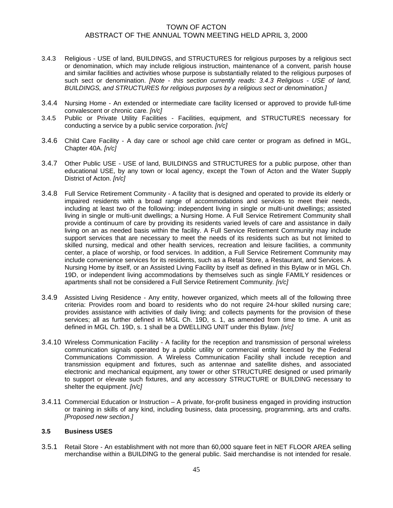- 3.4.3 Religious USE of land, BUILDINGS, and STRUCTURES for religious purposes by a religious sect or denomination, which may include religious instruction, maintenance of a convent, parish house and similar facilities and activities whose purpose is substantially related to the religious purposes of such sect or denomination. *[Note - this section currently reads: 3.4.3 Religious - USE of land, BUILDINGS, and STRUCTURES for religious purposes by a religious sect or denomination.]*
- 3.4.4 Nursing Home An extended or intermediate care facility licensed or approved to provide full-time convalescent or chronic care*. [n/c]*
- 3.4.5 Public or Private Utility Facilities Facilities, equipment, and STRUCTURES necessary for conducting a service by a public service corporation. *[n/c]*
- 3.4.6 Child Care Facility A day care or school age child care center or program as defined in MGL, Chapter 40A. *[n/c]*
- 3.4.7 Other Public USE USE of land, BUILDINGS and STRUCTURES for a public purpose, other than educational USE, by any town or local agency, except the Town of Acton and the Water Supply District of Acton. *[n/c]*
- 3.4.8 Full Service Retirement Community A facility that is designed and operated to provide its elderly or impaired residents with a broad range of accommodations and services to meet their needs, including at least two of the following: independent living in single or multi-unit dwellings; assisted living in single or multi-unit dwellings; a Nursing Home. A Full Service Retirement Community shall provide a continuum of care by providing its residents varied levels of care and assistance in daily living on an as needed basis within the facility. A Full Service Retirement Community may include support services that are necessary to meet the needs of its residents such as but not limited to skilled nursing, medical and other health services, recreation and leisure facilities, a community center, a place of worship, or food services. In addition, a Full Service Retirement Community may include convenience services for its residents, such as a Retail Store, a Restaurant, and Services. A Nursing Home by itself, or an Assisted Living Facility by itself as defined in this Bylaw or in MGL Ch. 19D, or independent living accommodations by themselves such as single FAMILY residences or apartments shall not be considered a Full Service Retirement Community*. [n/c]*
- 3.4.9 Assisted Living Residence Any entity, however organized, which meets all of the following three criteria: Provides room and board to residents who do not require 24-hour skilled nursing care; provides assistance with activities of daily living; and collects payments for the provision of these services; all as further defined in MGL Ch. 19D, s. 1, as amended from time to time. A unit as defined in MGL Ch. 19D, s. 1 shall be a DWELLING UNIT under this Bylaw. *[n/c]*
- 3.4.10 Wireless Communication Facility A facility for the reception and transmission of personal wireless communication signals operated by a public utility or commercial entity licensed by the Federal Communications Commission. A Wireless Communication Facility shall include reception and transmission equipment and fixtures, such as antennae and satellite dishes, and associated electronic and mechanical equipment, any tower or other STRUCTURE designed or used primarily to support or elevate such fixtures, and any accessory STRUCTURE or BUILDING necessary to shelter the equipment. *[n/c]*
- 3.4.11 Commercial Education or Instruction A private, for-profit business engaged in providing instruction or training in skills of any kind, including business, data processing, programming, arts and crafts. *[Proposed new section.]*

### **3.5 Business USES**

3.5.1 Retail Store - An establishment with not more than 60,000 square feet in NET FLOOR AREA selling merchandise within a BUILDING to the general public. Said merchandise is not intended for resale.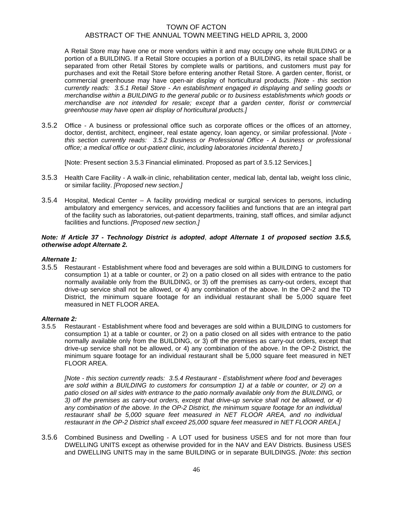A Retail Store may have one or more vendors within it and may occupy one whole BUILDING or a portion of a BUILDING. If a Retail Store occupies a portion of a BUILDING, its retail space shall be separated from other Retail Stores by complete walls or partitions, and customers must pay for purchases and exit the Retail Store before entering another Retail Store. A garden center, florist, or commercial greenhouse may have open-air display of horticultural products. *[Note - this section currently reads: 3.5.1 Retail Store - An establishment engaged in displaying and selling goods or merchandise within a BUILDING to the general public or to business establishments which goods or merchandise are not intended for resale; except that a garden center, florist or commercial greenhouse may have open air display of horticultural products.]*

3.5.2 Office - A business or professional office such as corporate offices or the offices of an attorney, doctor, dentist, architect, engineer, real estate agency, loan agency, or similar professional. [*Note this section currently reads: 3.5.2 Business or Professional Office - A business or professional office; a medical office or out-patient clinic, including laboratories incidental thereto.]* 

[Note: Present section 3.5.3 Financial eliminated. Proposed as part of 3.5.12 Services.]

- 3.5.3 Health Care Facility A walk-in clinic, rehabilitation center, medical lab, dental lab, weight loss clinic, or similar facility. *[Proposed new section.]*
- 3.5.4 Hospital, Medical Center A facility providing medical or surgical services to persons, including ambulatory and emergency services, and accessory facilities and functions that are an integral part of the facility such as laboratories, out-patient departments, training, staff offices, and similar adjunct facilities and functions. *[Proposed new section.]*

### *Note: If Article 37 - Technology District is adopted*, *adopt Alternate 1 of proposed section 3.5.5, otherwise adopt Alternate 2.*

### *Alternate 1:*

3.5.5 Restaurant - Establishment where food and beverages are sold within a BUILDING to customers for consumption 1) at a table or counter, or 2) on a patio closed on all sides with entrance to the patio normally available only from the BUILDING, or 3) off the premises as carry-out orders, except that drive-up service shall not be allowed, or 4) any combination of the above. In the OP-2 and the TD District, the minimum square footage for an individual restaurant shall be 5,000 square feet measured in NET FLOOR AREA.

#### *Alternate 2:*

3.5.5 Restaurant - Establishment where food and beverages are sold within a BUILDING to customers for consumption 1) at a table or counter, or 2) on a patio closed on all sides with entrance to the patio normally available only from the BUILDING, or 3) off the premises as carry-out orders, except that drive-up service shall not be allowed, or 4) any combination of the above. In the OP-2 District, the minimum square footage for an individual restaurant shall be 5,000 square feet measured in NET FLOOR AREA.

*[Note - this section currently reads: 3.5.4 Restaurant - Establishment where food and beverages are sold within a BUILDING to customers for consumption 1) at a table or counter, or 2) on a patio closed on all sides with entrance to the patio normally available only from the BUILDING, or 3) off the premises as carry-out orders, except that drive-up service shall not be allowed, or 4) any combination of the above. In the OP-2 District, the minimum square footage for an individual restaurant shall be 5,000 square feet measured in NET FLOOR AREA, and no individual restaurant in the OP-2 District shall exceed 25,000 square feet measured in NET FLOOR AREA.]* 

3.5.6 Combined Business and Dwelling - A LOT used for business USES and for not more than four DWELLING UNITS except as otherwise provided for in the NAV and EAV Districts. Business USES and DWELLING UNITS may in the same BUILDING or in separate BUILDINGS. *[Note: this section*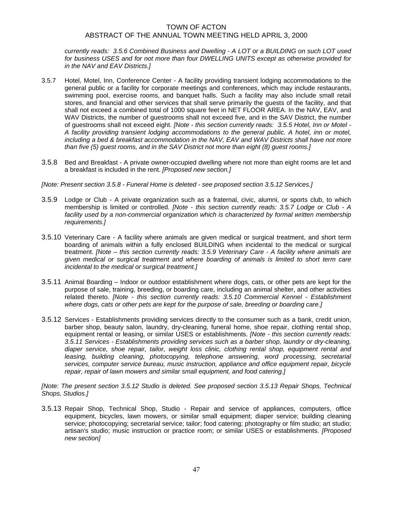*currently reads: 3.5.6 Combined Business and Dwelling - A LOT or a BUILDING on such LOT used for business USES and for not more than four DWELLING UNITS except as otherwise provided for in the NAV and EAV Districts.]* 

- 3.5.7 Hotel, Motel, Inn, Conference Center A facility providing transient lodging accommodations to the general public or a facility for corporate meetings and conferences, which may include restaurants, swimming pool, exercise rooms, and banquet halls. Such a facility may also include small retail stores, and financial and other services that shall serve primarily the guests of the facility, and that shall not exceed a combined total of 1000 square feet in NET FLOOR AREA. In the NAV, EAV, and WAV Districts, the number of guestrooms shall not exceed five, and in the SAV District, the number of guestrooms shall not exceed eight. *[Note - this section currently reads: 3.5.5 Hotel, Inn or Motel - A facility providing transient lodging accommodations to the general public. A hotel, inn or motel, including a bed & breakfast accommodation in the NAV, EAV and WAV Districts shall have not more than five (5) guest rooms, and in the SAV District not more than eight (8) guest rooms.]*
- 3.5.8 Bed and Breakfast A private owner-occupied dwelling where not more than eight rooms are let and a breakfast is included in the rent. *[Proposed new section.]*
- *[Note: Present section 3.5.8 Funeral Home is deleted see proposed section 3.5.12 Services.]*
- 3.5.9 Lodge or Club A private organization such as a fraternal, civic, alumni, or sports club, to which membership is limited or controlled. *[Note - this section currently reads: 3.5.7 Lodge or Club - A*  facility used by a non-commercial organization which is characterized by formal written membership *requirements.]*
- 3.5.10 Veterinary Care A facility where animals are given medical or surgical treatment, and short term boarding of animals within a fully enclosed BUILDING when incidental to the medical or surgical treatment. *[Note – this section currently reads: 3.5.9 Veterinary Care - A facility where animals are given medical or surgical treatment and where boarding of animals is limited to short term care incidental to the medical or surgical treatment.]*
- 3.5.11 Animal Boarding Indoor or outdoor establishment where dogs, cats, or other pets are kept for the purpose of sale, training, breeding, or boarding care, including an animal shelter, and other activities related thereto. *[Note - this section currently reads: 3.5.10 Commercial Kennel - Establishment where dogs, cats or other pets are kept for the purpose of sale, breeding or boarding care.]*
- 3.5.12 Services Establishments providing services directly to the consumer such as a bank, credit union, barber shop, beauty salon, laundry, dry-cleaning, funeral home, shoe repair, clothing rental shop, equipment rental or leasing, or similar USES or establishments. *[Note - this section currently reads: 3.5.11 Services - Establishments providing services such as a barber shop, laundry or dry-cleaning, diaper service, shoe repair, tailor, weight loss clinic, clothing rental shop, equipment rental and*  leasing, building cleaning, photocopying, telephone answering, word processing, secretarial *services, computer service bureau, music instruction, appliance and office equipment repair, bicycle repair, repair of lawn mowers and similar small equipment, and food catering.]*

*[Note: The present section 3.5.12 Studio is deleted. See proposed section 3.5.13 Repair Shops, Technical Shops, Studios.]* 

3.5.13 Repair Shop, Technical Shop, Studio - Repair and service of appliances, computers, office equipment, bicycles, lawn mowers, or similar small equipment; diaper service; building cleaning service; photocopying; secretarial service; tailor; food catering; photography or film studio; art studio; artisan's studio; music instruction or practice room; or similar USES or establishments. *[Proposed new section]*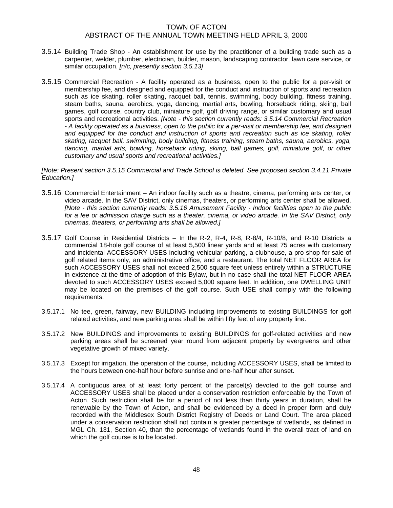- 3.5.14 Building Trade Shop An establishment for use by the practitioner of a building trade such as a carpenter, welder, plumber, electrician, builder, mason, landscaping contractor, lawn care service, or similar occupation. *[n/c, presently section 3.5.13]*
- 3.5.15 Commercial Recreation A facility operated as a business, open to the public for a per-visit or membership fee, and designed and equipped for the conduct and instruction of sports and recreation such as ice skating, roller skating, racquet ball, tennis, swimming, body building, fitness training, steam baths, sauna, aerobics, yoga, dancing, martial arts, bowling, horseback riding, skiing, ball games, golf course, country club, miniature golf, golf driving range, or similar customary and usual sports and recreational activities. *[Note - this section currently reads: 3.5.14 Commercial Recreation - A facility operated as a business, open to the public for a per-visit or membership fee, and designed and equipped for the conduct and instruction of sports and recreation such as ice skating, roller skating, racquet ball, swimming, body building, fitness training, steam baths, sauna, aerobics, yoga, dancing, martial arts, bowling, horseback riding, skiing, ball games, golf, miniature golf, or other customary and usual sports and recreational activities.]*

*[Note: Present section 3.5.15 Commercial and Trade School is deleted. See proposed section 3.4.11 Private Education.]* 

- 3.5.16 Commercial Entertainment An indoor facility such as a theatre, cinema, performing arts center, or video arcade. In the SAV District, only cinemas, theaters, or performing arts center shall be allowed. *[Note - this section currently reads: 3.5.16 Amusement Facility - Indoor facilities open to the public for a fee or admission charge such as a theater, cinema, or video arcade. In the SAV District, only cinemas, theaters, or performing arts shall be allowed.]*
- 3.5.17 Golf Course in Residential Districts In the R-2, R-4, R-8, R-8/4, R-10/8, and R-10 Districts a commercial 18-hole golf course of at least 5,500 linear yards and at least 75 acres with customary and incidental ACCESSORY USES including vehicular parking, a clubhouse, a pro shop for sale of golf related items only, an administrative office, and a restaurant. The total NET FLOOR AREA for such ACCESSORY USES shall not exceed 2,500 square feet unless entirely within a STRUCTURE in existence at the time of adoption of this Bylaw, but in no case shall the total NET FLOOR AREA devoted to such ACCESSORY USES exceed 5,000 square feet. In addition, one DWELLING UNIT may be located on the premises of the golf course. Such USE shall comply with the following requirements:
- 3.5.17.1 No tee, green, fairway, new BUILDING including improvements to existing BUILDINGS for golf related activities, and new parking area shall be within fifty feet of any property line.
- 3.5.17.2 New BUILDINGS and improvements to existing BUILDINGS for golf-related activities and new parking areas shall be screened year round from adjacent property by evergreens and other vegetative growth of mixed variety.
- 3.5.17.3 Except for irrigation, the operation of the course, including ACCESSORY USES, shall be limited to the hours between one-half hour before sunrise and one-half hour after sunset.
- 3.5.17.4 A contiguous area of at least forty percent of the parcel(s) devoted to the golf course and ACCESSORY USES shall be placed under a conservation restriction enforceable by the Town of Acton. Such restriction shall be for a period of not less than thirty years in duration, shall be renewable by the Town of Acton, and shall be evidenced by a deed in proper form and duly recorded with the Middlesex South District Registry of Deeds or Land Court. The area placed under a conservation restriction shall not contain a greater percentage of wetlands, as defined in MGL Ch. 131, Section 40, than the percentage of wetlands found in the overall tract of land on which the golf course is to be located.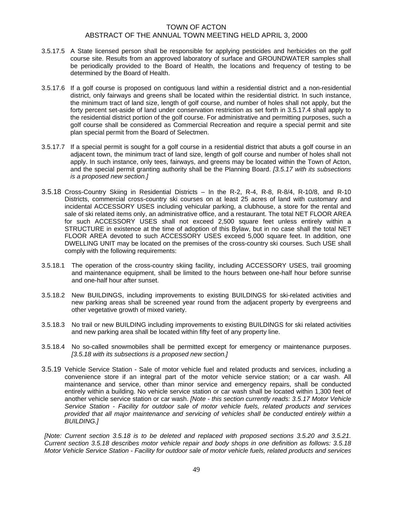- 3.5.17.5 A State licensed person shall be responsible for applying pesticides and herbicides on the golf course site. Results from an approved laboratory of surface and GROUNDWATER samples shall be periodically provided to the Board of Health, the locations and frequency of testing to be determined by the Board of Health.
- 3.5.17.6 If a golf course is proposed on contiguous land within a residential district and a non-residential district, only fairways and greens shall be located within the residential district. In such instance, the minimum tract of land size, length of golf course, and number of holes shall not apply, but the forty percent set-aside of land under conservation restriction as set forth in 3.5.17.4 shall apply to the residential district portion of the golf course. For administrative and permitting purposes, such a golf course shall be considered as Commercial Recreation and require a special permit and site plan special permit from the Board of Selectmen.
- 3.5.17.7 If a special permit is sought for a golf course in a residential district that abuts a golf course in an adjacent town, the minimum tract of land size, length of golf course and number of holes shall not apply. In such instance, only tees, fairways, and greens may be located within the Town of Acton, and the special permit granting authority shall be the Planning Board. *[3.5.17 with its subsections is a proposed new section.]*
- 3.5.18 Cross-Country Skiing in Residential Districts In the R-2, R-4, R-8, R-8/4, R-10/8, and R-10 Districts, commercial cross-country ski courses on at least 25 acres of land with customary and incidental ACCESSORY USES including vehicular parking, a clubhouse, a store for the rental and sale of ski related items only, an administrative office, and a restaurant. The total NET FLOOR AREA for such ACCESSORY USES shall not exceed 2,500 square feet unless entirely within a STRUCTURE in existence at the time of adoption of this Bylaw, but in no case shall the total NET FLOOR AREA devoted to such ACCESSORY USES exceed 5,000 square feet. In addition, one DWELLING UNIT may be located on the premises of the cross-country ski courses. Such USE shall comply with the following requirements:
- 3.5.18.1 The operation of the cross-country skiing facility, including ACCESSORY USES, trail grooming and maintenance equipment, shall be limited to the hours between one-half hour before sunrise and one-half hour after sunset.
- 3.5.18.2 New BUILDINGS, including improvements to existing BUILDINGS for ski-related activities and new parking areas shall be screened year round from the adjacent property by evergreens and other vegetative growth of mixed variety.
- 3.5.18.3 No trail or new BUILDING including improvements to existing BUILDINGS for ski related activities and new parking area shall be located within fifty feet of any property line.
- 3.5.18.4 No so-called snowmobiles shall be permitted except for emergency or maintenance purposes. *[3.5.18 with its subsections is a proposed new section.]*
- 3.5.19 Vehicle Service Station Sale of motor vehicle fuel and related products and services, including a convenience store if an integral part of the motor vehicle service station; or a car wash. All maintenance and service, other than minor service and emergency repairs, shall be conducted entirely within a building. No vehicle service station or car wash shall be located within 1,300 feet of another vehicle service station or car wash. *[Note - this section currently reads: 3.5.17 Motor Vehicle Service Station - Facility for outdoor sale of motor vehicle fuels, related products and services provided that all major maintenance and servicing of vehicles shall be conducted entirely within a BUILDING.]*

*[Note: Current section 3.5.18 is to be deleted and replaced with proposed sections 3.5.20 and 3.5.21. Current section 3.5.18 describes motor vehicle repair and body shops in one definition as follows: 3.5.18 Motor Vehicle Service Station - Facility for outdoor sale of motor vehicle fuels, related products and services*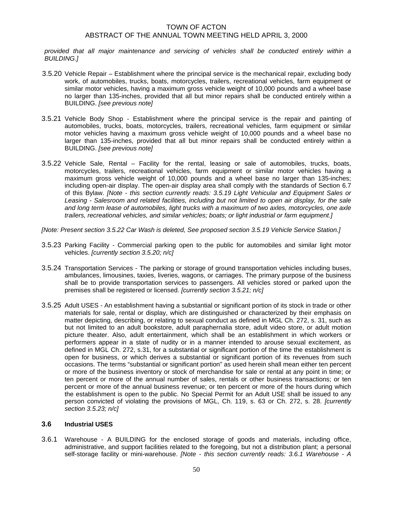*provided that all major maintenance and servicing of vehicles shall be conducted entirely within a BUILDING.]* 

- 3.5.20 Vehicle Repair Establishment where the principal service is the mechanical repair, excluding body work, of automobiles, trucks, boats, motorcycles, trailers, recreational vehicles, farm equipment or similar motor vehicles, having a maximum gross vehicle weight of 10,000 pounds and a wheel base no larger than 135-inches, provided that all but minor repairs shall be conducted entirely within a BUILDING. *[see previous note]*
- 3.5.21 Vehicle Body Shop Establishment where the principal service is the repair and painting of automobiles, trucks, boats, motorcycles, trailers, recreational vehicles, farm equipment or similar motor vehicles having a maximum gross vehicle weight of 10,000 pounds and a wheel base no larger than 135-inches, provided that all but minor repairs shall be conducted entirely within a BUILDING. *[see previous note]*
- 3.5.22 Vehicle Sale, Rental Facility for the rental, leasing or sale of automobiles, trucks, boats, motorcycles, trailers, recreational vehicles, farm equipment or similar motor vehicles having a maximum gross vehicle weight of 10,000 pounds and a wheel base no larger than 135-inches; including open-air display. The open-air display area shall comply with the standards of Section 6.7 of this Bylaw. *[Note - this section currently reads: 3.5.19 Light Vehicular and Equipment Sales or Leasing - Salesroom and related facilities, including but not limited to open air display, for the sale and long term lease of automobiles, light trucks with a maximum of two axles, motorcycles, one axle trailers, recreational vehicles, and similar vehicles; boats; or light industrial or farm equipment.]*
- *[Note: Present section 3.5.22 Car Wash is deleted, See proposed section 3.5.19 Vehicle Service Station.]*
- 3.5.23 Parking Facility Commercial parking open to the public for automobiles and similar light motor vehicles. *[currently section 3.5.20; n/c]*
- 3.5.24 Transportation Services The parking or storage of ground transportation vehicles including buses, ambulances, limousines, taxies, liveries, wagons, or carriages. The primary purpose of the business shall be to provide transportation services to passengers. All vehicles stored or parked upon the premises shall be registered or licensed. *[currently section 3.5.21; n/c]*
- 3.5.25 Adult USES An establishment having a substantial or significant portion of its stock in trade or other materials for sale, rental or display, which are distinguished or characterized by their emphasis on matter depicting, describing, or relating to sexual conduct as defined in MGL Ch. 272, s. 31, such as but not limited to an adult bookstore, adult paraphernalia store, adult video store, or adult motion picture theater. Also, adult entertainment, which shall be an establishment in which workers or performers appear in a state of nudity or in a manner intended to arouse sexual excitement, as defined in MGL Ch. 272, s.31, for a substantial or significant portion of the time the establishment is open for business, or which derives a substantial or significant portion of its revenues from such occasions. The terms "substantial or significant portion" as used herein shall mean either ten percent or more of the business inventory or stock of merchandise for sale or rental at any point in time; or ten percent or more of the annual number of sales, rentals or other business transactions; or ten percent or more of the annual business revenue; or ten percent or more of the hours during which the establishment is open to the public. No Special Permit for an Adult USE shall be issued to any person convicted of violating the provisions of MGL, Ch. 119, s. 63 or Ch. 272, s. 28. *[currently section 3.5.23; n/c]*

## **3.6 Industrial USES**

3.6.1 Warehouse - A BUILDING for the enclosed storage of goods and materials, including office, administrative, and support facilities related to the foregoing, but not a distribution plant; a personal self-storage facility or mini-warehouse. *[Note - this section currently reads: 3.6.1 Warehouse - A*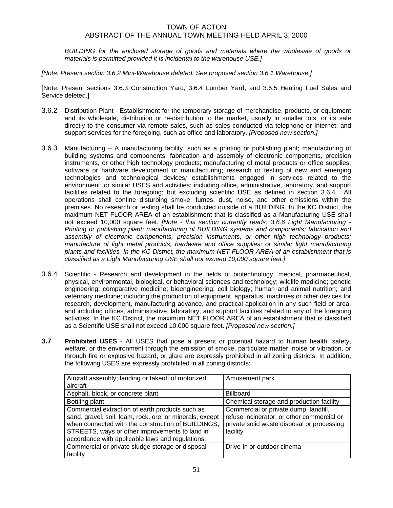*BUILDING for the enclosed storage of goods and materials where the wholesale of goods or materials is permitted provided it is incidental to the warehouse USE.]* 

*[Note: Present section 3.6.2 Mini-Warehouse deleted. See proposed section 3.6.1 Warehouse.]* 

[Note: Present sections 3.6.3 Construction Yard, 3.6.4 Lumber Yard, and 3.6.5 Heating Fuel Sales and Service deleted.]

- 3.6.2 Distribution Plant Establishment for the temporary storage of merchandise, products, or equipment and its wholesale, distribution or re-distribution to the market, usually in smaller lots, or its sale directly to the consumer via remote sales, such as sales conducted via telephone or Internet; and support services for the foregoing, such as office and laboratory. *[Proposed new section.]*
- 3.6.3 Manufacturing A manufacturing facility, such as a printing or publishing plant; manufacturing of building systems and components; fabrication and assembly of electronic components, precision instruments, or other high technology products; manufacturing of metal products or office supplies; software or hardware development or manufacturing; research or testing of new and emerging technologies and technological devices*;* establishments engaged in services related to the environment; or similar USES and activities; including office, administrative, laboratory, and support facilities related to the foregoing; but excluding scientific USE as defined in section 3.6.4. All operations shall confine disturbing smoke, fumes, dust, noise, and other emissions within the premises. No research or testing shall be conducted outside of a BUILDING. In the KC District, the maximum NET FLOOR AREA of an establishment that is classified as a Manufacturing USE shall not exceed 10,000 square feet. *[Note - this section currently reads: 3.6.6 Light Manufacturing - Printing or publishing plant; manufacturing of BUILDING systems and components; fabrication and assembly of electronic components, precision instruments, or other high technology products; manufacture of light metal products, hardware and office supplies; or similar light manufacturing plants and facilities. In the KC District, the maximum NET FLOOR AREA of an establishment that is classified as a Light Manufacturing USE shall not exceed 10,000 square feet.]*
- 3.6.4 Scientific Research and development in the fields of biotechnology, medical, pharmaceutical, physical, environmental, biological, or behavioral sciences and technology; wildlife medicine; genetic engineering; comparative medicine; bioengineering; cell biology; human and animal nutrition; and veterinary medicine; including the production of equipment, apparatus, machines or other devices for research, development, manufacturing advance, and practical application in any such field or area, and including offices, administrative, laboratory, and support facilities related to any of the foregoing activities. In the KC District, the maximum NET FLOOR AREA of an establishment that is classified as a Scientific USE shall not exceed 10,000 square feet. *[Proposed new section.]*
- **3.7 Prohibited USES** All USES that pose a present or potential hazard to human health, safety, welfare, or the environment through the emission of smoke, particulate matter, noise or vibration, or through fire or explosive hazard, or glare are expressly prohibited in all zoning districts. In addition, the following USES are expressly prohibited in all zoning districts:

| Aircraft assembly; landing or takeoff of motorized<br>aircraft                                                                                                    | Amusement park                                                                                                                    |
|-------------------------------------------------------------------------------------------------------------------------------------------------------------------|-----------------------------------------------------------------------------------------------------------------------------------|
|                                                                                                                                                                   |                                                                                                                                   |
| Asphalt, block, or concrete plant                                                                                                                                 | <b>Billboard</b>                                                                                                                  |
| Bottling plant                                                                                                                                                    | Chemical storage and production facility                                                                                          |
| Commercial extraction of earth products such as<br>sand, gravel, soil, loam, rock, ore, or minerals, except<br>when connected with the construction of BUILDINGS, | Commercial or private dump, landfill,<br>refuse incinerator, or other commercial or<br>private solid waste disposal or processing |
| STREETS, ways or other improvements to land in<br>accordance with applicable laws and regulations.                                                                | facility                                                                                                                          |
| Commercial or private sludge storage or disposal<br>facility                                                                                                      | Drive-in or outdoor cinema                                                                                                        |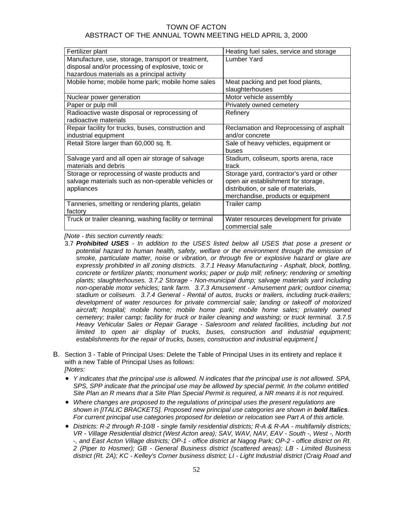| Fertilizer plant                                                                                                  | Heating fuel sales, service and storage                                                                                                                      |
|-------------------------------------------------------------------------------------------------------------------|--------------------------------------------------------------------------------------------------------------------------------------------------------------|
| Manufacture, use, storage, transport or treatment,<br>disposal and/or processing of explosive, toxic or           | Lumber Yard                                                                                                                                                  |
| hazardous materials as a principal activity                                                                       |                                                                                                                                                              |
| Mobile home; mobile home park; mobile home sales                                                                  | Meat packing and pet food plants,<br>slaughterhouses                                                                                                         |
| Nuclear power generation                                                                                          | Motor vehicle assembly                                                                                                                                       |
| Paper or pulp mill                                                                                                | Privately owned cemetery                                                                                                                                     |
| Radioactive waste disposal or reprocessing of<br>radioactive materials                                            | Refinery                                                                                                                                                     |
| Repair facility for trucks, buses, construction and<br>industrial equipment                                       | Reclamation and Reprocessing of asphalt<br>and/or concrete                                                                                                   |
| Retail Store larger than 60,000 sq. ft.                                                                           | Sale of heavy vehicles, equipment or<br>buses                                                                                                                |
| Salvage yard and all open air storage of salvage<br>materials and debris                                          | Stadium, coliseum, sports arena, race<br>track                                                                                                               |
| Storage or reprocessing of waste products and<br>salvage materials such as non-operable vehicles or<br>appliances | Storage yard, contractor's yard or other<br>open air establishment for storage,<br>distribution, or sale of materials,<br>merchandise, products or equipment |
| Tanneries, smelting or rendering plants, gelatin<br>factory                                                       | Trailer camp                                                                                                                                                 |
| Truck or trailer cleaning, washing facility or terminal                                                           | Water resources development for private<br>commercial sale                                                                                                   |

*[Note - this section currently reads:* 

- 3.7 *Prohibited USES In addition to the USES listed below all USES that pose a present or*  potential hazard to human health, safety, welfare or the environment through the emission of *smoke, particulate matter, noise or vibration, or through fire or explosive hazard or glare are expressly prohibited in all zoning districts. 3.7.1 Heavy Manufacturing - Asphalt, block, bottling, concrete or fertilizer plants; monument works; paper or pulp mill; refinery; rendering or smelting plants; slaughterhouses. 3.7.2 Storage - Non-municipal dump; salvage materials yard including non-operable motor vehicles; tank farm. 3.7.3 Amusement - Amusement park; outdoor cinema; stadium or coliseum. 3.7.4 General - Rental of autos, trucks or trailers, including truck-trailers; development of water resources for private commercial sale; landing or takeoff of motorized aircraft; hospital; mobile home; mobile home park; mobile home sales; privately owned cemetery; trailer camp; facility for truck or trailer cleaning and washing; or truck terminal. 3.7.5 Heavy Vehicular Sales or Repair Garage - Salesroom and related facilities, including but not*  limited to open air display of trucks, buses, construction and industrial equipment; *establishments for the repair of trucks, buses, construction and industrial equipment.]*
- B. Section 3 Table of Principal Uses: Delete the Table of Principal Uses in its entirety and replace it with a new Table of Principal Uses as follows: *[Notes:* 
	- *Y indicates that the principal use is allowed. N indicates that the principal use is not allowed. SPA, SPS, SPP indicate that the principal use may be allowed by special permit. In the column entitled Site Plan an R means that a Site Plan Special Permit is required, a NR means it is not required.*
	- *Where changes are proposed to the regulations of principal uses the present regulations are*  shown in [ITALIC BRACKETS]. Proposed new principal use categories are shown in **bold Italics**. *For current principal use categories proposed for deletion or relocation see Part A of this article.*
	- *Districts: R-2 through R-10/8 single family residential districts; R-A & R-AA multifamily districts; VR - Village Residential district (West Acton area); SAV, WAV, NAV, EAV - South -, West -, North -, and East Acton Village districts; OP-1 - office district at Nagog Park; OP-2 - office district on Rt. 2 (Piper to Hosmer); GB - General Business district (scattered areas); LB - Limited Business district (Rt. 2A); KC - Kelley's Corner business district; LI - Light Industrial district (Craig Road and*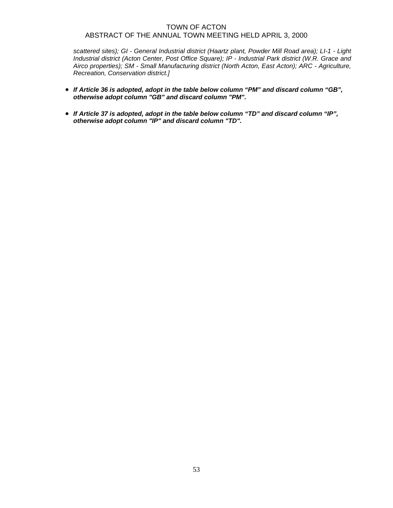*scattered sites); GI - General Industrial district (Haartz plant, Powder Mill Road area); LI-1 - Light Industrial district (Acton Center, Post Office Square); IP - Industrial Park district (W.R. Grace and Airco properties); SM - Small Manufacturing district (North Acton, East Acton); ARC - Agriculture, Recreation, Conservation district.]* 

- *If Article 36 is adopted, adopt in the table below column "PM" and discard column "GB", otherwise adopt column "GB" and discard column "PM".*
- *If Article 37 is adopted, adopt in the table below column "TD" and discard column "IP", otherwise adopt column "IP" and discard column "TD".*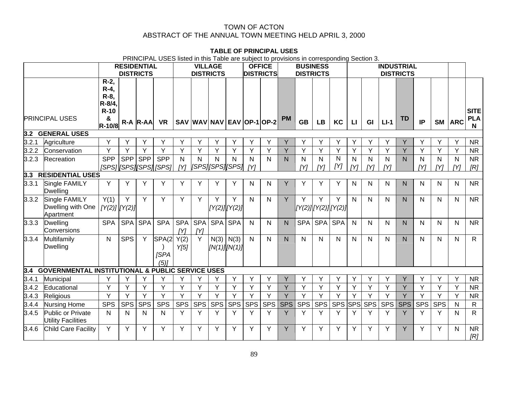#### **TABLE OF PRINCIPAL USES**

PRINCIPAL USES listed in this Table are subject to provisions in corresponding Section 3.

|       |                                                             | <b>RESIDENTIAL</b><br><b>DISTRICTS</b>                           |            |              | <b>VILLAGE</b><br><b>DISTRICTS</b>    |                     |                   |                           | <b>OFFICE</b><br><b>DISTRICTS</b> |            |              | <b>BUSINESS</b><br><b>DISTRICTS</b> |            |            | <b>INDUSTRIAL</b><br><b>DISTRICTS</b> |                     |                     |                     |            |                     |            |            |                                           |
|-------|-------------------------------------------------------------|------------------------------------------------------------------|------------|--------------|---------------------------------------|---------------------|-------------------|---------------------------|-----------------------------------|------------|--------------|-------------------------------------|------------|------------|---------------------------------------|---------------------|---------------------|---------------------|------------|---------------------|------------|------------|-------------------------------------------|
|       | <b>PRINCIPAL USES</b>                                       | $R-2$ ,<br>$R-4$ ,<br>R-8,<br>$R - 8/4$<br>$R-10$<br>&<br>R-10/8 |            | $R-A  R-AA $ | <b>VR</b>                             |                     |                   | SAV WAV NAV EAV OP-1 OP-2 |                                   |            |              | <b>PM</b>                           | <b>GB</b>  | <b>LB</b>  | KC                                    | $\mathbf{L}$        | GI                  | $LI-1$              | <b>TD</b>  | IP                  | <b>SM</b>  | <b>ARC</b> | <b>SITE</b><br><b>PLA</b><br>$\mathsf{N}$ |
|       | 3.2 GENERAL USES                                            |                                                                  |            |              |                                       |                     |                   |                           |                                   |            |              |                                     |            |            |                                       |                     |                     |                     |            |                     |            |            |                                           |
| 3.2.1 | Agriculture                                                 | Y                                                                | Y          |              | Υ                                     | Υ                   | Y                 | Υ                         | Y                                 | Υ          | Y            | Y                                   | Y          | Y          | Υ                                     | Y                   | Y                   | Y                   | Y          | Υ                   | Y          | Y          | <b>NR</b>                                 |
| 3.2.2 | Conservation                                                | Y                                                                | Y          | Y            | Y                                     | Y                   | Y                 | Y                         | Y                                 | Y          | Y            | Y                                   | Y          | Y          | Y                                     | Y                   | Y                   | Y                   | Y          | Y                   | Y          | Y          | <b>NR</b>                                 |
| 3.2.3 | Recreation                                                  | <b>SPP</b>                                                       | <b>SPP</b> | <b>SPP</b>   | <b>SPP</b><br>[SPS] [SPS] [SPS] [SPS] | $\mathsf{N}$<br>[Y] | N                 | N<br>[[SPS][SPS][SPS]     | N                                 | N<br>[Y]   | $\mathsf{N}$ | N                                   | N<br>IYI   | N<br>[Y]   | ${\sf N}$<br>[Y]                      | $\mathsf{N}$<br>[Y] | $\mathsf{N}$<br>[Y] | $\mathsf{N}$<br>[Y] | N.         | $\mathsf{N}$<br>[Y] | N<br>[Y]   | N<br>[Y]   | <b>NR</b><br>[R]                          |
|       | 3.3 RESIDENTIAL USES                                        |                                                                  |            |              |                                       |                     |                   |                           |                                   |            |              |                                     |            |            |                                       |                     |                     |                     |            |                     |            |            |                                           |
| 3.3.1 | Single FAMILY<br>Dwelling                                   | Y                                                                | Y          | Υ            | Y                                     | Y                   | Y                 | Y                         | Y                                 | N          | N            | Y                                   | Y          | Y          | Y                                     | $\mathsf{N}$        | N                   | N                   | N          | N                   | N          | N          | <b>NR</b>                                 |
| 3.3.2 | Single FAMILY<br>Dwelling with One<br>Apartment             | Y(1)<br>$[Y(2)]$ $[Y(2)]$                                        | Y          | Y            | Y                                     | Y                   | Y                 | Y                         | Y<br>[Y(2)] [Y(2)]                | N          | N            | Y                                   | Y          | Y          | Υ<br>[Y(2)][Y(2)][Y(2)]               | N.                  | N                   | N                   | N          | N                   | N          | N          | <b>NR</b>                                 |
| 3.3.3 | <b>Dwelling</b><br>Conversions                              | <b>SPA</b>                                                       | <b>SPA</b> | <b>SPA</b>   | <b>SPA</b>                            | <b>SPA</b><br>[Y]   | <b>SPA</b><br>[Y] |                           | SPA SPA                           | N          | N            | N.                                  | <b>SPA</b> | SPA        | <b>SPA</b>                            | $\mathsf{N}$        | N                   | N                   | N.         | N                   | N          | N          | <b>NR</b>                                 |
| 3.3.4 | Multifamily<br><b>Dwelling</b>                              | $\mathsf{N}$                                                     | <b>SPS</b> | Y            | SPA(2<br><b>SPA</b><br>$(5)$ ]        | Y(2)<br>Y[5]        | Y                 |                           | $N(3)$ $N(3)$<br>[N(1)] [N(1)]    | N          | N            | N.                                  | N          | N          | N                                     | N.                  | N                   | N                   | N          | N                   | N          | N          | $\mathsf{R}$                              |
| 3.4   | <b>GOVERNMENTAL INSTITUTIONAL &amp; PUBLIC SERVICE USES</b> |                                                                  |            |              |                                       |                     |                   |                           |                                   |            |              |                                     |            |            |                                       |                     |                     |                     |            |                     |            |            |                                           |
| 3.4.1 | Municipal                                                   | Y                                                                | Y          | Y            | Y                                     | Y                   | Y                 | Y                         | Y                                 | Y          | Υ            | Y                                   | Y          | Y          | Y                                     | Y                   | Υ                   | Y                   | Y          | Y                   | Y          | Y          | <b>NR</b>                                 |
| 3.4.2 | Educational                                                 | Y                                                                | Y          | Y            | Y                                     | Y                   | Y                 | Y                         | Y                                 | Y          | Y            | Y                                   | Y          | Y          | Y                                     | Y                   | Y                   | Y                   | Y          | Y                   | Y          | Y          | <b>NR</b>                                 |
| 3.4.3 | Religious                                                   | Ÿ                                                                | Ÿ          | Y            | Y                                     | Y                   | Y                 | Y                         | Y                                 | Y          | Ý            | Y                                   | Y          | Y          | Y                                     | Y                   | Ý                   | Y                   | Y          | Ý                   | Y          | Y          | <b>NR</b>                                 |
| 3.4.4 | Nursing Home                                                | <b>SPS</b>                                                       | <b>SPS</b> | <b>SPS</b>   | <b>SPS</b>                            | <b>SPS</b>          | SPS               | <b>SPS</b>                | <b>SPS</b>                        | <b>SPS</b> | <b>SPS</b>   | <b>SPS</b>                          | <b>SPS</b> | <b>SPS</b> | <b>SPS</b>                            | <b>SPS</b>          | <b>SPS</b>          | <b>SPS</b>          | <b>SPS</b> | <b>SPS</b>          | <b>SPS</b> | N          | $\mathsf{R}$                              |
| 3.4.5 | Public or Private<br><b>Utility Facilities</b>              | N                                                                | N          | N            | N                                     | Y                   | Y                 | Y                         | Y                                 | Y          | Y            | Y                                   | Y          | Y          | Y                                     | Y                   | Y                   | Y                   | Y          | Y                   | Y          | N          | $\mathsf{R}$                              |
| 3.4.6 | Child Care Facility                                         | Y                                                                | Y          | Y            | Y                                     | Y                   | Y                 | Y                         | Y                                 | Y          | Y            | Y                                   | Y          | Y          | Y                                     | Y                   | Y                   | Y                   | Y          | Y                   | Y          | N          | <b>NR</b><br>[R]                          |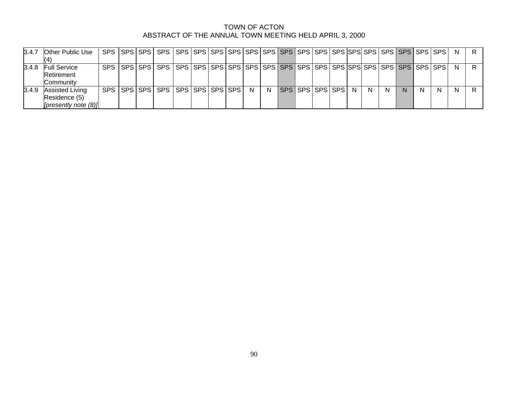| 3.4.7 | <b>Other Public Use</b>                                         |  |                                                                                                                 |  |  |   |    |                   |  |              |    |    |   |    | - N |  |
|-------|-----------------------------------------------------------------|--|-----------------------------------------------------------------------------------------------------------------|--|--|---|----|-------------------|--|--------------|----|----|---|----|-----|--|
| 3.4.8 | <b>Full Service</b><br>Retirement<br>Community                  |  | SPS   SPS   SPS   SPS   SPS   SPS   SPS   SPS   SPS   SPS   SPS   SPS   SPS   SPS   SPS   SPS   SPS   SPS   SPS |  |  |   |    |                   |  |              |    |    |   |    | -N  |  |
| 3.4.9 | <b>Assisted Living</b><br>Residence (5)<br>[presently note (8)] |  | SPS   SPS   SPS   SPS   SPS   SPS   SPS   SPS                                                                   |  |  | N | N. | SPS SPS SPS SPS N |  | <sup>N</sup> | -N | N. | N | N. | N   |  |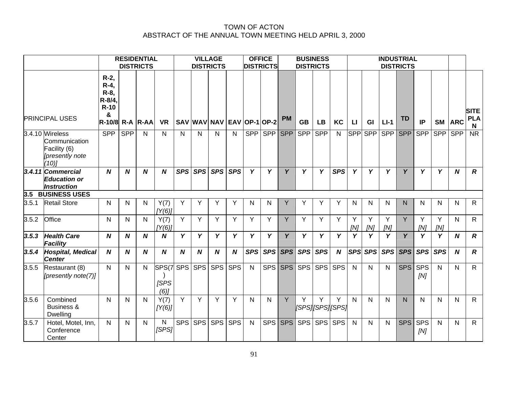|       | <b>RESIDENTIAL</b><br><b>DISTRICTS</b>                                      |                                                                               |                  |                  |                                    | <b>VILLAGE</b><br><b>DISTRICTS</b> |                  |                           | <b>OFFICE</b><br><b>DISTRICTS</b> |              | <b>BUSINESS</b><br><b>DISTRICTS</b> |            | <b>INDUSTRIAL</b><br><b>DISTRICTS</b> |                              |                  |              |            |            |              |                   |              |                  |                                |
|-------|-----------------------------------------------------------------------------|-------------------------------------------------------------------------------|------------------|------------------|------------------------------------|------------------------------------|------------------|---------------------------|-----------------------------------|--------------|-------------------------------------|------------|---------------------------------------|------------------------------|------------------|--------------|------------|------------|--------------|-------------------|--------------|------------------|--------------------------------|
|       | <b>PRINCIPAL USES</b>                                                       | R-2,<br>$R-4$ ,<br>$R-8$ ,<br>R-8/4,<br>$R-10$<br>&<br><b>R-10/8 R-A R-AA</b> |                  |                  | <b>VR</b>                          |                                    |                  | SAV WAV NAV EAV OP-1 OP-2 |                                   |              |                                     | <b>PM</b>  | <b>GB</b>                             | <b>LB</b>                    | KC               | $\mathbf{L}$ | GI         | $L - 1$    | <b>TD</b>    | IP                | <b>SM</b>    | <b>ARC</b>       | <b>SITE</b><br><b>PLA</b><br>N |
|       | 3.4.10 Wireless<br>Communication<br>Facility (6)<br>[presently note<br>(10) | <b>SPP</b>                                                                    | <b>SPP</b>       | N                | N.                                 | $\mathsf{N}$                       | N                | N                         | $\mathsf{N}$                      | <b>SPP</b>   | <b>SPP</b>                          | <b>SPP</b> | <b>SPP</b>                            | <b>SPP</b>                   | N                | <b>SPP</b>   | <b>SPP</b> | <b>SPP</b> | <b>SPP</b>   | <b>SPP</b>        | <b>SPP</b>   | <b>SPP</b>       | $\overline{\text{NR}}$         |
|       | 3.4.11 Commercial<br><b>Education or</b><br>Instruction                     | $\boldsymbol{N}$                                                              | N                | $\boldsymbol{N}$ | N                                  | <b>SPS</b>                         | <b>SPS</b>       | <b>SPS</b>                | <b>SPS</b>                        | Y            | Y                                   | Y          | Y                                     | Y                            | <b>SPS</b>       | Y            | Y          | Y          | Y            | Y                 | Y            | $\boldsymbol{N}$ | $\overline{R}$                 |
|       | 3.5 BUSINESS USES                                                           |                                                                               |                  |                  |                                    |                                    |                  |                           |                                   |              |                                     |            |                                       |                              |                  |              |            |            |              |                   |              |                  |                                |
| 3.5.1 | <b>Retail Store</b>                                                         | N                                                                             | N                | $\mathsf{N}$     | Y(7)<br>[Y(6)]                     | Y                                  | Y                | Y                         | Y                                 | N            | N                                   | Y          | Y                                     | Y                            | Y                | N            | N          | N          | $\mathsf{N}$ | N                 | N            | N                | R.                             |
| 3.5.2 | Office                                                                      | $\mathsf{N}$                                                                  | Ν                | $\mathsf{N}$     | Y(7)<br>[Y(6)]                     | Y                                  | Y                | Y                         | Y                                 | Y            | Y                                   | Y          | Y                                     | Y                            | Y                | Y<br>[N]     | Y<br>[N]   | Y<br>[N]   | Y            | Y<br>[N]          | Y<br>[N]     | N                | R.                             |
| 3.5.3 | <b>Health Care</b><br>Facility                                              | N                                                                             | N                | $\boldsymbol{N}$ | N                                  | Y                                  | Y                | Y                         | Y                                 | Y            | Y                                   | Y          | Y                                     | Y                            | Y                | Y            | Y          | Y          | Y            | Y                 | Y            | $\boldsymbol{N}$ | $\boldsymbol{R}$               |
| 3.5.4 | <b>Hospital, Medical</b><br><b>Center</b>                                   | N                                                                             | $\boldsymbol{N}$ | $\boldsymbol{N}$ | $\boldsymbol{N}$                   | $\boldsymbol{N}$                   | $\boldsymbol{N}$ | $\boldsymbol{N}$          | $\boldsymbol{N}$                  | <b>SPS</b>   | SPS <sup> </sup>                    | <b>SPS</b> | <b>SPS</b>                            | <b>SPS</b>                   | $\boldsymbol{N}$ | <b>SPS</b>   | <b>SPS</b> | <b>SPS</b> | <b>SPS</b>   | <b>SPS</b>        | <b>SPS</b>   | $\boldsymbol{N}$ | $\boldsymbol{R}$               |
| 3.5.5 | Restaurant (8)<br>[presently note(7)]                                       | N                                                                             | N                | N                | SPS(7 SPS<br><b>SPS</b><br>$(6)$ ] |                                    | <b>SPS</b>       | <b>SPS</b>                | <b>SPS</b>                        | $\mathsf{N}$ |                                     | SPS SPS    | <b>SPS</b>                            | <b>SPS</b>                   | <b>SPS</b>       | $\mathsf{N}$ | N          | N          | <b>SPS</b>   | SPS<br>[N]        | $\mathsf{N}$ | N                | R.                             |
| 3.5.6 | Combined<br><b>Business &amp;</b><br><b>Dwelling</b>                        | N                                                                             | N                | N                | Y(7)<br>[Y(6)]                     | Y                                  | Y                | Υ                         | Y                                 | N            | N                                   | Y          | Y                                     | Υ<br>  <i> SPS  SPS  SPS</i> | Y                | N            | N          | N          | N            | N                 | N            | N                | R.                             |
| 3.5.7 | Hotel, Motel, Inn,<br>Conference<br>Center                                  | N                                                                             | N                | N                | N<br>[SPS]                         | <b>SPS</b>                         | <b>SPS</b>       | <b>SPS</b>                | <b>SPS</b>                        | N            | <b>SPS</b>                          | <b>SPS</b> | <b>SPS</b>                            | <b>SPS</b>                   | <b>SPS</b>       | $\mathsf{N}$ | N          | N          | <b>SPS</b>   | <b>SPS</b><br>[N] | $\mathsf{N}$ | N                | R.                             |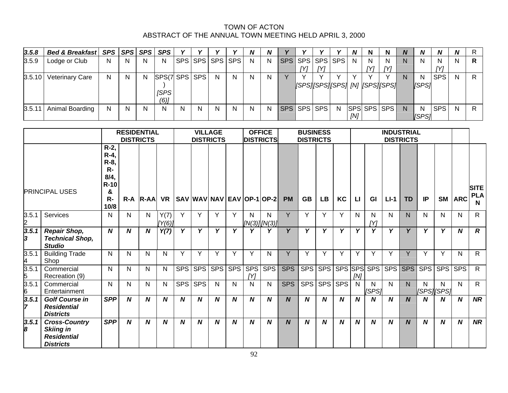| 3.5.8 | Bed & Breakfast   SPS   SPS   SPS   SPS |   |   |   |               |   |   |              |                 | N            | N            |                 |     |   | N.  | N           | N   | N  | N            | N          | <b>N</b> |  |
|-------|-----------------------------------------|---|---|---|---------------|---|---|--------------|-----------------|--------------|--------------|-----------------|-----|---|-----|-------------|-----|----|--------------|------------|----------|--|
| 3.5.9 | Lodge or Club                           | N | N | N | N             |   |   |              | SPS SPS SPS SPS | N.           | N.           | SPS SPS SPS SPS |     |   | N.  | N           | N   | N. | N            | N.         | N        |  |
|       |                                         |   |   |   |               |   |   |              |                 |              |              | IYI -           | IYI |   |     | ΓY1         | TV1 |    |              | ΓY1        |          |  |
|       | 3.5.10 Veterinary Care                  | N | N | N | SPS(7 SPS SPS |   |   | <sup>N</sup> | N               | <sup>N</sup> | <sub>N</sub> |                 |     |   |     |             |     | N  | N            | <b>SPS</b> | N        |  |
|       |                                         |   |   |   |               |   |   |              |                 |              |              |                 |     |   |     |             |     |    | ISPS1        |            |          |  |
|       |                                         |   |   |   | <b>ISPS</b>   |   |   |              |                 |              |              |                 |     |   |     |             |     |    |              |            |          |  |
|       |                                         |   |   |   | (6)           |   |   |              |                 |              |              |                 |     |   |     |             |     |    |              |            |          |  |
|       | $3.5.11$ Animal Boarding                | N | N | N | N             | N | N | N            | N.              | N            | N            | SPS SPS SPS     |     | N |     | SPS SPS SPS |     | N. | N            | <b>SPS</b> | N        |  |
|       |                                         |   |   |   |               |   |   |              |                 |              |              |                 |     |   | [N] |             |     |    | <b>ISPS1</b> |            |          |  |

|             |                                                                                    |                                                                            | <b>RESIDENTIAL</b><br><b>DISTRICTS</b> |                  |                | <b>OFFICE</b><br><b>VILLAGE</b><br><b>DISTRICTS</b><br><b>DISTRICTS</b> |                  |   |                  |                   | <b>BUSINESS</b><br><b>DISTRICTS</b> |            |                  |                  |                  |                        | <b>INDUSTRIAL</b><br><b>DISTRICTS</b> |        |                  |              |                  |                  |                                |
|-------------|------------------------------------------------------------------------------------|----------------------------------------------------------------------------|----------------------------------------|------------------|----------------|-------------------------------------------------------------------------|------------------|---|------------------|-------------------|-------------------------------------|------------|------------------|------------------|------------------|------------------------|---------------------------------------|--------|------------------|--------------|------------------|------------------|--------------------------------|
|             | <b>PRINCIPAL USES</b>                                                              | $R-2$ ,<br>$R-4$ ,<br>R-8,<br>$R-$<br>8/4,<br>$R-10$<br>&<br>$R -$<br>10/8 | $R - A$                                | $R-AA$           | <b>VR</b>      |                                                                         |                  |   |                  |                   | SAV   WAV   NAV   EAV   OP-1   OP-2 | <b>PM</b>  | <b>GB</b>        | <b>LB</b>        | <b>KC</b>        | $\mathsf{L}\mathsf{I}$ | GI                                    | $LI-1$ | <b>TD</b>        | IP           | <b>SM</b>        | <b>ARC</b>       | <b>SITE</b><br><b>PLA</b><br>N |
| 3.5.1<br>2  | Services                                                                           | N                                                                          | N                                      | N                | Y(7)<br>[Y(6)] | Y                                                                       | Y                | Y | Y                | N                 | N<br>$[N(3)]$ [N(3)]                | Y          | Y                | Y                | Y                | N                      | N<br>[Y]                              | N      | N                | N            | N.               | N                | $\mathsf{R}$                   |
| 3.5.1<br>3  | <b>Repair Shop,</b><br><b>Technical Shop,</b><br><b>Studio</b>                     | $\boldsymbol{N}$                                                           | N                                      | $\boldsymbol{N}$ | Y(7)           | Y                                                                       | Y                | Y | Y                | Y                 | Υ                                   | Υ          | Y                | v                | Y                | Y                      | v                                     | Y      | Y                | Y            | Y                | N                | $\boldsymbol{R}$               |
| 3.5.1<br>4  | <b>Building Trade</b><br>Shop                                                      | $\mathsf{N}$                                                               | N                                      | N                | N              | Y                                                                       | Y                | Y | Y                | $\checkmark$      | N                                   | Y          | v                | $\vee$           | $\checkmark$     | Y                      | Y                                     | v      | Y                | $\checkmark$ | Y                | N                | $\mathsf{R}$                   |
| 3.5.1<br>5  | Commercial<br>Recreation (9)                                                       | $\mathsf{N}$                                                               | N                                      | N                | N              | <b>SPS</b>                                                              | <b>SPS</b>       |   | SPS SPS          | <b>SPS</b><br>[Y] | <b>SPS</b>                          | <b>SPS</b> | <b>SPS</b>       | <b>SPS</b>       | <b>SPS</b>       | [N]                    | $ {\rm SPS} $ SPS $ $                 |        | SPS SPS          | <b>SPS</b>   | <b>SPS</b>       | <b>SPS</b>       | $\mathsf{R}$                   |
| 3.5.1<br>6  | Commercial<br>Entertainment                                                        | N.                                                                         | N                                      | N                | N              | <b>SPS</b>                                                              | <b>SPS</b>       | N | N                | N                 | N                                   | <b>SPS</b> | <b>SPS</b>       | <b>SPS</b>       | <b>SPS</b>       | N.                     | N<br>[SPS]                            | N      | N                | N            | N.<br>[SPS][SPS] | N                | $\mathsf{R}$                   |
| 3.5.1<br>17 | <b>Golf Course in</b><br><b>Residential</b><br><b>Districts</b>                    | <b>SPP</b>                                                                 | N                                      | $\boldsymbol{N}$ | N              | $\boldsymbol{N}$                                                        | $\boldsymbol{N}$ | N | $\boldsymbol{N}$ | $\boldsymbol{N}$  | $\boldsymbol{N}$                    | N          | $\boldsymbol{N}$ | $\boldsymbol{N}$ | $\boldsymbol{N}$ | $\boldsymbol{N}$       | N                                     | N      | $\boldsymbol{N}$ | N            | N                | $\boldsymbol{N}$ | <b>NR</b>                      |
| 3.5.1<br>8  | <b>Cross-Country</b><br><b>Skiing in</b><br><b>Residential</b><br><b>Districts</b> | <b>SPP</b>                                                                 | N                                      | N                | N              | N                                                                       | N                | N | N                | N                 | N                                   | N          | N                | N                | N                | $\boldsymbol{N}$       | N                                     | N      | N                | N            | $\boldsymbol{N}$ | N                | <b>NR</b>                      |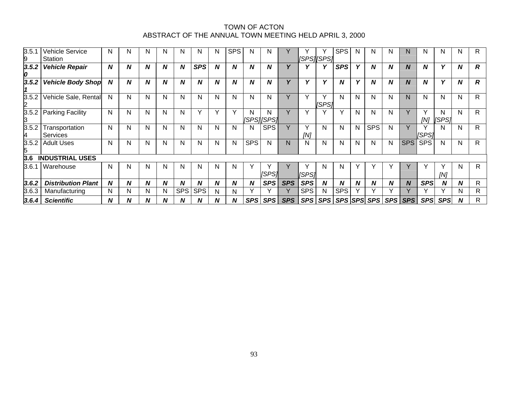| 3.5.1<br>9              | <b>Vehicle Service</b><br>Station | N            | N | N | N | N          | N            | N | <b>SPS</b>       | N          | N               |            |            | [SPS][SPS]   | <b>SPS</b> | N            | N           | N                | N                | N          | N          | N | R                |
|-------------------------|-----------------------------------|--------------|---|---|---|------------|--------------|---|------------------|------------|-----------------|------------|------------|--------------|------------|--------------|-------------|------------------|------------------|------------|------------|---|------------------|
| 3.5.2<br>0              | <b>Vehicle Repair</b>             | N            | N | N | N | N          | <b>SPS</b>   | N | N                | N          | N               |            |            |              | <b>SPS</b> | Y            | N           | N                | N                | N          | Υ          | N | $\boldsymbol{R}$ |
| 3.5.2                   | <b>Vehicle Body Shop</b>          | N            | N | N | N | N          | N            | N | $\boldsymbol{N}$ | N          | N               | v          | v          | $\mathbf{v}$ | N          | v            | N           | N                | $\boldsymbol{N}$ | N          | v          | N | $\boldsymbol{R}$ |
| 3.5.2<br>$\overline{2}$ | Vehicle Sale, Rental              | Ν            | N | N | N | N          | N            | N | N                | N          | N               |            |            | [SPS]        | N          | N            | N           | N                | N                | N          | N          | N | $\mathsf{R}$     |
| 3.5.2<br>IЗ             | <b>Parking Facility</b>           | $\mathsf{N}$ | N | N | N | N          | $\checkmark$ |   | $\checkmark$     | N          | N<br>[SPS][SPS] | $\sqrt{}$  |            |              |            | N            | N           | N                | v                | [N]        | N<br>[SPS] | N | R                |
| 3.5.2<br>4              | Transportation<br>Services        | N            | N | N | N | N          | N            | N | N                | N          | <b>SPS</b>      | $\vee$     | [N]        | N            | N          | N            | <b>SPS</b>  | N                | $\vee$           | [SPS]      | N          | N | R                |
| 3.5.2<br>5              | <b>Adult Uses</b>                 | N.           | N | N | N | N          | N            | N | N                | <b>SPS</b> | N               | N          | N          | N            | N          | N            | N           | N                | <b>SPS</b>       | <b>SPS</b> | N          | N | R.               |
| 3.6                     | <b>INDUSTRIAL USES</b>            |              |   |   |   |            |              |   |                  |            |                 |            |            |              |            |              |             |                  |                  |            |            |   |                  |
| 3.6.1                   | Warehouse                         | N            | N | N | N | N          | N            | N | N                |            | <b>SPS1</b>     |            | [SPS]      | N            | N          | $\checkmark$ |             |                  |                  |            | [N]        | N | R.               |
| 3.6.2                   | <b>Distribution Plant</b>         | N            | N | N | Ν | N          | N            | N | N                | N          | <b>SPS</b>      | <b>SPS</b> | <b>SPS</b> | N            | N          | N            | N           | N                | N                | <b>SPS</b> | N          | N | R                |
| 3.6.3                   | Manufacturing                     | N            | N | N | N | <b>SPS</b> | <b>SPS</b>   | N | N                |            |                 |            | <b>SPS</b> | N            | <b>SPS</b> |              |             |                  |                  |            |            | N | $\mathsf{R}$     |
| 3.6.4                   | <b>Scientific</b>                 | N            | N | N |   | N          | N            | N | N                | <b>SPS</b> | <b>SPS</b>      | <b>SPS</b> | <b>SPS</b> | <b>SPS</b>   |            |              | SPS SPS SPS | SPS <sup>I</sup> | <b>SPS</b>       | <b>SPS</b> | <b>SPS</b> | N | R                |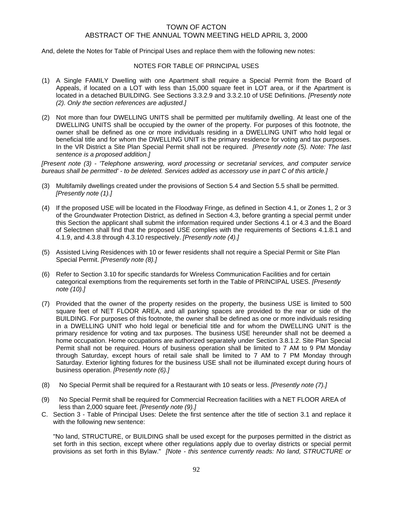And, delete the Notes for Table of Principal Uses and replace them with the following new notes:

### NOTES FOR TABLE OF PRINCIPAL USES

- (1) A Single FAMILY Dwelling with one Apartment shall require a Special Permit from the Board of Appeals, if located on a LOT with less than 15,000 square feet in LOT area, or if the Apartment is located in a detached BUILDING. See Sections 3.3.2.9 and 3.3.2.10 of USE Definitions. *[Presently note (2). Only the section references are adjusted.]*
- (2) Not more than four DWELLING UNITS shall be permitted per multifamily dwelling. At least one of the DWELLING UNITS shall be occupied by the owner of the property. For purposes of this footnote, the owner shall be defined as one or more individuals residing in a DWELLING UNIT who hold legal or beneficial title and for whom the DWELLING UNIT is the primary residence for voting and tax purposes. In the VR District a Site Plan Special Permit shall not be required. *[Presently note (5). Note: The last sentence is a proposed addition.]*

*[Present note (3) - 'Telephone answering, word processing or secretarial services, and computer service bureaus shall be permitted' - to be deleted. Services added as accessory use in part C of this article.]* 

- (3) Multifamily dwellings created under the provisions of Section 5.4 and Section 5.5 shall be permitted. *[Presently note (1).]*
- (4) If the proposed USE will be located in the Floodway Fringe, as defined in Section 4.1, or Zones 1, 2 or 3 of the Groundwater Protection District, as defined in Section 4.3, before granting a special permit under this Section the applicant shall submit the information required under Sections 4.1 or 4.3 and the Board of Selectmen shall find that the proposed USE complies with the requirements of Sections 4.1.8.1 and 4.1.9, and 4.3.8 through 4.3.10 respectively. *[Presently note (4).]*
- (5) Assisted Living Residences with 10 or fewer residents shall not require a Special Permit or Site Plan Special Permit. *[Presently note (8).]*
- (6) Refer to Section 3.10 for specific standards for Wireless Communication Facilities and for certain categorical exemptions from the requirements set forth in the Table of PRINCIPAL USES. *[Presently note (10).]*
- (7) Provided that the owner of the property resides on the property, the business USE is limited to 500 square feet of NET FLOOR AREA, and all parking spaces are provided to the rear or side of the BUILDING. For purposes of this footnote, the owner shall be defined as one or more individuals residing in a DWELLING UNIT who hold legal or beneficial title and for whom the DWELLING UNIT is the primary residence for voting and tax purposes. The business USE hereunder shall not be deemed a home occupation. Home occupations are authorized separately under Section 3.8.1.2. Site Plan Special Permit shall not be required. Hours of business operation shall be limited to 7 AM to 9 PM Monday through Saturday, except hours of retail sale shall be limited to 7 AM to 7 PM Monday through Saturday. Exterior lighting fixtures for the business USE shall not be illuminated except during hours of business operation. *[Presently note (6).]*
- (8) No Special Permit shall be required for a Restaurant with 10 seats or less. *[Presently note (7).]*
- (9) No Special Permit shall be required for Commercial Recreation facilities with a NET FLOOR AREA of less than 2,000 square feet. *[Presently note (9).]*
- C. Section 3 Table of Principal Uses: Delete the first sentence after the title of section 3.1 and replace it with the following new sentence:

"No land, STRUCTURE, or BUILDING shall be used except for the purposes permitted in the district as set forth in this section, except where other regulations apply due to overlay districts or special permit provisions as set forth in this Bylaw." *[Note - this sentence currently reads: No land, STRUCTURE or*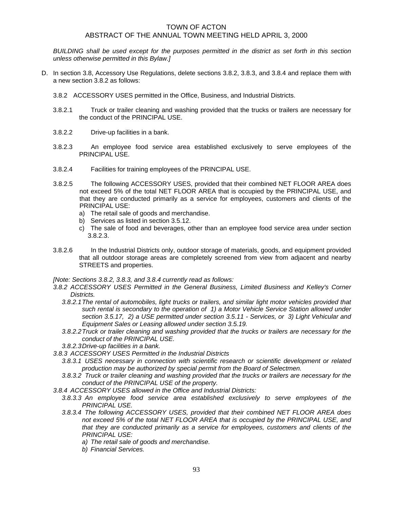*BUILDING shall be used except for the purposes permitted in the district as set forth in this section unless otherwise permitted in this Bylaw.]* 

- D. In section 3.8, Accessory Use Regulations, delete sections 3.8.2, 3.8.3, and 3.8.4 and replace them with a new section 3.8.2 as follows:
	- 3.8.2 ACCESSORY USES permitted in the Office, Business, and Industrial Districts.
	- 3.8.2.1 Truck or trailer cleaning and washing provided that the trucks or trailers are necessary for the conduct of the PRINCIPAL USE.
	- 3.8.2.2 Drive-up facilities in a bank.
	- 3.8.2.3 An employee food service area established exclusively to serve employees of the PRINCIPAL USE.
	- 3.8.2.4 Facilities for training employees of the PRINCIPAL USE.
	- 3.8.2.5 The following ACCESSORY USES, provided that their combined NET FLOOR AREA does not exceed 5% of the total NET FLOOR AREA that is occupied by the PRINCIPAL USE, and that they are conducted primarily as a service for employees, customers and clients of the PRINCIPAL USE:
		- a) The retail sale of goods and merchandise.
		- b) Services as listed in section 3.5.12.
		- c) The sale of food and beverages, other than an employee food service area under section 3.8.2.3.
	- 3.8.2.6 In the Industrial Districts only, outdoor storage of materials, goods, and equipment provided that all outdoor storage areas are completely screened from view from adjacent and nearby STREETS and properties.

*[Note: Sections 3.8.2, 3.8.3, and 3.8.4 currently read as follows:* 

- *3.8.2 ACCESSORY USES Permitted in the General Business, Limited Business and Kelley's Corner Districts.* 
	- *3.8.2.1 The rental of automobiles, light trucks or trailers, and similar light motor vehicles provided that such rental is secondary to the operation of 1) a Motor Vehicle Service Station allowed under section 3.5.17, 2) a USE permitted under section 3.5.11 - Services, or 3) Light Vehicular and Equipment Sales or Leasing allowed under section 3.5.19.*
	- *3.8.2.2 Truck or trailer cleaning and washing provided that the trucks or trailers are necessary for the conduct of the PRINCIPAL USE.*
	- *3.8.2.3 Drive-up facilities in a bank.*
- *3.8.3 ACCESSORY USES Permitted in the Industrial Districts* 
	- *3.8.3.1 USES necessary in connection with scientific research or scientific development or related production may be authorized by special permit from the Board of Selectmen.*
	- *3.8.3.2 Truck or trailer cleaning and washing provided that the trucks or trailers are necessary for the conduct of the PRINCIPAL USE of the property.*
- *3.8.4 ACCESSORY USES allowed in the Office and Industrial Districts:* 
	- *3.8.3.3 An employee food service area established exclusively to serve employees of the PRINCIPAL USE.*
	- *3.8.3.4 The following ACCESSORY USES, provided that their combined NET FLOOR AREA does*  not exceed 5% of the total NET FLOOR AREA that is occupied by the PRINCIPAL USE, and *that they are conducted primarily as a service for employees, customers and clients of the PRINCIPAL USE:* 
		- *a) The retail sale of goods and merchandise.*
		- *b) Financial Services.*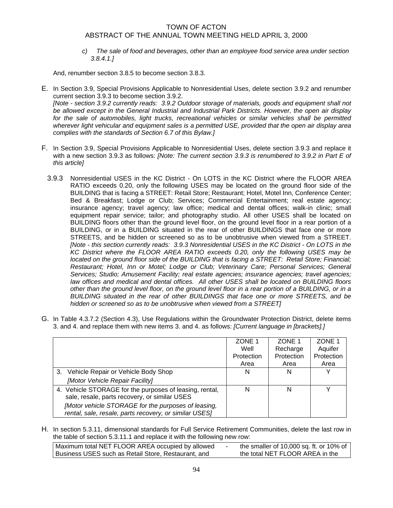*c) The sale of food and beverages, other than an employee food service area under section 3.8.4.1.]* 

And, renumber section 3.8.5 to become section 3.8.3.

- E. In Section 3.9, Special Provisions Applicable to Nonresidential Uses, delete section 3.9.2 and renumber current section 3.9.3 to become section 3.9.2. *[Note - section 3.9.2 currently reads: 3.9.2 Outdoor storage of materials, goods and equipment shall not be allowed except in the General Industrial and Industrial Park Districts. However, the open air display*  for the sale of automobiles, light trucks, recreational vehicles or similar vehicles shall be permitted *wherever light vehicular and equipment sales is a permitted USE, provided that the open air display area complies with the standards of Section 6.7 of this Bylaw.]*
- F. In Section 3.9, Special Provisions Applicable to Nonresidential Uses, delete section 3.9.3 and replace it with a new section 3.9.3 as follows: *[Note: The current section 3.9.3 is renumbered to 3.9.2 in Part E of this article]*
	- 3.9.3 Nonresidential USES in the KC District On LOTS in the KC District where the FLOOR AREA RATIO exceeds 0.20, only the following USES may be located on the ground floor side of the BUILDING that is facing a STREET: Retail Store; Restaurant; Hotel, Motel Inn, Conference Center; Bed & Breakfast; Lodge or Club; Services; Commercial Entertainment; real estate agency; insurance agency; travel agency; law office; medical and dental offices; walk-in clinic; small equipment repair service; tailor; and photography studio. All other USES shall be located on BUILDING floors other than the ground level floor, on the ground level floor in a rear portion of a BUILDING, or in a BUILDING situated in the rear of other BUILDINGS that face one or more STREETS, and be hidden or screened so as to be unobtrusive when viewed from a STREET. *[Note - this section currently reads: 3.9.3 Nonresidential USES in the KC District - On LOTS in the KC District where the FLOOR AREA RATIO exceeds 0.20, only the following USES may be located on the ground floor side of the BUILDING that is facing a STREET: Retail Store; Financial; Restaurant; Hotel, Inn or Motel; Lodge or Club; Veterinary Care; Personal Services; General Services; Studio; Amusement Facility; real estate agencies; insurance agencies; travel agencies; law offices and medical and dental offices. All other USES shall be located on BUILDING floors other than the ground level floor, on the ground level floor in a rear portion of a BUILDING, or in a BUILDING situated in the rear of other BUILDINGS that face one or more STREETS, and be hidden or screened so as to be unobtrusive when viewed from a STREET]*
- G. In Table 4.3.7.2 (Section 4.3), Use Regulations within the Groundwater Protection District, delete items 3. and 4. and replace them with new items 3. and 4. as follows: *[Current language in [brackets].]*

|                                                                                                               | ZONE 1     | ZONE 1     | ZONE 1     |
|---------------------------------------------------------------------------------------------------------------|------------|------------|------------|
|                                                                                                               | Well       | Recharge   | Aquifer    |
|                                                                                                               | Protection | Protection | Protection |
|                                                                                                               | Area       | Area       | Area       |
| 3. Vehicle Repair or Vehicle Body Shop                                                                        | N          | N          |            |
| [Motor Vehicle Repair Facility]                                                                               |            |            |            |
| 4. Vehicle STORAGE for the purposes of leasing, rental,<br>sale, resale, parts recovery, or similar USES      | N          | N          |            |
| [Motor vehicle STORAGE for the purposes of leasing,<br>rental, sale, resale, parts recovery, or similar USES] |            |            |            |

H. In section 5.3.11, dimensional standards for Full Service Retirement Communities, delete the last row in the table of section 5.3.11.1 and replace it with the following new row:

| Maximum total NET FLOOR AREA occupied by allowed    | the smaller of 10,000 sq. ft. or 10% of |
|-----------------------------------------------------|-----------------------------------------|
| Business USES such as Retail Store, Restaurant, and | the total NET FLOOR AREA in the         |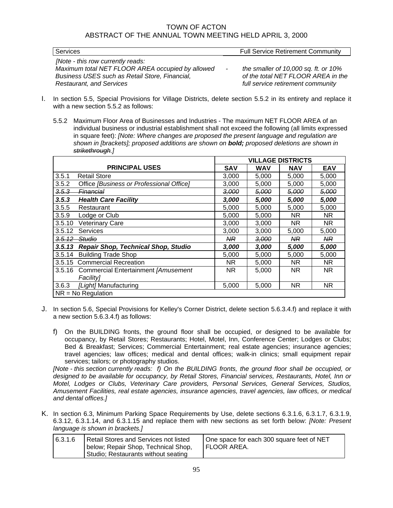| Services                                         | <b>Full Service Retirement Community</b>          |
|--------------------------------------------------|---------------------------------------------------|
| [Note - this row currently reads:                |                                                   |
| Maximum total NET FLOOR AREA occupied by allowed | the smaller of 10,000 sq. ft. or $10\%$<br>$\sim$ |
| Business USES such as Retail Store, Financial,   | of the total NET FLOOR AREA in the                |
| <b>Restaurant, and Services</b>                  | full service retirement community                 |

- I. In section 5.5, Special Provisions for Village Districts, delete section 5.5.2 in its entirety and replace it with a new section 5.5.2 as follows:
	- 5.5.2 Maximum Floor Area of Businesses and Industries The maximum NET FLOOR AREA of an individual business or industrial establishment shall not exceed the following (all limits expressed in square feet): *[Note: Where changes are proposed the present language and regulation are shown in [brackets]; proposed additions are shown on bold; proposed deletions are shown in strikethrough.]*

|                      |                                            |                |                  | <b>VILLAGE DISTRICTS</b> |                  |
|----------------------|--------------------------------------------|----------------|------------------|--------------------------|------------------|
|                      | <b>PRINCIPAL USES</b>                      | <b>SAV</b>     | <b>WAV</b>       | <b>NAV</b>               | <b>EAV</b>       |
| 3.5.1                | <b>Retail Store</b>                        | 3,000          | 5,000            | 5,000                    | 5,000            |
| 3.5.2                | Office [Business or Professional Office]   | 3,000          | 5,000            | 5,000                    | 5,000            |
| 3.5.3                | <del>Financia</del> l                      | 3,000          | <del>5,000</del> | <del>5,000</del>         | <del>5,000</del> |
| 3.5.3                | <b>Health Care Facility</b>                | 3,000          | 5,000            | 5,000                    | 5,000            |
| 3.5.5                | Restaurant                                 | 5,000          | 5,000            | 5,000                    | 5,000            |
| 3.5.9                | Lodge or Club                              | 5,000          | 5,000            | ΝR                       | NR.              |
| 3.5.10               | <b>Veterinary Care</b>                     | 3,000          | 3,000            | NR.                      | NR.              |
| 3.5.12               | Services                                   | 3,000          | 3,000            | 5,000                    | 5,000            |
| 3.5.12               | <del>Studio</del>                          | N <sub>R</sub> | <del>3,000</del> | <b>NR</b>                | N <sub>R</sub>   |
| 3.5.13               | <b>Repair Shop, Technical Shop, Studio</b> | 3,000          | 3,000            | 5,000                    | 5,000            |
| 3.5.14               | <b>Building Trade Shop</b>                 | 5,000          | 5,000            | 5,000                    | 5,000            |
| 3.5.15               | <b>Commercial Recreation</b>               | NR.            | 5,000            | NR.                      | NR.              |
| 3.5.16               | Commercial Entertainment [Amusement        | NR.            | 5,000            | <b>NR</b>                | NR.              |
|                      | <b>Facility1</b>                           |                |                  |                          |                  |
| 3.6.3                | [Light] Manufacturing                      | 5,000          | 5,000            | <b>NR</b>                | NR.              |
| $NR = No$ Regulation |                                            |                |                  |                          |                  |

- J. In section 5.6, Special Provisions for Kelley's Corner District, delete section 5.6.3.4.f) and replace it with a new section 5.6.3.4.f) as follows:
	- f) On the BUILDING fronts, the ground floor shall be occupied, or designed to be available for occupancy, by Retail Stores; Restaurants; Hotel, Motel, Inn, Conference Center; Lodges or Clubs; Bed & Breakfast; Services; Commercial Entertainment; real estate agencies; insurance agencies; travel agencies; law offices; medical and dental offices; walk-in clinics; small equipment repair services; tailors; or photography studios.

*[Note - this section currently reads: f) On the BUILDING fronts, the ground floor shall be occupied, or designed to be available for occupancy, by Retail Stores, Financial services, Restaurants, Hotel, Inn or Motel, Lodges or Clubs, Veterinary Care providers, Personal Services, General Services, Studios, Amusement Facilities, real estate agencies, insurance agencies, travel agencies, law offices, or medical and dental offices.]* 

K. In section 6.3, Minimum Parking Space Requirements by Use, delete sections 6.3.1.6, 6.3.1.7, 6.3.1.9, 6.3.12, 6.3.1.14, and 6.3.1.15 and replace them with new sections as set forth below: *[Note: Present language is shown in brackets.]*

| Retail Stores and Services not listed<br>6.3.1.6<br>below; Repair Shop, Technical Shop,<br>Studio; Restaurants without seating | One space for each 300 square feet of NET<br><b>FLOOR AREA.</b> |
|--------------------------------------------------------------------------------------------------------------------------------|-----------------------------------------------------------------|
|--------------------------------------------------------------------------------------------------------------------------------|-----------------------------------------------------------------|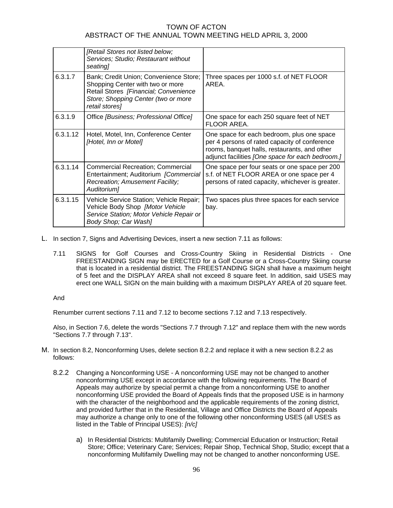|          | [Retail Stores not listed below;<br>Services; Studio; Restaurant without<br>seating]                                                                                         |                                                                                                                                                                                                 |
|----------|------------------------------------------------------------------------------------------------------------------------------------------------------------------------------|-------------------------------------------------------------------------------------------------------------------------------------------------------------------------------------------------|
| 6.3.1.7  | Bank; Credit Union; Convenience Store;<br>Shopping Center with two or more<br>Retail Stores [Financial; Convenience<br>Store; Shopping Center (two or more<br>retail stores] | Three spaces per 1000 s.f. of NET FLOOR<br>AREA.                                                                                                                                                |
| 6.3.1.9  | Office [Business; Professional Office]                                                                                                                                       | One space for each 250 square feet of NET<br>FLOOR AREA.                                                                                                                                        |
| 6.3.1.12 | Hotel, Motel, Inn, Conference Center<br>[Hotel, Inn or Motel]                                                                                                                | One space for each bedroom, plus one space<br>per 4 persons of rated capacity of conference<br>rooms, banquet halls, restaurants, and other<br>adjunct facilities [One space for each bedroom.] |
| 6.3.1.14 | <b>Commercial Recreation; Commercial</b><br>Entertainment; Auditorium [Commercial<br>Recreation; Amusement Facility;<br>Auditorium]                                          | One space per four seats or one space per 200<br>s.f. of NET FLOOR AREA or one space per 4<br>persons of rated capacity, whichever is greater.                                                  |
| 6.3.1.15 | Vehicle Service Station; Vehicle Repair;<br>Vehicle Body Shop [Motor Vehicle<br>Service Station; Motor Vehicle Repair or<br>Body Shop; Car Wash]                             | Two spaces plus three spaces for each service<br>bay.                                                                                                                                           |

- L. In section 7, Signs and Advertising Devices, insert a new section 7.11 as follows:
	- 7.11 SIGNS for Golf Courses and Cross-Country Skiing in Residential Districts One FREESTANDING SIGN may be ERECTED for a Golf Course or a Cross-Country Skiing course that is located in a residential district. The FREESTANDING SIGN shall have a maximum height of 5 feet and the DISPLAY AREA shall not exceed 8 square feet. In addition, said USES may erect one WALL SIGN on the main building with a maximum DISPLAY AREA of 20 square feet.

### And

Renumber current sections 7.11 and 7.12 to become sections 7.12 and 7.13 respectively.

Also, in Section 7.6, delete the words "Sections 7.7 through 7.12" and replace them with the new words "Sections 7.7 through 7.13".

- M. In section 8.2, Nonconforming Uses, delete section 8.2.2 and replace it with a new section 8.2.2 as follows:
	- 8.2.2 Changing a Nonconforming USE A nonconforming USE may not be changed to another nonconforming USE except in accordance with the following requirements. The Board of Appeals may authorize by special permit a change from a nonconforming USE to another nonconforming USE provided the Board of Appeals finds that the proposed USE is in harmony with the character of the neighborhood and the applicable requirements of the zoning district, and provided further that in the Residential, Village and Office Districts the Board of Appeals may authorize a change only to one of the following other nonconforming USES (all USES as listed in the Table of Principal USES): *[n/c]* 
		- a) In Residential Districts: Multifamily Dwelling; Commercial Education or Instruction; Retail Store; Office; Veterinary Care; Services; Repair Shop, Technical Shop, Studio; except that a nonconforming Multifamily Dwelling may not be changed to another nonconforming USE.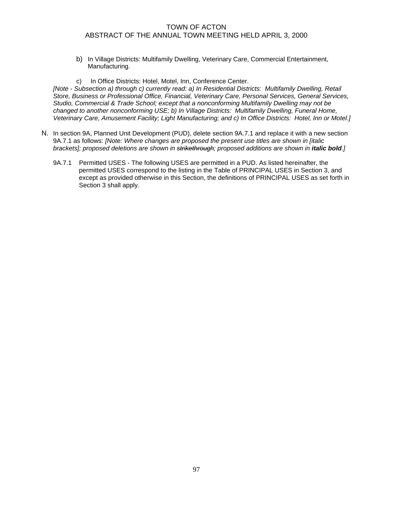- b) In Village Districts: Multifamily Dwelling, Veterinary Care, Commercial Entertainment, Manufacturing.
- c) In Office Districts: Hotel, Motel, Inn, Conference Center.

*[Note - Subsection a) through c) currently read: a) In Residential Districts: Multifamily Dwelling, Retail Store, Business or Professional Office, Financial, Veterinary Care, Personal Services, General Services, Studio, Commercial & Trade School; except that a nonconforming Multifamily Dwelling may not be changed to another nonconforming USE; b) In Village Districts: Multifamily Dwelling, Funeral Home, Veterinary Care, Amusement Facility; Light Manufacturing; and c) In Office Districts: Hotel, Inn or Motel.]* 

- N. In section 9A, Planned Unit Development (PUD), delete section 9A.7.1 and replace it with a new section 9A.7.1 as follows: *[Note: Where changes are proposed the present use titles are shown in [italic brackets]; proposed deletions are shown in strikethrough; proposed additions are shown in <i>italic bold.]* 
	- 9A.7.1 Permitted USES The following USES are permitted in a PUD. As listed hereinafter, the permitted USES correspond to the listing in the Table of PRINCIPAL USES in Section 3, and except as provided otherwise in this Section, the definitions of PRINCIPAL USES as set forth in Section 3 shall apply.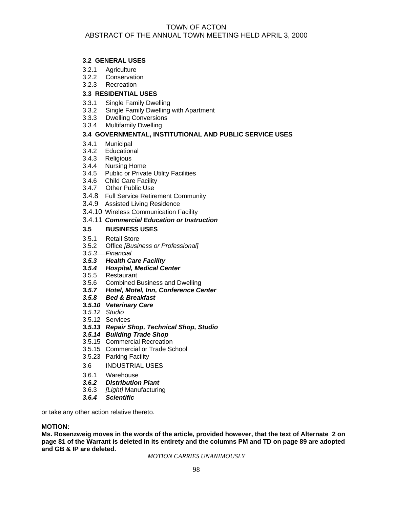## **3.2 GENERAL USES**

- 3.2.1 Agriculture
- 3.2.2 Conservation
- 3.2.3 Recreation

## **3.3 RESIDENTIAL USES**

- 3.3.1 Single Family Dwelling
- 3.3.2 Single Family Dwelling with Apartment
- 3.3.3 Dwelling Conversions<br>3.3.4 Multifamily Dwelling
- **Multifamily Dwelling**

## **3.4 GOVERNMENTAL, INSTITUTIONAL AND PUBLIC SERVICE USES**

- 3.4.1 Municipal
- 3.4.2 Educational
- 3.4.3 Religious
- 3.4.4 Nursing Home
- 3.4.5 Public or Private Utility Facilities
- 3.4.6 Child Care Facility
- 3.4.7 Other Public Use
- 3.4.8 Full Service Retirement Community
- 3.4.9 Assisted Living Residence
- 3.4.10 Wireless Communication Facility

## 3.4.11 *Commercial Education or Instruction*

## **3.5 BUSINESS USES**

- 3.5.1 Retail Store
- 3.5.2 Office *[Business or Professional]*
- *3.5.3 Financial*
- *3.5.3 Health Care Facility*
- *3.5.4 Hospital, Medical Center*
- 3.5.5 Restaurant
- 3.5.6 Combined Business and Dwelling
- *3.5.7 Hotel, Motel, Inn, Conference Center*
- *3.5.8 Bed & Breakfast*
- *3.5.10 Veterinary Care*
- *3.5.12 Studio*
- 3.5.12 Services
- *3.5.13 Repair Shop, Technical Shop, Studio*
- *3.5.14 Building Trade Shop*
- 3.5.15 Commercial Recreation
- 3.5.15 Commercial or Trade School
- 3.5.23 Parking Facility
- 3.6 INDUSTRIAL USES
- 3.6.1 Warehouse
- *3.6.2 Distribution Plant*
- 3.6.3 *[Light]* Manufacturing
- *3.6.4 Scientific*

or take any other action relative thereto.

## **MOTION:**

**Ms. Rosenzweig moves in the words of the article, provided however, that the text of Alternate 2 on page 81 of the Warrant is deleted in its entirety and the columns PM and TD on page 89 are adopted and GB & IP are deleted.**

*MOTION CARRIES UNANIMOUSLY*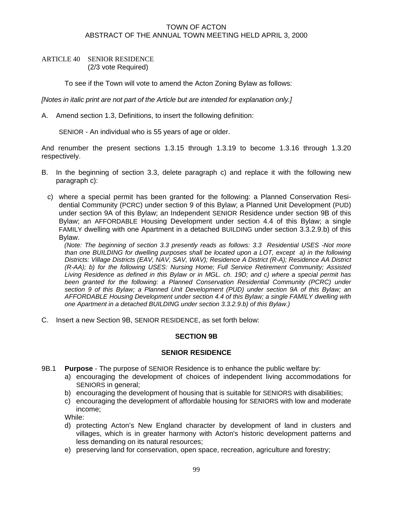## ARTICLE 40 SENIOR RESIDENCE (2/3 vote Required)

To see if the Town will vote to amend the Acton Zoning Bylaw as follows:

*[Notes in italic print are not part of the Article but are intended for explanation only.]* 

A. Amend section 1.3, Definitions, to insert the following definition:

SENIOR - An individual who is 55 years of age or older.

And renumber the present sections 1.3.15 through 1.3.19 to become 1.3.16 through 1.3.20 respectively.

- B. In the beginning of section 3.3, delete paragraph c) and replace it with the following new paragraph c):
	- c) where a special permit has been granted for the following: a Planned Conservation Residential Community (PCRC) under section 9 of this Bylaw; a Planned Unit Development (PUD) under section 9A of this Bylaw; an Independent SENIOR Residence under section 9B of this Bylaw; an AFFORDABLE Housing Development under section 4.4 of this Bylaw; a single FAMILY dwelling with one Apartment in a detached BUILDING under section 3.3.2.9.b) of this Bylaw.

*(Note: The beginning of section 3.3 presently reads as follows: 3.3 Residential USES -Not more than one BUILDING for dwelling purposes shall be located upon a LOT, except a) in the following Districts: Village Districts (EAV, NAV, SAV, WAV); Residence A District (R-A); Residence AA District (R-AA); b) for the following USES: Nursing Home; Full Service Retirement Community; Assisted Living Residence as defined in this Bylaw or in MGL. ch. 19D; and c) where a special permit has*  been granted for the following: a Planned Conservation Residential Community (PCRC) under *section 9 of this Bylaw; a Planned Unit Development (PUD) under section 9A of this Bylaw; an AFFORDABLE Housing Development under section 4.4 of this Bylaw; a single FAMILY dwelling with one Apartment in a detached BUILDING under section 3.3.2.9.b) of this Bylaw.)* 

C. Insert a new Section 9B, SENIOR RESIDENCE, as set forth below:

## **SECTION 9B**

## **SENIOR RESIDENCE**

- 9B.1 **Purpose** The purpose of SENIOR Residence is to enhance the public welfare by:
	- a) encouraging the development of choices of independent living accommodations for SENIORS in general;
	- b) encouraging the development of housing that is suitable for SENIORS with disabilities;
	- c) encouraging the development of affordable housing for SENIORS with low and moderate income;

While:

- d) protecting Acton's New England character by development of land in clusters and villages, which is in greater harmony with Acton's historic development patterns and less demanding on its natural resources;
- e) preserving land for conservation, open space, recreation, agriculture and forestry;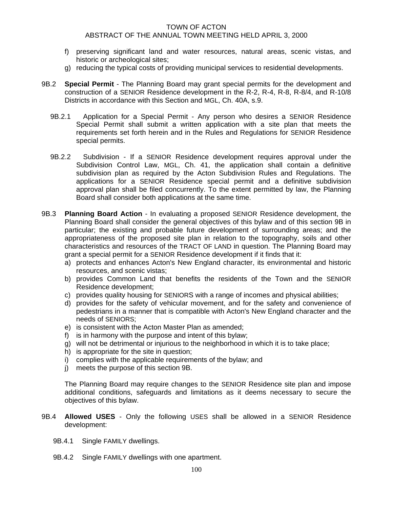- f) preserving significant land and water resources, natural areas, scenic vistas, and historic or archeological sites;
- g) reducing the typical costs of providing municipal services to residential developments.
- 9B.2 **Special Permit**  The Planning Board may grant special permits for the development and construction of a SENIOR Residence development in the R-2, R-4, R-8, R-8/4, and R-10/8 Districts in accordance with this Section and MGL, Ch. 40A, s.9.
	- 9B.2.1 Application for a Special Permit Any person who desires a SENIOR Residence Special Permit shall submit a written application with a site plan that meets the requirements set forth herein and in the Rules and Regulations for SENIOR Residence special permits.
	- 9B.2.2 Subdivision If a SENIOR Residence development requires approval under the Subdivision Control Law, MGL, Ch. 41, the application shall contain a definitive subdivision plan as required by the Acton Subdivision Rules and Regulations. The applications for a SENIOR Residence special permit and a definitive subdivision approval plan shall be filed concurrently. To the extent permitted by law, the Planning Board shall consider both applications at the same time.
- 9B.3 **Planning Board Action** In evaluating a proposed SENIOR Residence development, the Planning Board shall consider the general objectives of this bylaw and of this section 9B in particular; the existing and probable future development of surrounding areas; and the appropriateness of the proposed site plan in relation to the topography, soils and other characteristics and resources of the TRACT OF LAND in question. The Planning Board may grant a special permit for a SENIOR Residence development if it finds that it:
	- a) protects and enhances Acton's New England character, its environmental and historic resources, and scenic vistas;
	- b) provides Common Land that benefits the residents of the Town and the SENIOR Residence development;
	- c) provides quality housing for SENIORS with a range of incomes and physical abilities;
	- d) provides for the safety of vehicular movement, and for the safety and convenience of pedestrians in a manner that is compatible with Acton's New England character and the needs of SENIORS;
	- e) is consistent with the Acton Master Plan as amended;
	- f) is in harmony with the purpose and intent of this bylaw;
	- g) will not be detrimental or injurious to the neighborhood in which it is to take place;
	- h) is appropriate for the site in question;
	- i) complies with the applicable requirements of the bylaw; and
	- j) meets the purpose of this section 9B.

The Planning Board may require changes to the SENIOR Residence site plan and impose additional conditions, safeguards and limitations as it deems necessary to secure the objectives of this bylaw.

- 9B.4 **Allowed USES** Only the following USES shall be allowed in a SENIOR Residence development:
	- 9B.4.1 Single FAMILY dwellings.
	- 9B.4.2 Single FAMILY dwellings with one apartment.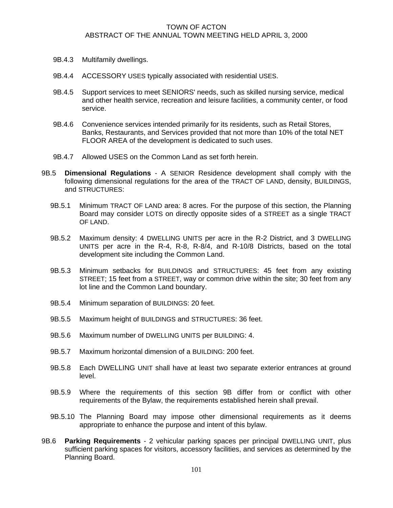- 9B.4.3 Multifamily dwellings.
- 9B.4.4 ACCESSORY USES typically associated with residential USES.
- 9B.4.5 Support services to meet SENIORS' needs, such as skilled nursing service, medical and other health service, recreation and leisure facilities, a community center, or food service.
- 9B.4.6 Convenience services intended primarily for its residents, such as Retail Stores, Banks, Restaurants, and Services provided that not more than 10% of the total NET FLOOR AREA of the development is dedicated to such uses.
- 9B.4.7 Allowed USES on the Common Land as set forth herein.
- 9B.5 **Dimensional Regulations** A SENIOR Residence development shall comply with the following dimensional regulations for the area of the TRACT OF LAND, density, BUILDINGS, and STRUCTURES:
	- 9B.5.1 Minimum TRACT OF LAND area: 8 acres. For the purpose of this section, the Planning Board may consider LOTS on directly opposite sides of a STREET as a single TRACT OF LAND.
	- 9B.5.2 Maximum density: 4 DWELLING UNITS per acre in the R-2 District, and 3 DWELLING UNITS per acre in the R-4, R-8, R-8/4, and R-10/8 Districts, based on the total development site including the Common Land.
	- 9B.5.3 Minimum setbacks for BUILDINGS and STRUCTURES: 45 feet from any existing STREET; 15 feet from a STREET, way or common drive within the site; 30 feet from any lot line and the Common Land boundary.
	- 9B.5.4 Minimum separation of BUILDINGS: 20 feet.
	- 9B.5.5 Maximum height of BUILDINGS and STRUCTURES: 36 feet.
	- 9B.5.6 Maximum number of DWELLING UNITS per BUILDING: 4.
	- 9B.5.7 Maximum horizontal dimension of a BUILDING: 200 feet.
	- 9B.5.8 Each DWELLING UNIT shall have at least two separate exterior entrances at ground level.
	- 9B.5.9 Where the requirements of this section 9B differ from or conflict with other requirements of the Bylaw, the requirements established herein shall prevail.
	- 9B.5.10 The Planning Board may impose other dimensional requirements as it deems appropriate to enhance the purpose and intent of this bylaw.
- 9B.6 **Parking Requirements** 2 vehicular parking spaces per principal DWELLING UNIT, plus sufficient parking spaces for visitors, accessory facilities, and services as determined by the Planning Board.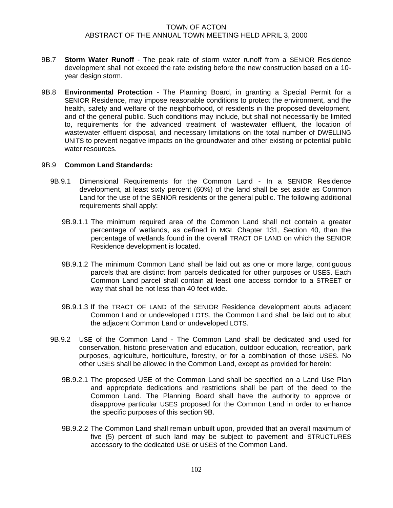- 9B.7 **Storm Water Runoff** The peak rate of storm water runoff from a SENIOR Residence development shall not exceed the rate existing before the new construction based on a 10 year design storm.
- 9B.8 **Environmental Protection** The Planning Board, in granting a Special Permit for a SENIOR Residence, may impose reasonable conditions to protect the environment, and the health, safety and welfare of the neighborhood, of residents in the proposed development, and of the general public. Such conditions may include, but shall not necessarily be limited to, requirements for the advanced treatment of wastewater effluent, the location of wastewater effluent disposal, and necessary limitations on the total number of DWELLING UNITS to prevent negative impacts on the groundwater and other existing or potential public water resources.

### 9B.9 **Common Land Standards:**

- 9B.9.1 Dimensional Requirements for the Common Land In a SENIOR Residence development, at least sixty percent (60%) of the land shall be set aside as Common Land for the use of the SENIOR residents or the general public. The following additional requirements shall apply:
	- 9B.9.1.1 The minimum required area of the Common Land shall not contain a greater percentage of wetlands, as defined in MGL Chapter 131, Section 40, than the percentage of wetlands found in the overall TRACT OF LAND on which the SENIOR Residence development is located.
	- 9B.9.1.2 The minimum Common Land shall be laid out as one or more large, contiguous parcels that are distinct from parcels dedicated for other purposes or USES. Each Common Land parcel shall contain at least one access corridor to a STREET or way that shall be not less than 40 feet wide.
	- 9B.9.1.3 If the TRACT OF LAND of the SENIOR Residence development abuts adjacent Common Land or undeveloped LOTS, the Common Land shall be laid out to abut the adjacent Common Land or undeveloped LOTS.
- 9B.9.2 USE of the Common Land The Common Land shall be dedicated and used for conservation, historic preservation and education, outdoor education, recreation, park purposes, agriculture, horticulture, forestry, or for a combination of those USES. No other USES shall be allowed in the Common Land, except as provided for herein:
	- 9B.9.2.1 The proposed USE of the Common Land shall be specified on a Land Use Plan and appropriate dedications and restrictions shall be part of the deed to the Common Land. The Planning Board shall have the authority to approve or disapprove particular USES proposed for the Common Land in order to enhance the specific purposes of this section 9B.
	- 9B.9.2.2 The Common Land shall remain unbuilt upon, provided that an overall maximum of five (5) percent of such land may be subject to pavement and STRUCTURES accessory to the dedicated USE or USES of the Common Land.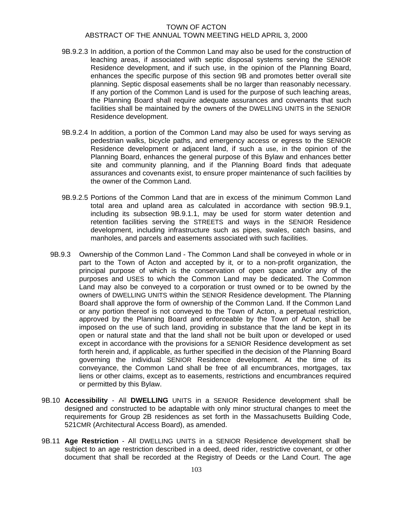- 9B.9.2.3 In addition, a portion of the Common Land may also be used for the construction of leaching areas, if associated with septic disposal systems serving the SENIOR Residence development, and if such use, in the opinion of the Planning Board, enhances the specific purpose of this section 9B and promotes better overall site planning. Septic disposal easements shall be no larger than reasonably necessary. If any portion of the Common Land is used for the purpose of such leaching areas, the Planning Board shall require adequate assurances and covenants that such facilities shall be maintained by the owners of the DWELLING UNITS in the SENIOR Residence development.
- 9B.9.2.4 In addition, a portion of the Common Land may also be used for ways serving as pedestrian walks, bicycle paths, and emergency access or egress to the SENIOR Residence development or adjacent land, if such a use, in the opinion of the Planning Board, enhances the general purpose of this Bylaw and enhances better site and community planning, and if the Planning Board finds that adequate assurances and covenants exist, to ensure proper maintenance of such facilities by the owner of the Common Land.
- 9B.9.2.5 Portions of the Common Land that are in excess of the minimum Common Land total area and upland area as calculated in accordance with section 9B.9.1, including its subsection 9B.9.1.1, may be used for storm water detention and retention facilities serving the STREETS and ways in the SENIOR Residence development, including infrastructure such as pipes, swales, catch basins, and manholes, and parcels and easements associated with such facilities.
- 9B.9.3 Ownership of the Common Land The Common Land shall be conveyed in whole or in part to the Town of Acton and accepted by it, or to a non-profit organization, the principal purpose of which is the conservation of open space and/or any of the purposes and USES to which the Common Land may be dedicated. The Common Land may also be conveyed to a corporation or trust owned or to be owned by the owners of DWELLING UNITS within the SENIOR Residence development. The Planning Board shall approve the form of ownership of the Common Land. If the Common Land or any portion thereof is not conveyed to the Town of Acton, a perpetual restriction, approved by the Planning Board and enforceable by the Town of Acton, shall be imposed on the use of such land, providing in substance that the land be kept in its open or natural state and that the land shall not be built upon or developed or used except in accordance with the provisions for a SENIOR Residence development as set forth herein and, if applicable, as further specified in the decision of the Planning Board governing the individual SENIOR Residence development. At the time of its conveyance, the Common Land shall be free of all encumbrances, mortgages, tax liens or other claims, except as to easements, restrictions and encumbrances required or permitted by this Bylaw.
- 9B.10 **Accessibility**  All **DWELLING** UNITS in a SENIOR Residence development shall be designed and constructed to be adaptable with only minor structural changes to meet the requirements for Group 2B residences as set forth in the Massachusetts Building Code, 521CMR (Architectural Access Board), as amended.
- 9B.11 **Age Restriction**  All DWELLING UNITS in a SENIOR Residence development shall be subject to an age restriction described in a deed, deed rider, restrictive covenant, or other document that shall be recorded at the Registry of Deeds or the Land Court. The age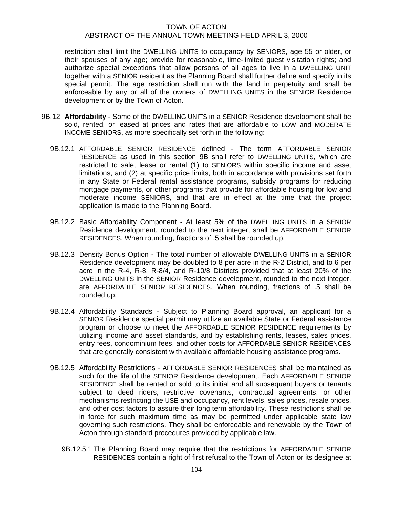restriction shall limit the DWELLING UNITS to occupancy by SENIORS, age 55 or older, or their spouses of any age; provide for reasonable, time-limited guest visitation rights; and authorize special exceptions that allow persons of all ages to live in a DWELLING UNIT together with a SENIOR resident as the Planning Board shall further define and specify in its special permit. The age restriction shall run with the land in perpetuity and shall be enforceable by any or all of the owners of DWELLING UNITS in the SENIOR Residence development or by the Town of Acton.

- 9B.12 **Affordability** Some of the DWELLING UNITS in a SENIOR Residence development shall be sold, rented, or leased at prices and rates that are affordable to LOW and MODERATE INCOME SENIORS, as more specifically set forth in the following:
	- 9B.12.1 AFFORDABLE SENIOR RESIDENCE defined The term AFFORDABLE SENIOR RESIDENCE as used in this section 9B shall refer to DWELLING UNITS, which are restricted to sale, lease or rental (1) to SENIORS within specific income and asset limitations, and (2) at specific price limits, both in accordance with provisions set forth in any State or Federal rental assistance programs, subsidy programs for reducing mortgage payments, or other programs that provide for affordable housing for low and moderate income SENIORS, and that are in effect at the time that the project application is made to the Planning Board.
	- 9B.12.2 Basic Affordability Component At least 5% of the DWELLING UNITS in a SENIOR Residence development, rounded to the next integer, shall be AFFORDABLE SENIOR RESIDENCES. When rounding, fractions of .5 shall be rounded up.
	- 9B.12.3 Density Bonus Option The total number of allowable DWELLING UNITS in a SENIOR Residence development may be doubled to 8 per acre in the R-2 District, and to 6 per acre in the R-4, R-8, R-8/4, and R-10/8 Districts provided that at least 20% of the DWELLING UNITS in the SENIOR Residence development, rounded to the next integer, are AFFORDABLE SENIOR RESIDENCES. When rounding, fractions of .5 shall be rounded up.
	- 9B.12.4 Affordability Standards Subject to Planning Board approval, an applicant for a SENIOR Residence special permit may utilize an available State or Federal assistance program or choose to meet the AFFORDABLE SENIOR RESIDENCE requirements by utilizing income and asset standards, and by establishing rents, leases, sales prices, entry fees, condominium fees, and other costs for AFFORDABLE SENIOR RESIDENCES that are generally consistent with available affordable housing assistance programs.
	- 9B.12.5 Affordability Restrictions AFFORDABLE SENIOR RESIDENCES shall be maintained as such for the life of the SENIOR Residence development. Each AFFORDABLE SENIOR RESIDENCE shall be rented or sold to its initial and all subsequent buyers or tenants subject to deed riders, restrictive covenants, contractual agreements, or other mechanisms restricting the USE and occupancy, rent levels, sales prices, resale prices, and other cost factors to assure their long term affordability. These restrictions shall be in force for such maximum time as may be permitted under applicable state law governing such restrictions. They shall be enforceable and renewable by the Town of Acton through standard procedures provided by applicable law.
		- 9B.12.5.1 The Planning Board may require that the restrictions for AFFORDABLE SENIOR RESIDENCES contain a right of first refusal to the Town of Acton or its designee at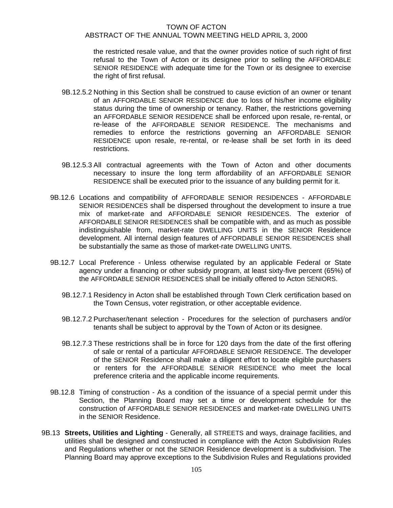the restricted resale value, and that the owner provides notice of such right of first refusal to the Town of Acton or its designee prior to selling the AFFORDABLE SENIOR RESIDENCE with adequate time for the Town or its designee to exercise the right of first refusal.

- 9B.12.5.2 Nothing in this Section shall be construed to cause eviction of an owner or tenant of an AFFORDABLE SENIOR RESIDENCE due to loss of his/her income eligibility status during the time of ownership or tenancy. Rather, the restrictions governing an AFFORDABLE SENIOR RESIDENCE shall be enforced upon resale, re-rental, or re-lease of the AFFORDABLE SENIOR RESIDENCE. The mechanisms and remedies to enforce the restrictions governing an AFFORDABLE SENIOR RESIDENCE upon resale, re-rental, or re-lease shall be set forth in its deed restrictions.
- 9B.12.5.3 All contractual agreements with the Town of Acton and other documents necessary to insure the long term affordability of an AFFORDABLE SENIOR RESIDENCE shall be executed prior to the issuance of any building permit for it.
- 9B.12.6 Locations and compatibility of AFFORDABLE SENIOR RESIDENCES AFFORDABLE SENIOR RESIDENCES shall be dispersed throughout the development to insure a true mix of market-rate and AFFORDABLE SENIOR RESIDENCES. The exterior of AFFORDABLE SENIOR RESIDENCES shall be compatible with, and as much as possible indistinguishable from, market-rate DWELLING UNITS in the SENIOR Residence development. All internal design features of AFFORDABLE SENIOR RESIDENCES shall be substantially the same as those of market-rate DWELLING UNITS.
- 9B.12.7 Local Preference Unless otherwise regulated by an applicable Federal or State agency under a financing or other subsidy program, at least sixty-five percent (65%) of the AFFORDABLE SENIOR RESIDENCES shall be initially offered to Acton SENIORS.
	- 9B.12.7.1 Residency in Acton shall be established through Town Clerk certification based on the Town Census, voter registration, or other acceptable evidence.
	- 9B.12.7.2 Purchaser/tenant selection Procedures for the selection of purchasers and/or tenants shall be subject to approval by the Town of Acton or its designee.
	- 9B.12.7.3 These restrictions shall be in force for 120 days from the date of the first offering of sale or rental of a particular AFFORDABLE SENIOR RESIDENCE. The developer of the SENIOR Residence shall make a diligent effort to locate eligible purchasers or renters for the AFFORDABLE SENIOR RESIDENCE who meet the local preference criteria and the applicable income requirements.
- 9B.12.8 Timing of construction As a condition of the issuance of a special permit under this Section, the Planning Board may set a time or development schedule for the construction of AFFORDABLE SENIOR RESIDENCES and market-rate DWELLING UNITS in the SENIOR Residence.
- 9B.13 **Streets, Utilities and Lighting** Generally, all STREETS and ways, drainage facilities, and utilities shall be designed and constructed in compliance with the Acton Subdivision Rules and Regulations whether or not the SENIOR Residence development is a subdivision. The Planning Board may approve exceptions to the Subdivision Rules and Regulations provided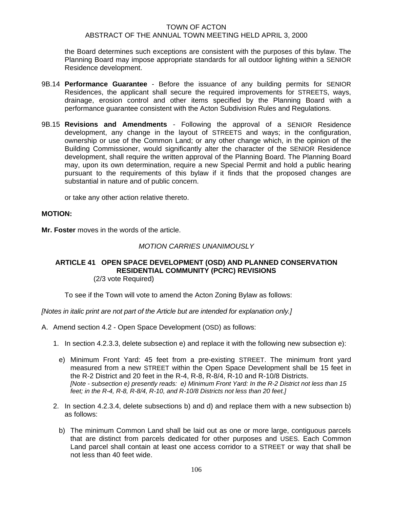the Board determines such exceptions are consistent with the purposes of this bylaw. The Planning Board may impose appropriate standards for all outdoor lighting within a SENIOR Residence development.

- 9B.14 **Performance Guarantee** Before the issuance of any building permits for SENIOR Residences, the applicant shall secure the required improvements for STREETS, ways, drainage, erosion control and other items specified by the Planning Board with a performance guarantee consistent with the Acton Subdivision Rules and Regulations.
- 9B.15 **Revisions and Amendments**  Following the approval of a SENIOR Residence development, any change in the layout of STREETS and ways; in the configuration, ownership or use of the Common Land; or any other change which, in the opinion of the Building Commissioner, would significantly alter the character of the SENIOR Residence development, shall require the written approval of the Planning Board. The Planning Board may, upon its own determination, require a new Special Permit and hold a public hearing pursuant to the requirements of this bylaw if it finds that the proposed changes are substantial in nature and of public concern.

or take any other action relative thereto.

## **MOTION:**

**Mr. Foster** moves in the words of the article.

#### *MOTION CARRIES UNANIMOUSLY*

#### **ARTICLE 41 OPEN SPACE DEVELOPMENT (OSD) AND PLANNED CONSERVATION RESIDENTIAL COMMUNITY (PCRC) REVISIONS**  (2/3 vote Required)

To see if the Town will vote to amend the Acton Zoning Bylaw as follows:

*[Notes in italic print are not part of the Article but are intended for explanation only.]* 

- A. Amend section 4.2 Open Space Development (OSD) as follows:
	- 1. In section 4.2.3.3, delete subsection e) and replace it with the following new subsection e):
		- e) Minimum Front Yard: 45 feet from a pre-existing STREET. The minimum front yard measured from a new STREET within the Open Space Development shall be 15 feet in the R-2 District and 20 feet in the R-4, R-8, R-8/4, R-10 and R-10/8 Districts. *[Note - subsection e) presently reads: e) Minimum Front Yard: In the R-2 District not less than 15 feet; in the R-4, R-8, R-8/4, R-10, and R-10/8 Districts not less than 20 feet.]*
	- 2. In section 4.2.3.4, delete subsections b) and d) and replace them with a new subsection b) as follows:
		- b) The minimum Common Land shall be laid out as one or more large, contiguous parcels that are distinct from parcels dedicated for other purposes and USES. Each Common Land parcel shall contain at least one access corridor to a STREET or way that shall be not less than 40 feet wide.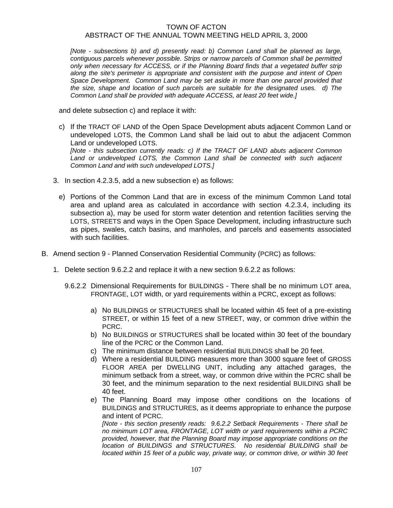*[Note - subsections b) and d) presently read: b) Common Land shall be planned as large, contiguous parcels whenever possible. Strips or narrow parcels of Common shall be permitted only when necessary for ACCESS, or if the Planning Board finds that a vegetated buffer strip along the site's perimeter is appropriate and consistent with the purpose and intent of Open Space Development. Common Land may be set aside in more than one parcel provided that the size, shape and location of such parcels are suitable for the designated uses. d) The Common Land shall be provided with adequate ACCESS, at least 20 feet wide.]* 

and delete subsection c) and replace it with:

c) If the TRACT OF LAND of the Open Space Development abuts adjacent Common Land or undeveloped LOTS, the Common Land shall be laid out to abut the adjacent Common Land or undeveloped LOTS. *[Note - this subsection currently reads: c) If the TRACT OF LAND abuts adjacent Common* 

Land or undeveloped LOTS, the Common Land shall be connected with such adjacent *Common Land and with such undeveloped LOTS.]* 

- 3. In section 4.2.3.5, add a new subsection e) as follows:
	- e) Portions of the Common Land that are in excess of the minimum Common Land total area and upland area as calculated in accordance with section 4.2.3.4, including its subsection a), may be used for storm water detention and retention facilities serving the LOTS, STREETS and ways in the Open Space Development, including infrastructure such as pipes, swales, catch basins, and manholes, and parcels and easements associated with such facilities.
- B. Amend section 9 Planned Conservation Residential Community (PCRC) as follows:
	- 1. Delete section 9.6.2.2 and replace it with a new section 9.6.2.2 as follows:
		- 9.6.2.2 Dimensional Requirements for BUILDINGS There shall be no minimum LOT area, FRONTAGE, LOT width, or yard requirements within a PCRC, except as follows:
			- a) No BUILDINGS or STRUCTURES shall be located within 45 feet of a pre-existing STREET, or within 15 feet of a new STREET, way, or common drive within the PCRC.
			- b) No BUILDINGS or STRUCTURES shall be located within 30 feet of the boundary line of the PCRC or the Common Land.
			- c) The minimum distance between residential BUILDINGS shall be 20 feet.
			- d) Where a residential BUILDING measures more than 3000 square feet of GROSS FLOOR AREA per DWELLING UNIT, including any attached garages, the minimum setback from a street, way, or common drive within the PCRC shall be 30 feet, and the minimum separation to the next residential BUILDING shall be 40 feet.
			- e) The Planning Board may impose other conditions on the locations of BUILDINGS and STRUCTURES, as it deems appropriate to enhance the purpose and intent of PCRC.

*[Note - this section presently reads: 9.6.2.2 Setback Requirements - There shall be no minimum LOT area, FRONTAGE, LOT width or yard requirements within a PCRC provided, however, that the Planning Board may impose appropriate conditions on the location of BUILDINGS and STRUCTURES. No residential BUILDING shall be located within 15 feet of a public way, private way, or common drive, or within 30 feet*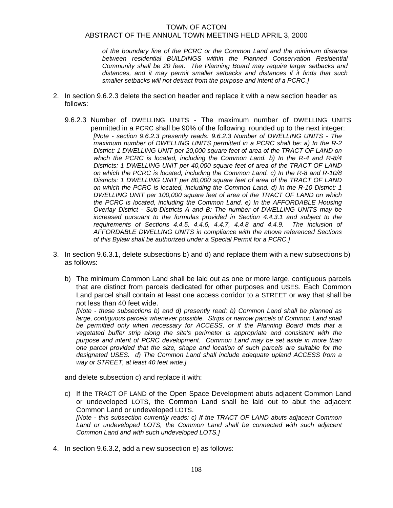*of the boundary line of the PCRC or the Common Land and the minimum distance between residential BUILDINGS within the Planned Conservation Residential Community shall be 20 feet. The Planning Board may require larger setbacks and distances, and it may permit smaller setbacks and distances if it finds that such smaller setbacks will not detract from the purpose and intent of a PCRC.]* 

- 2. In section 9.6.2.3 delete the section header and replace it with a new section header as follows:
	- 9.6.2.3 Number of DWELLING UNITS The maximum number of DWELLING UNITS permitted in a PCRC shall be 90% of the following, rounded up to the next integer: *[Note - section 9.6.2.3 presently reads: 9.6.2.3 Number of DWELLING UNITS - The maximum number of DWELLING UNITS permitted in a PCRC shall be: a) In the R-2 District: 1 DWELLING UNIT per 20,000 square feet of area of the TRACT OF LAND on which the PCRC is located, including the Common Land. b) In the R-4 and R-8/4 Districts: 1 DWELLING UNIT per 40,000 square feet of area of the TRACT OF LAND on which the PCRC is located, including the Common Land. c) In the R-8 and R-10/8 Districts: 1 DWELLING UNIT per 80,000 square feet of area of the TRACT OF LAND on which the PCRC is located, including the Common Land. d) In the R-10 District: 1 DWELLING UNIT per 100,000 square feet of area of the TRACT OF LAND on which the PCRC is located, including the Common Land. e) In the AFFORDABLE Housing Overlay District - Sub-Districts A and B: The number of DWELLING UNITS may be increased pursuant to the formulas provided in Section 4.4.3.1 and subject to the requirements of Sections 4.4.5, 4.4.6, 4.4.7, 4.4.8 and 4.4.9. The inclusion of AFFORDABLE DWELLING UNITS in compliance with the above referenced Sections of this Bylaw shall be authorized under a Special Permit for a PCRC.]*
- 3. In section 9.6.3.1, delete subsections b) and d) and replace them with a new subsections b) as follows:
	- b) The minimum Common Land shall be laid out as one or more large, contiguous parcels that are distinct from parcels dedicated for other purposes and USES. Each Common Land parcel shall contain at least one access corridor to a STREET or way that shall be not less than 40 feet wide.

*[Note - these subsections b) and d) presently read: b) Common Land shall be planned as large, contiguous parcels whenever possible. Strips or narrow parcels of Common Land shall be permitted only when necessary for ACCESS, or if the Planning Board finds that a vegetated buffer strip along the site's perimeter is appropriate and consistent with the purpose and intent of PCRC development. Common Land may be set aside in more than one parcel provided that the size, shape and location of such parcels are suitable for the designated USES. d) The Common Land shall include adequate upland ACCESS from a way or STREET, at least 40 feet wide.]* 

and delete subsection c) and replace it with:

- c) If the TRACT OF LAND of the Open Space Development abuts adjacent Common Land or undeveloped LOTS, the Common Land shall be laid out to abut the adjacent Common Land or undeveloped LOTS. *[Note - this subsection currently reads: c) If the TRACT OF LAND abuts adjacent Common*  Land or undeveloped LOTS, the Common Land shall be connected with such adjacent *Common Land and with such undeveloped LOTS.]*
- 4. In section 9.6.3.2, add a new subsection e) as follows: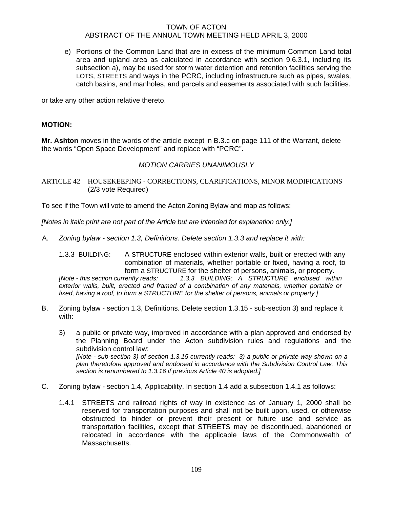e) Portions of the Common Land that are in excess of the minimum Common Land total area and upland area as calculated in accordance with section 9.6.3.1, including its subsection a), may be used for storm water detention and retention facilities serving the LOTS, STREETS and ways in the PCRC, including infrastructure such as pipes, swales, catch basins, and manholes, and parcels and easements associated with such facilities.

or take any other action relative thereto.

## **MOTION:**

**Mr. Ashton** moves in the words of the article except in B.3.c on page 111 of the Warrant, delete the words "Open Space Development" and replace with "PCRC".

## *MOTION CARRIES UNANIMOUSLY*

ARTICLE 42 HOUSEKEEPING - CORRECTIONS, CLARIFICATIONS, MINOR MODIFICATIONS (2/3 vote Required)

To see if the Town will vote to amend the Acton Zoning Bylaw and map as follows:

*[Notes in italic print are not part of the Article but are intended for explanation only.]* 

A. *Zoning bylaw - section 1.3, Definitions. Delete section 1.3.3 and replace it with:*

1.3.3 BUILDING: A STRUCTURE enclosed within exterior walls, built or erected with any combination of materials, whether portable or fixed, having a roof, to form a STRUCTURE for the shelter of persons, animals, or property. *[Note - this section currently reads: 1.3.3 BUILDING: A STRUCTURE enclosed within exterior walls, built, erected and framed of a combination of any materials, whether portable or fixed, having a roof, to form a STRUCTURE for the shelter of persons, animals or property.]* 

- B. Zoning bylaw section 1.3, Definitions. Delete section 1.3.15 sub-section 3) and replace it with:
	- 3) a public or private way, improved in accordance with a plan approved and endorsed by the Planning Board under the Acton subdivision rules and regulations and the subdivision control law; *[Note - sub-section 3) of section 1.3.15 currently reads: 3) a public or private way shown on a plan theretofore approved and endorsed in accordance with the Subdivision Control Law. This section is renumbered to 1.3.16 if previous Article 40 is adopted.]*
- C. Zoning bylaw section 1.4, Applicability. In section 1.4 add a subsection 1.4.1 as follows:
	- 1.4.1 STREETS and railroad rights of way in existence as of January 1, 2000 shall be reserved for transportation purposes and shall not be built upon, used, or otherwise obstructed to hinder or prevent their present or future use and service as transportation facilities, except that STREETS may be discontinued, abandoned or relocated in accordance with the applicable laws of the Commonwealth of Massachusetts.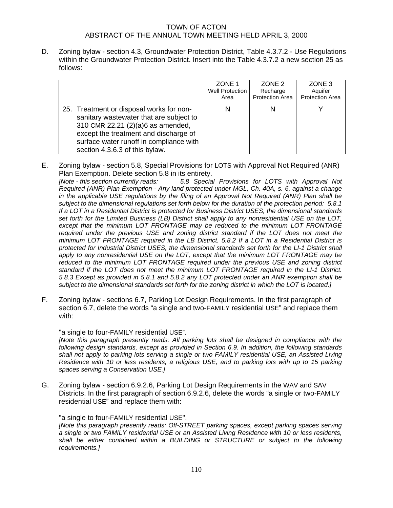D. Zoning bylaw - section 4.3, Groundwater Protection District, Table 4.3.7.2 - Use Regulations within the Groundwater Protection District. Insert into the Table 4.3.7.2 a new section 25 as follows:

|                                                                                                                                                                                                                                                | ZONE 1<br>Well Protection<br>Area | ZONE <sub>2</sub><br>Recharge<br>Protection Area | ZONE <sub>3</sub><br>Aquifer<br><b>Protection Area</b> |
|------------------------------------------------------------------------------------------------------------------------------------------------------------------------------------------------------------------------------------------------|-----------------------------------|--------------------------------------------------|--------------------------------------------------------|
| 25. Treatment or disposal works for non-<br>sanitary wastewater that are subject to<br>310 CMR 22.21 (2)(a)6 as amended,<br>except the treatment and discharge of<br>surface water runoff in compliance with<br>section 4.3.6.3 of this bylaw. | N                                 | N                                                |                                                        |

E. Zoning bylaw - section 5.8, Special Provisions for LOTS with Approval Not Required (ANR) Plan Exemption. Delete section 5.8 in its entirety.

*[Note - this section currently reads: 5.8 Special Provisions for LOTS with Approval Not Required (ANR) Plan Exemption - Any land protected under MGL, Ch. 40A, s. 6, against a change in the applicable USE regulations by the filing of an Approval Not Required (ANR) Plan shall be subject to the dimensional regulations set forth below for the duration of the protection period: 5.8.1 If a LOT in a Residential District is protected for Business District USES, the dimensional standards set forth for the Limited Business (LB) District shall apply to any nonresidential USE on the LOT, except that the minimum LOT FRONTAGE may be reduced to the minimum LOT FRONTAGE*  required under the previous USE and zoning district standard if the LOT does not meet the *minimum LOT FRONTAGE required in the LB District. 5.8.2 If a LOT in a Residential District is protected for Industrial District USES, the dimensional standards set forth for the LI-1 District shall apply to any nonresidential USE on the LOT, except that the minimum LOT FRONTAGE may be reduced to the minimum LOT FRONTAGE required under the previous USE and zoning district standard if the LOT does not meet the minimum LOT FRONTAGE required in the LI-1 District. 5.8.3 Except as provided in 5.8.1 and 5.8.2 any LOT protected under an ANR exemption shall be subject to the dimensional standards set forth for the zoning district in which the LOT is located.]* 

F. Zoning bylaw - sections 6.7, Parking Lot Design Requirements. In the first paragraph of section 6.7, delete the words "a single and two-FAMILY residential USE" and replace them with:

#### "a single to four-FAMILY residential USE".

*[Note this paragraph presently reads: All parking lots shall be designed in compliance with the following design standards, except as provided in Section 6.9. In addition, the following standards shall not apply to parking lots serving a single or two FAMILY residential USE, an Assisted Living Residence with 10 or less residents, a religious USE, and to parking lots with up to 15 parking spaces serving a Conservation USE.]* 

G. Zoning bylaw - section 6.9.2.6, Parking Lot Design Requirements in the WAV and SAV Districts. In the first paragraph of section 6.9.2.6, delete the words "a single or two-FAMILY residential USE" and replace them with:

#### "a single to four-FAMILY residential USE".

*[Note this paragraph presently reads: Off-STREET parking spaces, except parking spaces serving a single or two FAMILY residential USE or an Assisted Living Residence with 10 or less residents, shall be either contained within a BUILDING or STRUCTURE or subject to the following requirements.]*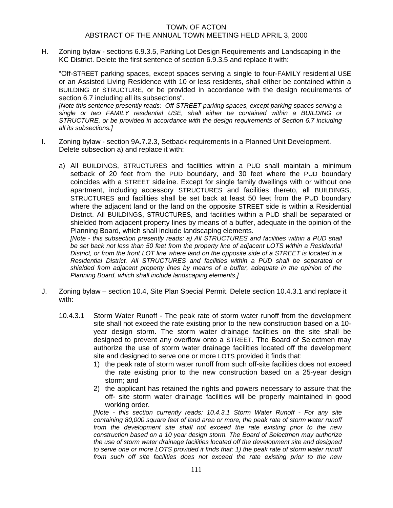H. Zoning bylaw - sections 6.9.3.5, Parking Lot Design Requirements and Landscaping in the KC District. Delete the first sentence of section 6.9.3.5 and replace it with:

"Off-STREET parking spaces, except spaces serving a single to four-FAMILY residential USE or an Assisted Living Residence with 10 or less residents, shall either be contained within a BUILDING or STRUCTURE, or be provided in accordance with the design requirements of section 6.7 including all its subsections".

*[Note this sentence presently reads: Off-STREET parking spaces, except parking spaces serving a single or two FAMILY residential USE, shall either be contained within a BUILDING or STRUCTURE, or be provided in accordance with the design requirements of Section 6.7 including all its subsections.]* 

- I. Zoning bylaw section 9A.7.2.3, Setback requirements in a Planned Unit Development. Delete subsection a) and replace it with:
	- a) All BUILDINGS, STRUCTURES and facilities within a PUD shall maintain a minimum setback of 20 feet from the PUD boundary, and 30 feet where the PUD boundary coincides with a STREET sideline. Except for single family dwellings with or without one apartment, including accessory STRUCTURES and facilities thereto, all BUILDINGS, STRUCTURES and facilities shall be set back at least 50 feet from the PUD boundary where the adjacent land or the land on the opposite STREET side is within a Residential District. All BUILDINGS, STRUCTURES, and facilities within a PUD shall be separated or shielded from adjacent property lines by means of a buffer, adequate in the opinion of the Planning Board, which shall include landscaping elements.

*[Note - this subsection presently reads: a) All STRUCTURES and facilities within a PUD shall be set back not less than 50 feet from the property line of adjacent LOTS within a Residential District, or from the front LOT line where land on the opposite side of a STREET is located in a Residential District. All STRUCTURES and facilities within a PUD shall be separated or shielded from adjacent property lines by means of a buffer, adequate in the opinion of the Planning Board, which shall include landscaping elements.]* 

- J. Zoning bylaw section 10.4, Site Plan Special Permit. Delete section 10.4.3.1 and replace it with:
	- 10.4.3.1 Storm Water Runoff The peak rate of storm water runoff from the development site shall not exceed the rate existing prior to the new construction based on a 10 year design storm. The storm water drainage facilities on the site shall be designed to prevent any overflow onto a STREET. The Board of Selectmen may authorize the use of storm water drainage facilities located off the development site and designed to serve one or more LOTS provided it finds that:
		- 1) the peak rate of storm water runoff from such off-site facilities does not exceed the rate existing prior to the new construction based on a 25-year design storm; and
		- 2) the applicant has retained the rights and powers necessary to assure that the off- site storm water drainage facilities will be properly maintained in good working order.

*[Note - this section currently reads: 10.4.3.1 Storm Water Runoff - For any site containing 80,000 square feet of land area or more, the peak rate of storm water runoff from the development site shall not exceed the rate existing prior to the new construction based on a 10 year design storm. The Board of Selectmen may authorize the use of storm water drainage facilities located off the development site and designed to serve one or more LOTS provided it finds that: 1) the peak rate of storm water runoff from such off site facilities does not exceed the rate existing prior to the new*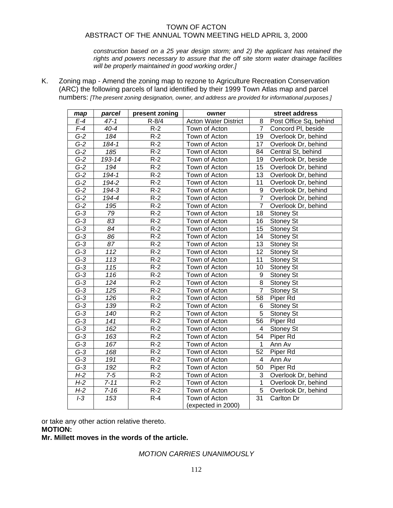*construction based on a 25 year design storm; and 2) the applicant has retained the rights and powers necessary to assure that the off site storm water drainage facilities will be properly maintained in good working order.]* 

K. Zoning map - Amend the zoning map to rezone to Agriculture Recreation Conservation (ARC) the following parcels of land identified by their 1999 Town Atlas map and parcel numbers: *[The present zoning designation, owner, and address are provided for informational purposes.]*

| map   | parcel    | present zoning    | owner                       | street address |                        |
|-------|-----------|-------------------|-----------------------------|----------------|------------------------|
| E-4   | $47 - 1$  | $R - 8/4$         | <b>Acton Water District</b> | 8              | Post Office Sq, behind |
| $F-4$ | $40 - 4$  | $R-2$             | Town of Acton               | 7              | Concord PI, beside     |
| $G-2$ | 184       | $R-2$             | Town of Acton               | 19             | Overlook Dr, behind    |
| $G-2$ | $184 - 1$ | $R-2$             | Town of Acton               | 17             | Overlook Dr, behind    |
| $G-2$ | 185       | $R-2$             | Town of Acton               | 84             | Central St, behind     |
| $G-2$ | 193-14    | $R-2$             | Town of Acton               | 19             | Overlook Dr, beside    |
| $G-2$ | 194       | $R-2$             | Town of Acton               | 15             | Overlook Dr, behind    |
| $G-2$ | $194 - 1$ | $R-2$             | Town of Acton               | 13             | Overlook Dr, behind    |
| $G-2$ | 194-2     | $R-2$             | Town of Acton               | 11             | Overlook Dr, behind    |
| $G-2$ | 194-3     | $R-2$             | Town of Acton               | 9              | Overlook Dr, behind    |
| $G-2$ | 194-4     | $R-2$             | Town of Acton               | $\overline{7}$ | Overlook Dr, behind    |
| $G-2$ | 195       | $R-2$             | Town of Acton               | $\overline{7}$ | Overlook Dr, behind    |
| $G-3$ | 79        | $R-2$             | Town of Acton               | 18             | <b>Stoney St</b>       |
| $G-3$ | 83        | $R-2$             | Town of Acton               | 16             | Stoney St              |
| $G-3$ | 84        | $R-2$             | Town of Acton               | 15             | Stoney St              |
| $G-3$ | 86        | $R-2$             | Town of Acton               | 14             | Stoney St              |
| $G-3$ | 87        | $R-2$             | Town of Acton               | 13             | Stoney St              |
| $G-3$ | 112       | $R-2$             | Town of Acton               | 12             | Stoney St              |
| $G-3$ | 113       | $R-2$             | Town of Acton               | 11             | Stoney St              |
| $G-3$ | 115       | $R-2$             | Town of Acton               | 10             | <b>Stoney St</b>       |
| $G-3$ | 116       | $R-2$             | Town of Acton               | 9              | <b>Stoney St</b>       |
| $G-3$ | 124       | $R-2$             | Town of Acton               | 8              | Stoney St              |
| $G-3$ | 125       | $R-2$             | Town of Acton               | 7              | Stoney St              |
| $G-3$ | 126       | $\overline{R}$ -2 | Town of Acton               | 58             | Piper Rd               |
| $G-3$ | 139       | $R-2$             | Town of Acton               | 6              | Stoney St              |
| $G-3$ | 140       | $R-2$             | Town of Acton               | 5              | Stoney St              |
| $G-3$ | 141       | $R-2$             | Town of Acton               | 56             | Piper Rd               |
| $G-3$ | 162       | $R-2$             | Town of Acton               | 4              | <b>Stoney St</b>       |
| $G-3$ | 163       | $R-2$             | Town of Acton               | 54             | Piper Rd               |
| $G-3$ | 167       | $R-2$             | Town of Acton               | 1              | Ann Av                 |
| $G-3$ | 168       | $R-2$             | Town of Acton               | 52             | Piper Rd               |
| $G-3$ | 191       | $R-2$             | Town of Acton               | 4              | Ann Av                 |
| $G-3$ | 192       | $R-2$             | Town of Acton               | 50             | Piper Rd               |
| $H-2$ | $7-5$     | $R-2$             | Town of Acton               | 3              | Overlook Dr, behind    |
| $H-2$ | $7 - 11$  | $R-2$             | Town of Acton               | $\mathbf{1}$   | Overlook Dr, behind    |
| $H-2$ | $7 - 16$  | $R-2$             | Town of Acton               | 5              | Overlook Dr, behind    |
| $I-3$ | 153       | $R-4$             | Town of Acton               | 31             | Carlton Dr             |
|       |           |                   | (expected in 2000)          |                |                        |

or take any other action relative thereto.

## **MOTION:**

**Mr. Millett moves in the words of the article.** 

*MOTION CARRIES UNANIMOUSLY*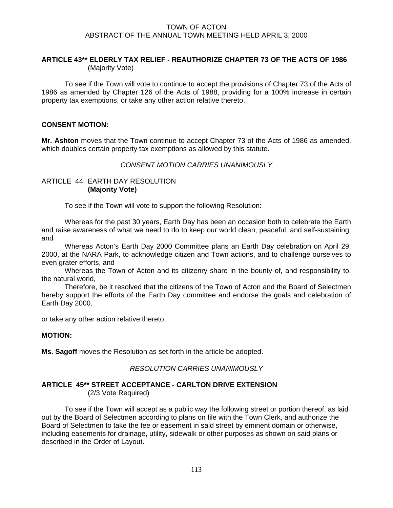## **ARTICLE 43\*\* ELDERLY TAX RELIEF - REAUTHORIZE CHAPTER 73 OF THE ACTS OF 1986**  (Majority Vote)

 To see if the Town will vote to continue to accept the provisions of Chapter 73 of the Acts of 1986 as amended by Chapter 126 of the Acts of 1988, providing for a 100% increase in certain property tax exemptions, or take any other action relative thereto.

## **CONSENT MOTION:**

**Mr. Ashton** moves that the Town continue to accept Chapter 73 of the Acts of 1986 as amended, which doubles certain property tax exemptions as allowed by this statute.

## *CONSENT MOTION CARRIES UNANIMOUSLY*

### ARTICLE 44 EARTH DAY RESOLUTION  **(Majority Vote)**

To see if the Town will vote to support the following Resolution:

Whereas for the past 30 years, Earth Day has been an occasion both to celebrate the Earth and raise awareness of what we need to do to keep our world clean, peaceful, and self-sustaining, and

 Whereas Acton's Earth Day 2000 Committee plans an Earth Day celebration on April 29, 2000, at the NARA Park, to acknowledge citizen and Town actions, and to challenge ourselves to even grater efforts, and

 Whereas the Town of Acton and its citizenry share in the bounty of, and responsibility to, the natural world,

 Therefore, be it resolved that the citizens of the Town of Acton and the Board of Selectmen hereby support the efforts of the Earth Day committee and endorse the goals and celebration of Earth Day 2000.

or take any other action relative thereto.

#### **MOTION:**

**Ms. Sagoff** moves the Resolution as set forth in the article be adopted.

#### *RESOLUTION CARRIES UNANIMOUSLY*

#### **ARTICLE 45\*\* STREET ACCEPTANCE - CARLTON DRIVE EXTENSION** (2/3 Vote Required)

 To see if the Town will accept as a public way the following street or portion thereof, as laid out by the Board of Selectmen according to plans on file with the Town Clerk, and authorize the Board of Selectmen to take the fee or easement in said street by eminent domain or otherwise, including easements for drainage, utility, sidewalk or other purposes as shown on said plans or described in the Order of Layout.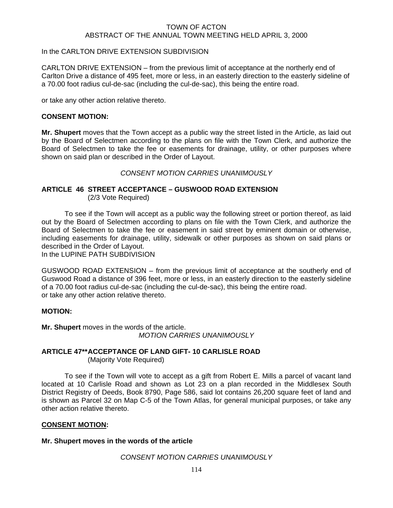## In the CARLTON DRIVE EXTENSION SUBDIVISION

CARLTON DRIVE EXTENSION – from the previous limit of acceptance at the northerly end of Carlton Drive a distance of 495 feet, more or less, in an easterly direction to the easterly sideline of a 70.00 foot radius cul-de-sac (including the cul-de-sac), this being the entire road.

or take any other action relative thereto.

## **CONSENT MOTION:**

**Mr. Shupert** moves that the Town accept as a public way the street listed in the Article, as laid out by the Board of Selectmen according to the plans on file with the Town Clerk, and authorize the Board of Selectmen to take the fee or easements for drainage, utility, or other purposes where shown on said plan or described in the Order of Layout.

*CONSENT MOTION CARRIES UNANIMOUSLY*

#### **ARTICLE 46 STREET ACCEPTANCE – GUSWOOD ROAD EXTENSION**  (2/3 Vote Required)

 To see if the Town will accept as a public way the following street or portion thereof, as laid out by the Board of Selectmen according to plans on file with the Town Clerk, and authorize the Board of Selectmen to take the fee or easement in said street by eminent domain or otherwise, including easements for drainage, utility, sidewalk or other purposes as shown on said plans or described in the Order of Layout.

In the LUPINE PATH SUBDIVISION

GUSWOOD ROAD EXTENSION – from the previous limit of acceptance at the southerly end of Guswood Road a distance of 396 feet, more or less, in an easterly direction to the easterly sideline of a 70.00 foot radius cul-de-sac (including the cul-de-sac), this being the entire road. or take any other action relative thereto.

#### **MOTION:**

**Mr. Shupert** moves in the words of the article. *MOTION CARRIES UNANIMOUSLY*

## **ARTICLE 47\*\* ACCEPTANCE OF LAND GIFT- 10 CARLISLE ROAD** (Majority Vote Required)

 To see if the Town will vote to accept as a gift from Robert E. Mills a parcel of vacant land located at 10 Carlisle Road and shown as Lot 23 on a plan recorded in the Middlesex South District Registry of Deeds, Book 8790, Page 586, said lot contains 26,200 square feet of land and is shown as Parcel 32 on Map C-5 of the Town Atlas, for general municipal purposes, or take any other action relative thereto.

#### **CONSENT MOTION:**

**Mr. Shupert moves in the words of the article** 

*CONSENT MOTION CARRIES UNANIMOUSLY*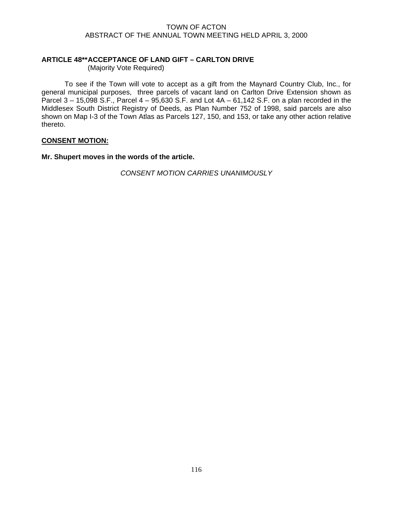## **ARTICLE 48\*\* ACCEPTANCE OF LAND GIFT – CARLTON DRIVE**

(Majority Vote Required)

 To see if the Town will vote to accept as a gift from the Maynard Country Club, Inc., for general municipal purposes, three parcels of vacant land on Carlton Drive Extension shown as Parcel  $3 - 15,098$  S.F., Parcel  $4 - 95,630$  S.F. and Lot  $4A - 61,142$  S.F. on a plan recorded in the Middlesex South District Registry of Deeds, as Plan Number 752 of 1998, said parcels are also shown on Map I-3 of the Town Atlas as Parcels 127, 150, and 153, or take any other action relative thereto.

## **CONSENT MOTION:**

**Mr. Shupert moves in the words of the article.** 

*CONSENT MOTION CARRIES UNANIMOUSLY*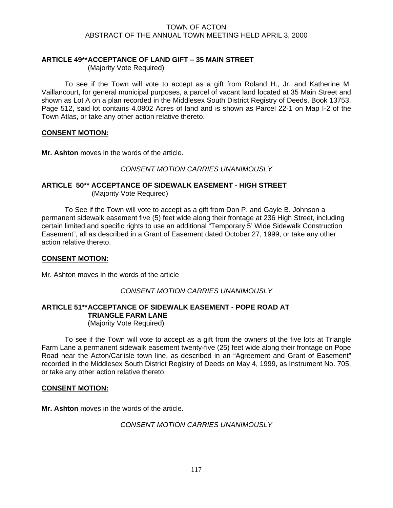## **ARTICLE 49\*\* ACCEPTANCE OF LAND GIFT – 35 MAIN STREET**

(Majority Vote Required)

 To see if the Town will vote to accept as a gift from Roland H., Jr. and Katherine M. Vaillancourt, for general municipal purposes, a parcel of vacant land located at 35 Main Street and shown as Lot A on a plan recorded in the Middlesex South District Registry of Deeds, Book 13753, Page 512, said lot contains 4.0802 Acres of land and is shown as Parcel 22-1 on Map I-2 of the Town Atlas, or take any other action relative thereto.

## **CONSENT MOTION:**

**Mr. Ashton** moves in the words of the article.

## *CONSENT MOTION CARRIES UNANIMOUSLY*

## **ARTICLE 50\*\* ACCEPTANCE OF SIDEWALK EASEMENT - HIGH STREET**  (Majority Vote Required)

 To See if the Town will vote to accept as a gift from Don P. and Gayle B. Johnson a permanent sidewalk easement five (5) feet wide along their frontage at 236 High Street, including certain limited and specific rights to use an additional "Temporary 5' Wide Sidewalk Construction Easement", all as described in a Grant of Easement dated October 27, 1999, or take any other action relative thereto.

## **CONSENT MOTION:**

Mr. Ashton moves in the words of the article

## *CONSENT MOTION CARRIES UNANIMOUSLY*

# **ARTICLE 51\*\* ACCEPTANCE OF SIDEWALK EASEMENT - POPE ROAD AT TRIANGLE FARM LANE**

(Majority Vote Required)

 To see if the Town will vote to accept as a gift from the owners of the five lots at Triangle Farm Lane a permanent sidewalk easement twenty-five (25) feet wide along their frontage on Pope Road near the Acton/Carlisle town line, as described in an "Agreement and Grant of Easement" recorded in the Middlesex South District Registry of Deeds on May 4, 1999, as Instrument No. 705, or take any other action relative thereto.

#### **CONSENT MOTION:**

**Mr. Ashton** moves in the words of the article.

## *CONSENT MOTION CARRIES UNANIMOUSLY*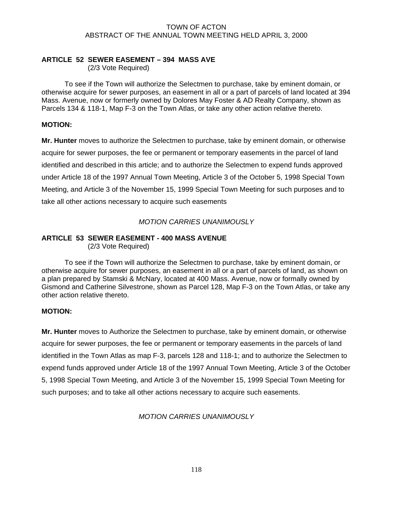## **ARTICLE 52 SEWER EASEMENT – 394 MASS AVE**

(2/3 Vote Required)

 To see if the Town will authorize the Selectmen to purchase, take by eminent domain, or otherwise acquire for sewer purposes, an easement in all or a part of parcels of land located at 394 Mass. Avenue, now or formerly owned by Dolores May Foster & AD Realty Company, shown as Parcels 134 & 118-1, Map F-3 on the Town Atlas, or take any other action relative thereto.

## **MOTION:**

**Mr. Hunter** moves to authorize the Selectmen to purchase, take by eminent domain, or otherwise acquire for sewer purposes, the fee or permanent or temporary easements in the parcel of land identified and described in this article; and to authorize the Selectmen to expend funds approved under Article 18 of the 1997 Annual Town Meeting, Article 3 of the October 5, 1998 Special Town Meeting, and Article 3 of the November 15, 1999 Special Town Meeting for such purposes and to take all other actions necessary to acquire such easements

## *MOTION CARRIES UNANIMOUSLY*

# **ARTICLE 53 SEWER EASEMENT - 400 MASS AVENUE**

(2/3 Vote Required)

 To see if the Town will authorize the Selectmen to purchase, take by eminent domain, or otherwise acquire for sewer purposes, an easement in all or a part of parcels of land, as shown on a plan prepared by Stamski & McNary, located at 400 Mass. Avenue, now or formally owned by Gismond and Catherine Silvestrone, shown as Parcel 128, Map F-3 on the Town Atlas, or take any other action relative thereto.

## **MOTION:**

**Mr. Hunter** moves to Authorize the Selectmen to purchase, take by eminent domain, or otherwise acquire for sewer purposes, the fee or permanent or temporary easements in the parcels of land identified in the Town Atlas as map F-3, parcels 128 and 118-1; and to authorize the Selectmen to expend funds approved under Article 18 of the 1997 Annual Town Meeting, Article 3 of the October 5, 1998 Special Town Meeting, and Article 3 of the November 15, 1999 Special Town Meeting for such purposes; and to take all other actions necessary to acquire such easements.

*MOTION CARRIES UNANIMOUSLY*